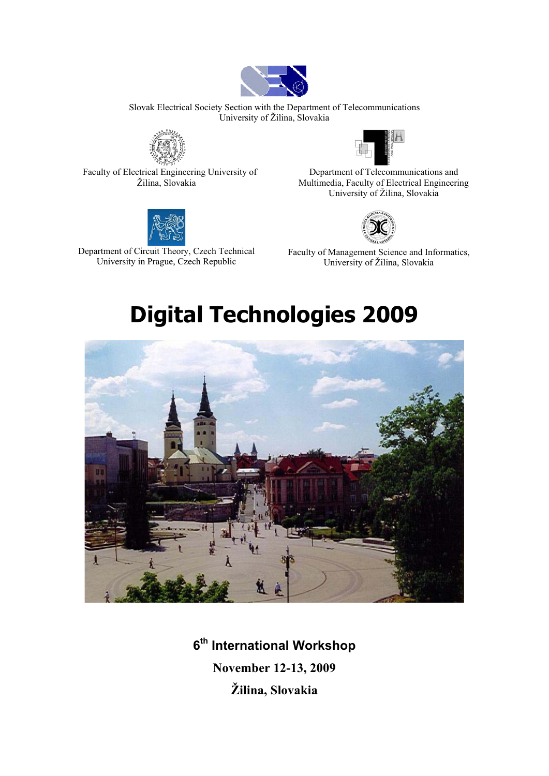

Slovak Electrical Society Section with the Department of Telecommunications University of Žilina, Slovakia



Faculty of Electrical Engineering University of Žilina, Slovakia



Department of Circuit Theory, Czech Technical University in Prague, Czech Republic



Department of Telecommunications and Multimedia, Faculty of Electrical Engineering University of Žilina, Slovakia



Faculty of Management Science and Informatics, University of Žilina, Slovakia

# **Digital Technologies 2009**



**6th International Workshop November 12-13, 2009 Žilina, Slovakia**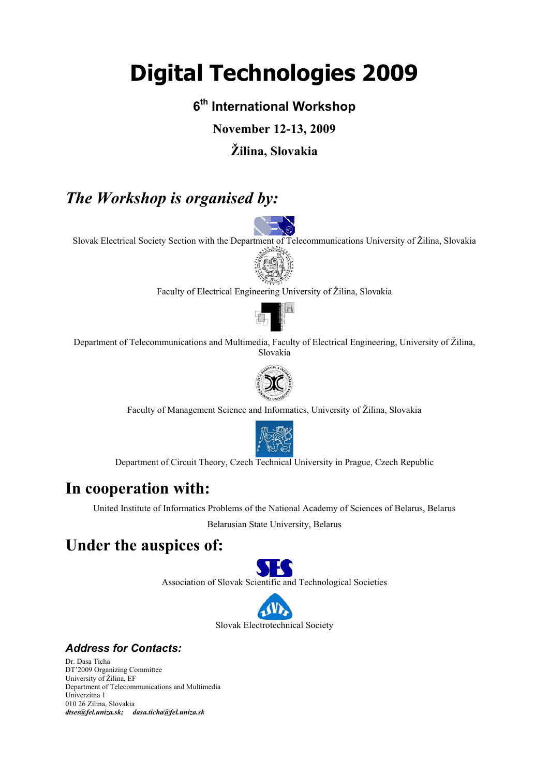# **Digital Technologies 2009**

# **6th International Workshop**

**November 12-13, 2009** 

# **Žilina, Slovakia**

# *The Workshop is organised by:*

Slovak Electrical Society Section with the Department of Telecommunications University of Žilina, Slovakia



Faculty of Electrical Engineering University of Žilina, Slovakia



Department of Telecommunications and Multimedia, Faculty of Electrical Engineering, University of Žilina, Slovakia



Faculty of Management Science and Informatics, University of Žilina, Slovakia



Department of Circuit Theory, Czech Technical University in Prague, Czech Republic

# **In cooperation with:**

United Institute of Informatics Problems of the National Academy of Sciences of Belarus, Belarus

Belarusian State University, Belarus

# **Under the auspices of:**



Association of Slovak Scientific and Technological Societies



# *Address for Contacts:*

Dr. Dasa Ticha DT'2009 Organizing Committee University of Žilina, EF Department of Telecommunications and Multimedia Univerzitna 1 010 26 Zilina, Slovakia *dtses@fel.uniza.sk; dasa.ticha@fel.uniza.sk*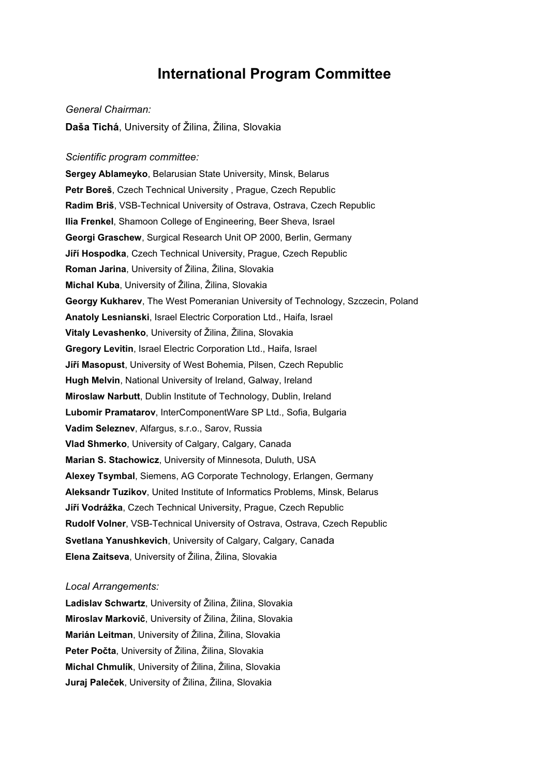# **International Program Committee**

#### General Chairman:

**Daša Tichá**, University of Žilina, Žilina, Slovakia

*Scientific program committee:*  **Sergey Ablameyko**, Belarusian State University, Minsk, Belarus **Petr Boreš**, Czech Technical University , Prague, Czech Republic **Radim Briš**, VSB-Technical University of Ostrava, Ostrava, Czech Republic **Ilia Frenkel**, Shamoon College of Engineering, Beer Sheva, Israel **Georgi Graschew**, Surgical Research Unit OP 2000, Berlin, Germany **Jíří Hospodka**, Czech Technical University, Prague, Czech Republic **Roman Jarina**, University of Žilina, Žilina, Slovakia **Michal Kuba**, University of Žilina, Žilina, Slovakia **Georgy Kukharev**, The West Pomeranian University of Technology, Szczecin, Poland **Anatoly Lesnianski**, Israel Electric Corporation Ltd., Haifa, Israel **Vitaly Levashenko**, University of Žilina, Žilina, Slovakia **Gregory Levitin**, Israel Electric Corporation Ltd., Haifa, Israel **Jíří Masopust**, University of West Bohemia, Pilsen, Czech Republic **Hugh Melvin**, National University of Ireland, Galway, Ireland **Miroslaw Narbutt**, Dublin Institute of Technology, Dublin, Ireland **Lubomir Pramatarov**, InterComponentWare SP Ltd., Sofia, Bulgaria **Vadim Seleznev**, Alfargus, s.r.o., Sarov, Russia **Vlad Shmerko**, University of Calgary, Calgary, Canada **Marian S. Stachowicz**, University of Minnesota, Duluth, USA **Alexey Tsymbal**, Siemens, AG Corporate Technology, Erlangen, Germany **Aleksandr Tuzikov**, United Institute of Informatics Problems, Minsk, Belarus **Jíří Vodrážka**, Czech Technical University, Prague, Czech Republic **Rudolf Volner**, VSB-Technical University of Ostrava, Ostrava, Czech Republic **Svetlana Yanushkevich**, University of Calgary, Calgary, Canada **Elena Zaitseva**, University of Žilina, Žilina, Slovakia

# *Local Arrangements:*

**Ladislav Schwartz**, University of Žilina, Žilina, Slovakia **Miroslav Markovi**, University of Žilina, Žilina, Slovakia **Marián Leitman**, University of Žilina, Žilina, Slovakia Peter Počta, University of Žilina, Žilina, Slovakia **Michal Chmulík**, University of Žilina, Žilina, Slovakia Juraj Paleček, University of Žilina, Žilina, Slovakia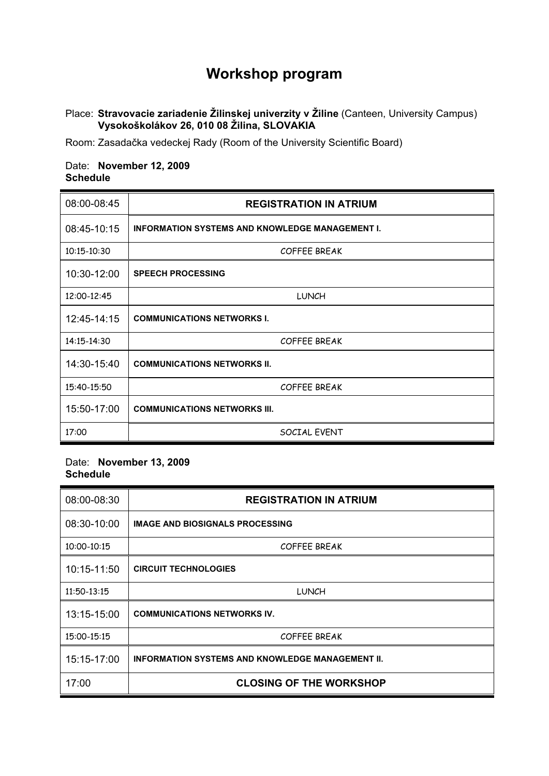# **Workshop program**

# Place: **Stravovacie zariadenie Žilinskej univerzity v Žiline** (Canteen, University Campus)  **Vysokoškolákov 26, 010 08 Žilina, SLOVAKIA**

Room: Zasadačka vedeckej Rady (Room of the University Scientific Board)

# Date: **November 12, 2009 Schedule**

| 08:00-08:45 | <b>REGISTRATION IN ATRIUM</b>                          |
|-------------|--------------------------------------------------------|
| 08:45-10:15 | <b>INFORMATION SYSTEMS AND KNOWLEDGE MANAGEMENT I.</b> |
| 10:15-10:30 | <b>COFFEE BREAK</b>                                    |
| 10:30-12:00 | <b>SPEECH PROCESSING</b>                               |
| 12:00-12:45 | <b>LUNCH</b>                                           |
| 12:45-14:15 | <b>COMMUNICATIONS NETWORKS I.</b>                      |
| 14:15-14:30 | <b>COFFEE BREAK</b>                                    |
| 14:30-15:40 | <b>COMMUNICATIONS NETWORKS II.</b>                     |
| 15:40-15:50 | <b>COFFEE BREAK</b>                                    |
| 15:50-17:00 | <b>COMMUNICATIONS NETWORKS III.</b>                    |
| 17:00       | SOCIAL EVENT                                           |

# Date: **November 13, 2009 Schedule**

| 08:00-08:30 | <b>REGISTRATION IN ATRIUM</b>                           |
|-------------|---------------------------------------------------------|
| 08:30-10:00 | <b>IMAGE AND BIOSIGNALS PROCESSING</b>                  |
| 10:00-10:15 | <b>COFFEE BREAK</b>                                     |
| 10:15-11:50 | <b>CIRCUIT TECHNOLOGIES</b>                             |
| 11:50-13:15 | <b>LUNCH</b>                                            |
| 13:15-15:00 | <b>COMMUNICATIONS NETWORKS IV.</b>                      |
| 15:00-15:15 | <b>COFFEE BREAK</b>                                     |
| 15:15-17:00 | <b>INFORMATION SYSTEMS AND KNOWLEDGE MANAGEMENT II.</b> |
| 17:00       | <b>CLOSING OF THE WORKSHOP</b>                          |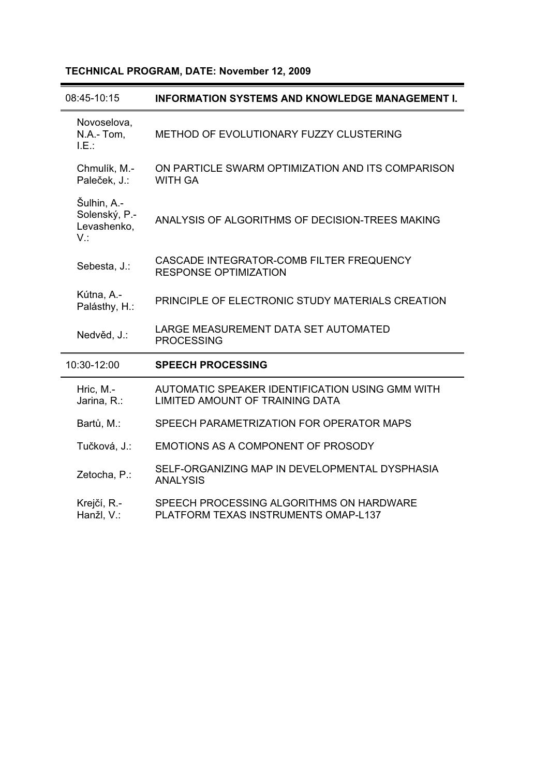# **TECHNICAL PROGRAM, DATE: November 12, 2009**

| 08:45-10:15                                        | <b>INFORMATION SYSTEMS AND KNOWLEDGE MANAGEMENT I.</b>                             |
|----------------------------------------------------|------------------------------------------------------------------------------------|
| Novoselova,<br>N.A.-Tom,<br>$LE.$ :                | METHOD OF EVOLUTIONARY FUZZY CLUSTERING                                            |
| Chmulík, M.-<br>Paleček, J.:                       | ON PARTICLE SWARM OPTIMIZATION AND ITS COMPARISON<br><b>WITH GA</b>                |
| Šulhin, A.-<br>Solenský, P.-<br>Levashenko,<br>V.: | ANALYSIS OF ALGORITHMS OF DECISION-TREES MAKING                                    |
| Sebesta, J.:                                       | CASCADE INTEGRATOR-COMB FILTER FREQUENCY<br><b>RESPONSE OPTIMIZATION</b>           |
| Kútna, A.-<br>Palásthy, H.:                        | PRINCIPLE OF ELECTRONIC STUDY MATERIALS CREATION                                   |
| Nedvěd, J.:                                        | LARGE MEASUREMENT DATA SET AUTOMATED<br><b>PROCESSING</b>                          |
| 10:30-12:00                                        | <b>SPEECH PROCESSING</b>                                                           |
| Hric, M.-<br>Jarina, R.:                           | AUTOMATIC SPEAKER IDENTIFICATION USING GMM WITH<br>LIMITED AMOUNT OF TRAINING DATA |
| Bartů, M.:                                         | SPEECH PARAMETRIZATION FOR OPERATOR MAPS                                           |
| Tučková, J.:                                       | EMOTIONS AS A COMPONENT OF PROSODY                                                 |
| Zetocha, P.:                                       | SELF-ORGANIZING MAP IN DEVELOPMENTAL DYSPHASIA<br><b>ANALYSIS</b>                  |
| Krejčí, R.-<br>Hanžl, V.:                          | SPEECH PROCESSING ALGORITHMS ON HARDWARE<br>PLATFORM TEXAS INSTRUMENTS OMAP-L137   |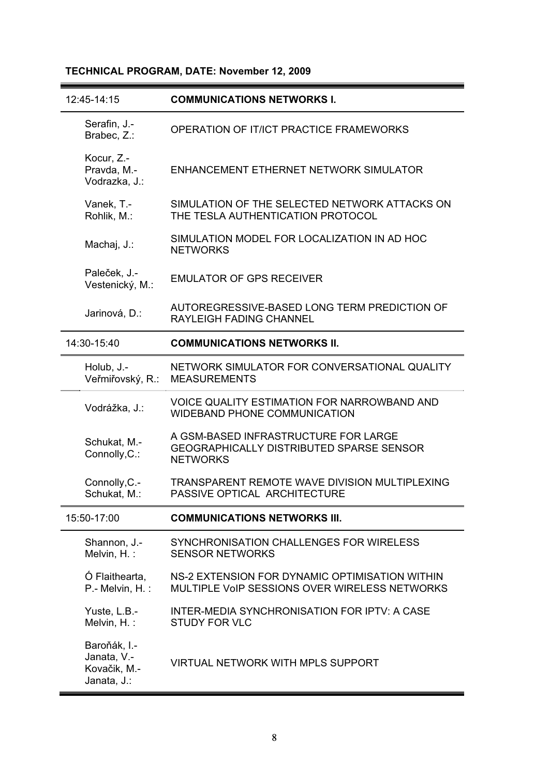# **TECHNICAL PROGRAM, DATE: November 12, 2009**

| 12:45-14:15                                                | <b>COMMUNICATIONS NETWORKS I.</b>                                                                          |
|------------------------------------------------------------|------------------------------------------------------------------------------------------------------------|
| Serafin, J.-<br>Brabec, Z.:                                | OPERATION OF IT/ICT PRACTICE FRAMEWORKS                                                                    |
| Kocur, Z.-<br>Pravda, M.-<br>Vodrazka, J.:                 | ENHANCEMENT ETHERNET NETWORK SIMULATOR                                                                     |
| Vanek, T.-<br>Rohlik, M.:                                  | SIMULATION OF THE SELECTED NETWORK ATTACKS ON<br>THE TESLA AUTHENTICATION PROTOCOL                         |
| Machaj, J.:                                                | SIMULATION MODEL FOR LOCALIZATION IN AD HOC<br><b>NETWORKS</b>                                             |
| Paleček, J.-<br>Vestenický, M.:                            | <b>EMULATOR OF GPS RECEIVER</b>                                                                            |
| Jarinová, D.:                                              | AUTOREGRESSIVE-BASED LONG TERM PREDICTION OF<br><b>RAYLEIGH FADING CHANNEL</b>                             |
| 14:30-15:40                                                | <b>COMMUNICATIONS NETWORKS II.</b>                                                                         |
| Holub, J.-<br>Veřmiřovský, R.:                             | NETWORK SIMULATOR FOR CONVERSATIONAL QUALITY<br><b>MEASUREMENTS</b>                                        |
| Vodrážka, J.:                                              | <b>VOICE QUALITY ESTIMATION FOR NARROWBAND AND</b><br><b>WIDEBAND PHONE COMMUNICATION</b>                  |
| Schukat, M.-<br>Connolly, C.:                              | A GSM-BASED INFRASTRUCTURE FOR LARGE<br><b>GEOGRAPHICALLY DISTRIBUTED SPARSE SENSOR</b><br><b>NETWORKS</b> |
| Connolly, C.-<br>Schukat, M.:                              | TRANSPARENT REMOTE WAVE DIVISION MULTIPLEXING<br>PASSIVE OPTICAL ARCHITECTURE                              |
| 15:50-17:00                                                | <b>COMMUNICATIONS NETWORKS III.</b>                                                                        |
| Shannon, J.-<br>Melvin, H.:                                | SYNCHRONISATION CHALLENGES FOR WIRELESS<br><b>SENSOR NETWORKS</b>                                          |
| Ó Flaithearta,<br>P.- Melvin, H.:                          | NS-2 EXTENSION FOR DYNAMIC OPTIMISATION WITHIN<br>MULTIPLE VOIP SESSIONS OVER WIRELESS NETWORKS            |
| Yuste, L.B.-<br>Melvin, H.:                                | <b>INTER-MEDIA SYNCHRONISATION FOR IPTV: A CASE</b><br><b>STUDY FOR VLC</b>                                |
| Baroňák, I.-<br>Janata, V.-<br>Kovačik, M.-<br>Janata, J.: | <b>VIRTUAL NETWORK WITH MPLS SUPPORT</b>                                                                   |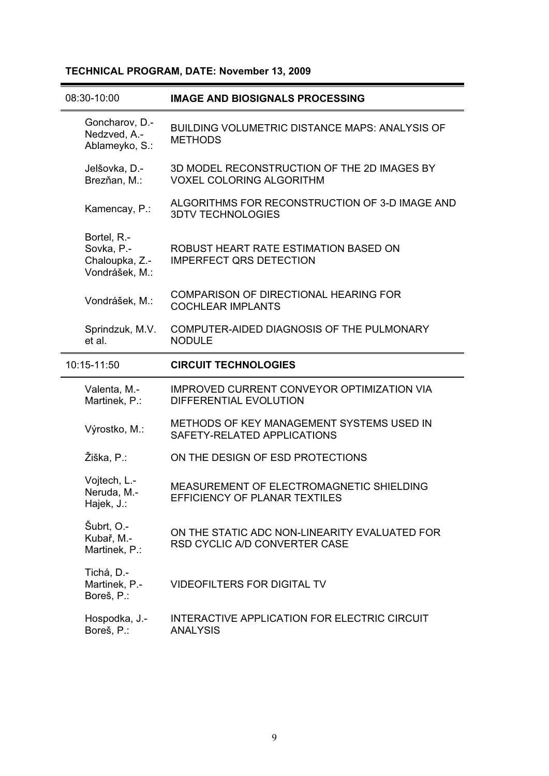# **TECHNICAL PROGRAM, DATE: November 13, 2009**

| 08:30-10:00                                                   | <b>IMAGE AND BIOSIGNALS PROCESSING</b>                                             |
|---------------------------------------------------------------|------------------------------------------------------------------------------------|
| Goncharov, D.-<br>Nedzved, A.-<br>Ablameyko, S.:              | <b>BUILDING VOLUMETRIC DISTANCE MAPS: ANALYSIS OF</b><br><b>METHODS</b>            |
| Jelšovka, D.-<br>Brezňan, M.:                                 | 3D MODEL RECONSTRUCTION OF THE 2D IMAGES BY<br><b>VOXEL COLORING ALGORITHM</b>     |
| Kamencay, P.:                                                 | ALGORITHMS FOR RECONSTRUCTION OF 3-D IMAGE AND<br><b>3DTV TECHNOLOGIES</b>         |
| Bortel, R.-<br>Sovka, P.-<br>Chaloupka, Z.-<br>Vondrášek, M.: | ROBUST HEART RATE ESTIMATION BASED ON<br><b>IMPERFECT QRS DETECTION</b>            |
| Vondrášek, M.:                                                | <b>COMPARISON OF DIRECTIONAL HEARING FOR</b><br><b>COCHLEAR IMPLANTS</b>           |
| Sprindzuk, M.V.<br>et al.                                     | COMPUTER-AIDED DIAGNOSIS OF THE PULMONARY<br><b>NODULE</b>                         |
| 10:15-11:50                                                   | <b>CIRCUIT TECHNOLOGIES</b>                                                        |
| Valenta, M.-<br>Martinek, P.:                                 | <b>IMPROVED CURRENT CONVEYOR OPTIMIZATION VIA</b><br><b>DIFFERENTIAL EVOLUTION</b> |
| Výrostko, M.:                                                 | METHODS OF KEY MANAGEMENT SYSTEMS USED IN<br>SAFETY-RELATED APPLICATIONS           |
| Žiška, P.:                                                    | ON THE DESIGN OF ESD PROTECTIONS                                                   |
| Vojtech, L.-<br>Neruda, M.-<br>Hajek, J.:                     | MEASUREMENT OF ELECTROMAGNETIC SHIELDING<br>EFFICIENCY OF PLANAR TEXTILES          |
| Šubrt, O.-<br>Kubař, M.-<br>Martinek, P.:                     | ON THE STATIC ADC NON-LINEARITY EVALUATED FOR<br>RSD CYCLIC A/D CONVERTER CASE     |
| Tichá, D.-<br>Martinek, P.-<br>Boreš, P.:                     | <b>VIDEOFILTERS FOR DIGITAL TV</b>                                                 |
|                                                               |                                                                                    |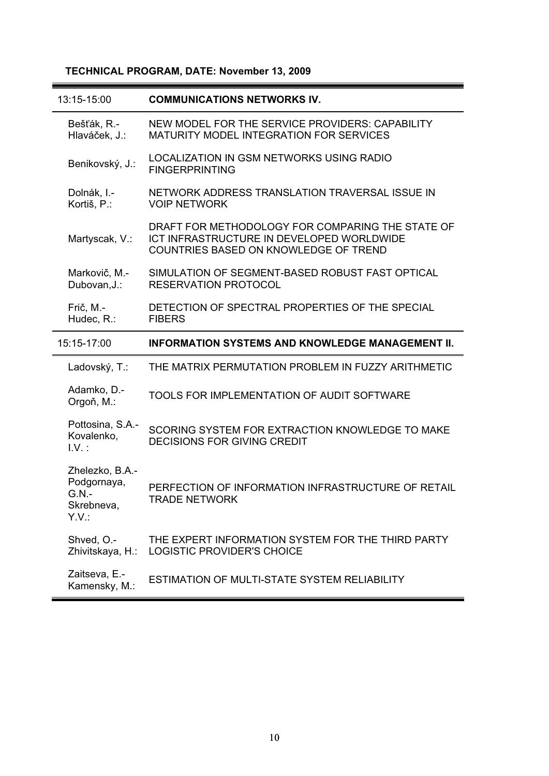# **TECHNICAL PROGRAM, DATE: November 13, 2009**

| 13:15-15:00                                                      | <b>COMMUNICATIONS NETWORKS IV.</b>                                                                                                     |
|------------------------------------------------------------------|----------------------------------------------------------------------------------------------------------------------------------------|
| Bešťák, R.-<br>Hlaváček, J.:                                     | NEW MODEL FOR THE SERVICE PROVIDERS: CAPABILITY<br><b>MATURITY MODEL INTEGRATION FOR SERVICES</b>                                      |
| Benikovský, J.:                                                  | LOCALIZATION IN GSM NETWORKS USING RADIO<br><b>FINGERPRINTING</b>                                                                      |
| Dolnák, I.-<br>Kortiš, P.:                                       | NETWORK ADDRESS TRANSLATION TRAVERSAL ISSUE IN<br><b>VOIP NETWORK</b>                                                                  |
| Martyscak, V.:                                                   | DRAFT FOR METHODOLOGY FOR COMPARING THE STATE OF<br>ICT INFRASTRUCTURE IN DEVELOPED WORLDWIDE<br>COUNTRIES BASED ON KNOWLEDGE OF TREND |
| Markovič, M.-<br>Dubovan, J.:                                    | SIMULATION OF SEGMENT-BASED ROBUST FAST OPTICAL<br><b>RESERVATION PROTOCOL</b>                                                         |
| Frič, M.-<br>Hudec, R.:                                          | DETECTION OF SPECTRAL PROPERTIES OF THE SPECIAL<br><b>FIBERS</b>                                                                       |
| 15:15-17:00                                                      | <b>INFORMATION SYSTEMS AND KNOWLEDGE MANAGEMENT II.</b>                                                                                |
|                                                                  |                                                                                                                                        |
| Ladovský, T.:                                                    | THE MATRIX PERMUTATION PROBLEM IN FUZZY ARITHMETIC                                                                                     |
| Adamko, D.-<br>Orgoň, M.:                                        | TOOLS FOR IMPLEMENTATION OF AUDIT SOFTWARE                                                                                             |
| Pottosina, S.A.-<br>Kovalenko,<br>$1.V.$ :                       | SCORING SYSTEM FOR EXTRACTION KNOWLEDGE TO MAKE<br><b>DECISIONS FOR GIVING CREDIT</b>                                                  |
| Zhelezko, B.A.-<br>Podgornaya,<br>$G.N. -$<br>Skrebneva,<br>Y.V. | PERFECTION OF INFORMATION INFRASTRUCTURE OF RETAIL<br><b>TRADE NETWORK</b>                                                             |
| Shved, O.-<br>Zhivitskaya, H.:                                   | THE EXPERT INFORMATION SYSTEM FOR THE THIRD PARTY<br><b>LOGISTIC PROVIDER'S CHOICE</b>                                                 |

÷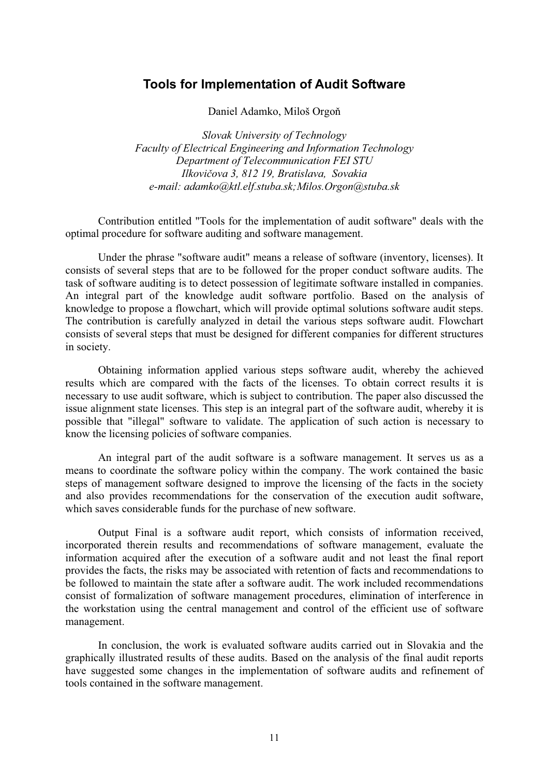# **Tools for Implementation of Audit Software**

Daniel Adamko, Miloš Orgoň

*Slovak University of Technology Faculty of Electrical Engineering and Information Technology Department of Telecommunication FEI STU*  Ilkovičova 3, 812 19, Bratislava, Sovakia *e-mail: adamko@ktl.elf.stuba.sk;Milos.Orgon@stuba.sk* 

Contribution entitled "Tools for the implementation of audit software" deals with the optimal procedure for software auditing and software management.

Under the phrase "software audit" means a release of software (inventory, licenses). It consists of several steps that are to be followed for the proper conduct software audits. The task of software auditing is to detect possession of legitimate software installed in companies. An integral part of the knowledge audit software portfolio. Based on the analysis of knowledge to propose a flowchart, which will provide optimal solutions software audit steps. The contribution is carefully analyzed in detail the various steps software audit. Flowchart consists of several steps that must be designed for different companies for different structures in society.

Obtaining information applied various steps software audit, whereby the achieved results which are compared with the facts of the licenses. To obtain correct results it is necessary to use audit software, which is subject to contribution. The paper also discussed the issue alignment state licenses. This step is an integral part of the software audit, whereby it is possible that "illegal" software to validate. The application of such action is necessary to know the licensing policies of software companies.

An integral part of the audit software is a software management. It serves us as a means to coordinate the software policy within the company. The work contained the basic steps of management software designed to improve the licensing of the facts in the society and also provides recommendations for the conservation of the execution audit software, which saves considerable funds for the purchase of new software.

Output Final is a software audit report, which consists of information received, incorporated therein results and recommendations of software management, evaluate the information acquired after the execution of a software audit and not least the final report provides the facts, the risks may be associated with retention of facts and recommendations to be followed to maintain the state after a software audit. The work included recommendations consist of formalization of software management procedures, elimination of interference in the workstation using the central management and control of the efficient use of software management.

In conclusion, the work is evaluated software audits carried out in Slovakia and the graphically illustrated results of these audits. Based on the analysis of the final audit reports have suggested some changes in the implementation of software audits and refinement of tools contained in the software management.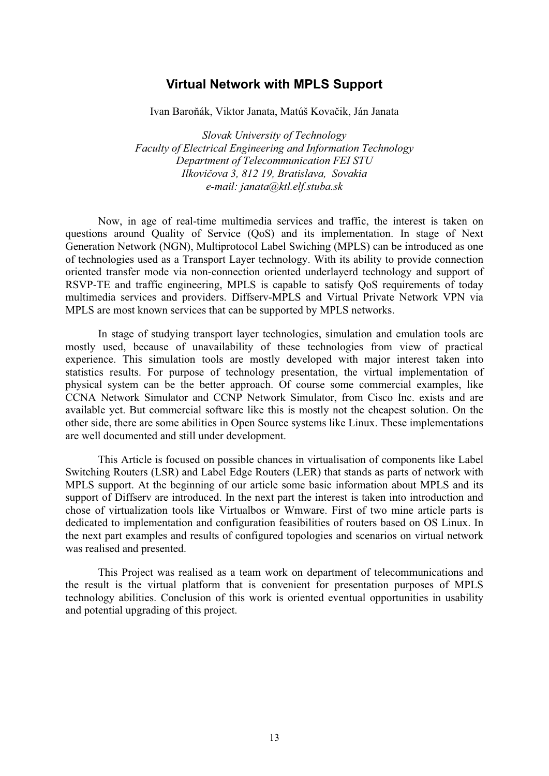# **Virtual Network with MPLS Support**

Ivan Baroňák, Viktor Janata, Matúš Kovačik, Ján Janata

*Slovak University of Technology Faculty of Electrical Engineering and Information Technology Department of Telecommunication FEI STU*  Ilkovičova 3, 812 19, Bratislava, Sovakia *e-mail: janata@ktl.elf.stuba.sk* 

Now, in age of real-time multimedia services and traffic, the interest is taken on questions around Quality of Service (QoS) and its implementation. In stage of Next Generation Network (NGN), Multiprotocol Label Swiching (MPLS) can be introduced as one of technologies used as a Transport Layer technology. With its ability to provide connection oriented transfer mode via non-connection oriented underlayerd technology and support of RSVP-TE and traffic engineering, MPLS is capable to satisfy QoS requirements of today multimedia services and providers. Diffserv-MPLS and Virtual Private Network VPN via MPLS are most known services that can be supported by MPLS networks.

In stage of studying transport layer technologies, simulation and emulation tools are mostly used, because of unavailability of these technologies from view of practical experience. This simulation tools are mostly developed with major interest taken into statistics results. For purpose of technology presentation, the virtual implementation of physical system can be the better approach. Of course some commercial examples, like CCNA Network Simulator and CCNP Network Simulator, from Cisco Inc. exists and are available yet. But commercial software like this is mostly not the cheapest solution. On the other side, there are some abilities in Open Source systems like Linux. These implementations are well documented and still under development.

This Article is focused on possible chances in virtualisation of components like Label Switching Routers (LSR) and Label Edge Routers (LER) that stands as parts of network with MPLS support. At the beginning of our article some basic information about MPLS and its support of Diffserv are introduced. In the next part the interest is taken into introduction and chose of virtualization tools like Virtualbos or Wmware. First of two mine article parts is dedicated to implementation and configuration feasibilities of routers based on OS Linux. In the next part examples and results of configured topologies and scenarios on virtual network was realised and presented.

This Project was realised as a team work on department of telecommunications and the result is the virtual platform that is convenient for presentation purposes of MPLS technology abilities. Conclusion of this work is oriented eventual opportunities in usability and potential upgrading of this project.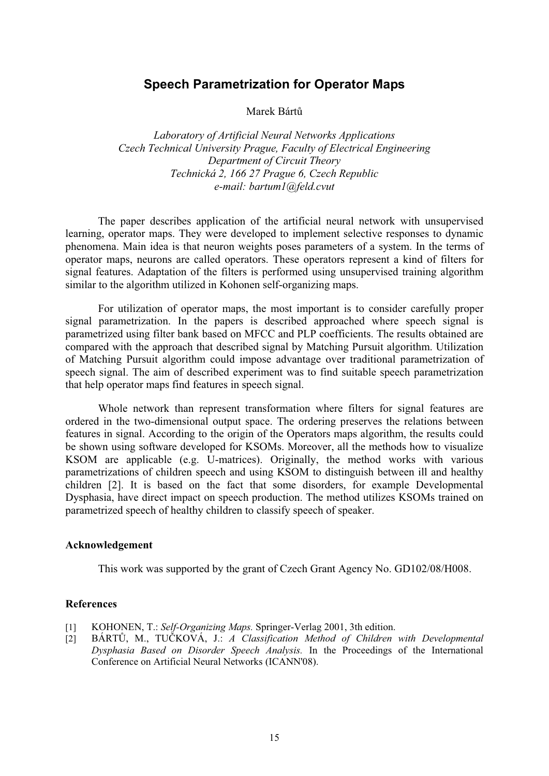# **Speech Parametrization for Operator Maps**

Marek Bárt

*Laboratory of Artificial Neural Networks Applications Czech Technical University Prague, Faculty of Electrical Engineering Department of Circuit Theory Technická 2, 166 27 Prague 6, Czech Republic e-mail: bartum1@feld.cvut* 

The paper describes application of the artificial neural network with unsupervised learning, operator maps. They were developed to implement selective responses to dynamic phenomena. Main idea is that neuron weights poses parameters of a system. In the terms of operator maps, neurons are called operators. These operators represent a kind of filters for signal features. Adaptation of the filters is performed using unsupervised training algorithm similar to the algorithm utilized in Kohonen self-organizing maps.

For utilization of operator maps, the most important is to consider carefully proper signal parametrization. In the papers is described approached where speech signal is parametrized using filter bank based on MFCC and PLP coefficients. The results obtained are compared with the approach that described signal by Matching Pursuit algorithm. Utilization of Matching Pursuit algorithm could impose advantage over traditional parametrization of speech signal. The aim of described experiment was to find suitable speech parametrization that help operator maps find features in speech signal.

Whole network than represent transformation where filters for signal features are ordered in the two-dimensional output space. The ordering preserves the relations between features in signal. According to the origin of the Operators maps algorithm, the results could be shown using software developed for KSOMs. Moreover, all the methods how to visualize KSOM are applicable (e.g. U-matrices). Originally, the method works with various parametrizations of children speech and using KSOM to distinguish between ill and healthy children [2]. It is based on the fact that some disorders, for example Developmental Dysphasia, have direct impact on speech production. The method utilizes KSOMs trained on parametrized speech of healthy children to classify speech of speaker.

#### **Acknowledgement**

This work was supported by the grant of Czech Grant Agency No. GD102/08/H008.

- [1] KOHONEN, T.: *Self-Organizing Maps.* Springer-Verlag 2001, 3th edition.
- [2] BÁRTŮ, M., TUČKOVÁ, J.: *A Classification Method of Children with Developmental Dysphasia Based on Disorder Speech Analysis.* In the Proceedings of the International Conference on Artificial Neural Networks (ICANN'08).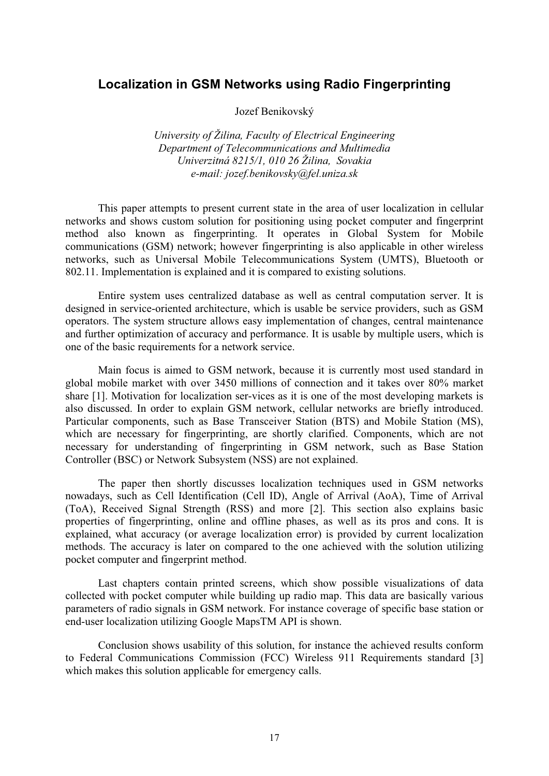# **Localization in GSM Networks using Radio Fingerprinting**

Jozef Benikovský

*University of Žilina, Faculty of Electrical Engineering Department of Telecommunications and Multimedia Univerzitná 8215/1, 010 26 Žilina, Sovakia e-mail: jozef.benikovsky@fel.uniza.sk* 

This paper attempts to present current state in the area of user localization in cellular networks and shows custom solution for positioning using pocket computer and fingerprint method also known as fingerprinting. It operates in Global System for Mobile communications (GSM) network; however fingerprinting is also applicable in other wireless networks, such as Universal Mobile Telecommunications System (UMTS), Bluetooth or 802.11. Implementation is explained and it is compared to existing solutions.

Entire system uses centralized database as well as central computation server. It is designed in service-oriented architecture, which is usable be service providers, such as GSM operators. The system structure allows easy implementation of changes, central maintenance and further optimization of accuracy and performance. It is usable by multiple users, which is one of the basic requirements for a network service.

Main focus is aimed to GSM network, because it is currently most used standard in global mobile market with over 3450 millions of connection and it takes over 80% market share [1]. Motivation for localization ser-vices as it is one of the most developing markets is also discussed. In order to explain GSM network, cellular networks are briefly introduced. Particular components, such as Base Transceiver Station (BTS) and Mobile Station (MS), which are necessary for fingerprinting, are shortly clarified. Components, which are not necessary for understanding of fingerprinting in GSM network, such as Base Station Controller (BSC) or Network Subsystem (NSS) are not explained.

The paper then shortly discusses localization techniques used in GSM networks nowadays, such as Cell Identification (Cell ID), Angle of Arrival (AoA), Time of Arrival (ToA), Received Signal Strength (RSS) and more [2]. This section also explains basic properties of fingerprinting, online and offline phases, as well as its pros and cons. It is explained, what accuracy (or average localization error) is provided by current localization methods. The accuracy is later on compared to the one achieved with the solution utilizing pocket computer and fingerprint method.

Last chapters contain printed screens, which show possible visualizations of data collected with pocket computer while building up radio map. This data are basically various parameters of radio signals in GSM network. For instance coverage of specific base station or end-user localization utilizing Google MapsTM API is shown.

Conclusion shows usability of this solution, for instance the achieved results conform to Federal Communications Commission (FCC) Wireless 911 Requirements standard [3] which makes this solution applicable for emergency calls.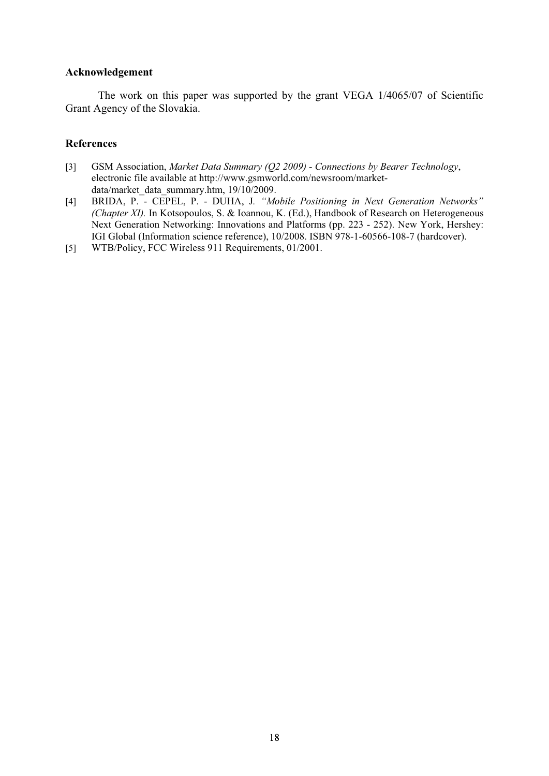# **Acknowledgement**

The work on this paper was supported by the grant VEGA 1/4065/07 of Scientific Grant Agency of the Slovakia.

- [3] GSM Association, *Market Data Summary (Q2 2009) Connections by Bearer Technology*, electronic file available at http://www.gsmworld.com/newsroom/marketdata/market\_data\_summary.htm, 19/10/2009.
- [4] BRIDA, P. CEPEL, P. DUHA, J. "Mobile Positioning in Next Generation Networks" *(Chapter XI).* In Kotsopoulos, S. & Ioannou, K. (Ed.), Handbook of Research on Heterogeneous Next Generation Networking: Innovations and Platforms (pp. 223 - 252). New York, Hershey: IGI Global (Information science reference), 10/2008. ISBN 978-1-60566-108-7 (hardcover).
- [5] WTB/Policy, FCC Wireless 911 Requirements, 01/2001.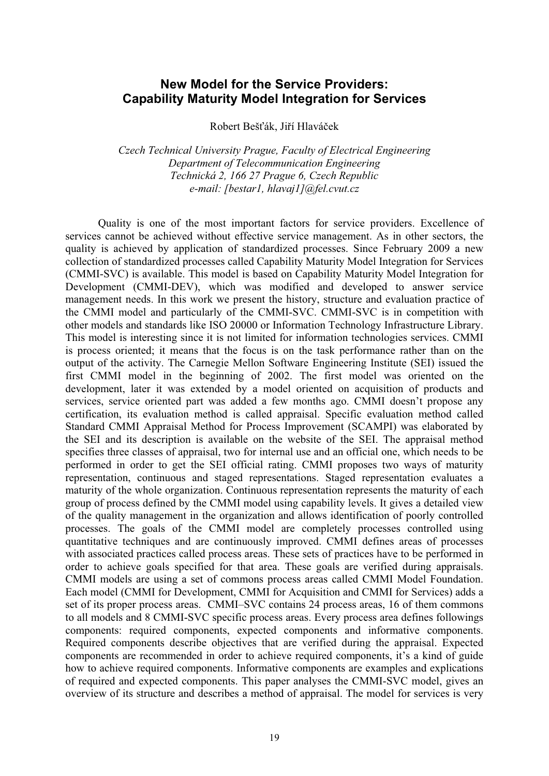# **New Model for the Service Providers: Capability Maturity Model Integration for Services**

Robert Bešťák, Jiří Hlaváček

*Czech Technical University Prague, Faculty of Electrical Engineering Department of Telecommunication Engineering Technická 2, 166 27 Prague 6, Czech Republic e-mail: [bestar1, hlavaj1]@fel.cvut.cz* 

Quality is one of the most important factors for service providers. Excellence of services cannot be achieved without effective service management. As in other sectors, the quality is achieved by application of standardized processes. Since February 2009 a new collection of standardized processes called Capability Maturity Model Integration for Services (CMMI-SVC) is available. This model is based on Capability Maturity Model Integration for Development (CMMI-DEV), which was modified and developed to answer service management needs. In this work we present the history, structure and evaluation practice of the CMMI model and particularly of the CMMI-SVC. CMMI-SVC is in competition with other models and standards like ISO 20000 or Information Technology Infrastructure Library. This model is interesting since it is not limited for information technologies services. CMMI is process oriented; it means that the focus is on the task performance rather than on the output of the activity. The Carnegie Mellon Software Engineering Institute (SEI) issued the first CMMI model in the beginning of 2002. The first model was oriented on the development, later it was extended by a model oriented on acquisition of products and services, service oriented part was added a few months ago. CMMI doesn't propose any certification, its evaluation method is called appraisal. Specific evaluation method called Standard CMMI Appraisal Method for Process Improvement (SCAMPI) was elaborated by the SEI and its description is available on the website of the SEI. The appraisal method specifies three classes of appraisal, two for internal use and an official one, which needs to be performed in order to get the SEI official rating. CMMI proposes two ways of maturity representation, continuous and staged representations. Staged representation evaluates a maturity of the whole organization. Continuous representation represents the maturity of each group of process defined by the CMMI model using capability levels. It gives a detailed view of the quality management in the organization and allows identification of poorly controlled processes. The goals of the CMMI model are completely processes controlled using quantitative techniques and are continuously improved. CMMI defines areas of processes with associated practices called process areas. These sets of practices have to be performed in order to achieve goals specified for that area. These goals are verified during appraisals. CMMI models are using a set of commons process areas called CMMI Model Foundation. Each model (CMMI for Development, CMMI for Acquisition and CMMI for Services) adds a set of its proper process areas. CMMI–SVC contains 24 process areas, 16 of them commons to all models and 8 CMMI-SVC specific process areas. Every process area defines followings components: required components, expected components and informative components. Required components describe objectives that are verified during the appraisal. Expected components are recommended in order to achieve required components, it's a kind of guide how to achieve required components. Informative components are examples and explications of required and expected components. This paper analyses the CMMI-SVC model, gives an overview of its structure and describes a method of appraisal. The model for services is very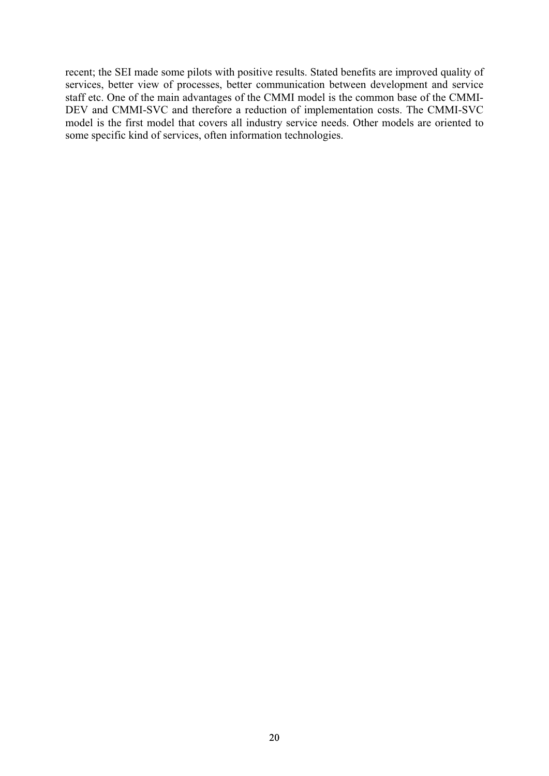recent; the SEI made some pilots with positive results. Stated benefits are improved quality of services, better view of processes, better communication between development and service staff etc. One of the main advantages of the CMMI model is the common base of the CMMI-DEV and CMMI-SVC and therefore a reduction of implementation costs. The CMMI-SVC model is the first model that covers all industry service needs. Other models are oriented to some specific kind of services, often information technologies.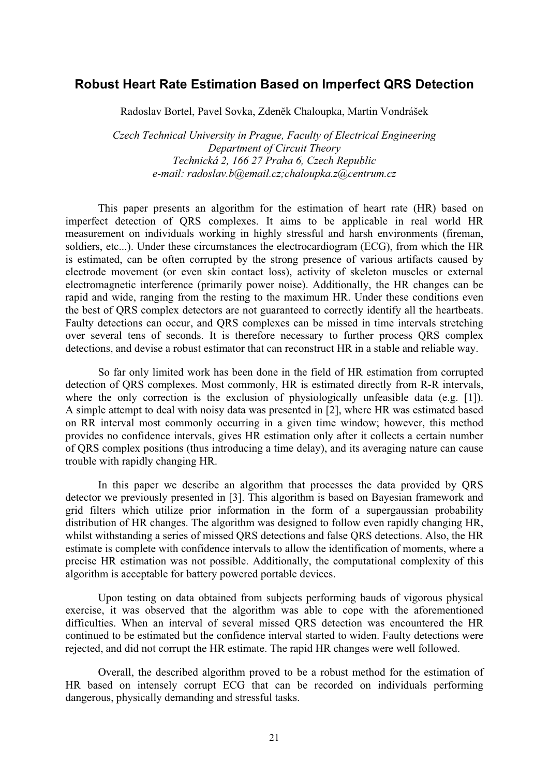# **Robust Heart Rate Estimation Based on Imperfect QRS Detection**

Radoslav Bortel, Pavel Sovka, Zdeněk Chaloupka, Martin Vondrášek

*Czech Technical University in Prague, Faculty of Electrical Engineering Department of Circuit Theory Technická 2, 166 27 Praha 6, Czech Republic e-mail: radoslav.b@email.cz;chaloupka.z@centrum.cz* 

This paper presents an algorithm for the estimation of heart rate (HR) based on imperfect detection of QRS complexes. It aims to be applicable in real world HR measurement on individuals working in highly stressful and harsh environments (fireman, soldiers, etc...). Under these circumstances the electrocardiogram (ECG), from which the HR is estimated, can be often corrupted by the strong presence of various artifacts caused by electrode movement (or even skin contact loss), activity of skeleton muscles or external electromagnetic interference (primarily power noise). Additionally, the HR changes can be rapid and wide, ranging from the resting to the maximum HR. Under these conditions even the best of QRS complex detectors are not guaranteed to correctly identify all the heartbeats. Faulty detections can occur, and QRS complexes can be missed in time intervals stretching over several tens of seconds. It is therefore necessary to further process QRS complex detections, and devise a robust estimator that can reconstruct HR in a stable and reliable way.

So far only limited work has been done in the field of HR estimation from corrupted detection of QRS complexes. Most commonly, HR is estimated directly from R-R intervals, where the only correction is the exclusion of physiologically unfeasible data (e.g. [1]). A simple attempt to deal with noisy data was presented in [2], where HR was estimated based on RR interval most commonly occurring in a given time window; however, this method provides no confidence intervals, gives HR estimation only after it collects a certain number of QRS complex positions (thus introducing a time delay), and its averaging nature can cause trouble with rapidly changing HR.

In this paper we describe an algorithm that processes the data provided by QRS detector we previously presented in [3]. This algorithm is based on Bayesian framework and grid filters which utilize prior information in the form of a supergaussian probability distribution of HR changes. The algorithm was designed to follow even rapidly changing HR, whilst withstanding a series of missed QRS detections and false QRS detections. Also, the HR estimate is complete with confidence intervals to allow the identification of moments, where a precise HR estimation was not possible. Additionally, the computational complexity of this algorithm is acceptable for battery powered portable devices.

Upon testing on data obtained from subjects performing bauds of vigorous physical exercise, it was observed that the algorithm was able to cope with the aforementioned difficulties. When an interval of several missed QRS detection was encountered the HR continued to be estimated but the confidence interval started to widen. Faulty detections were rejected, and did not corrupt the HR estimate. The rapid HR changes were well followed.

Overall, the described algorithm proved to be a robust method for the estimation of HR based on intensely corrupt ECG that can be recorded on individuals performing dangerous, physically demanding and stressful tasks.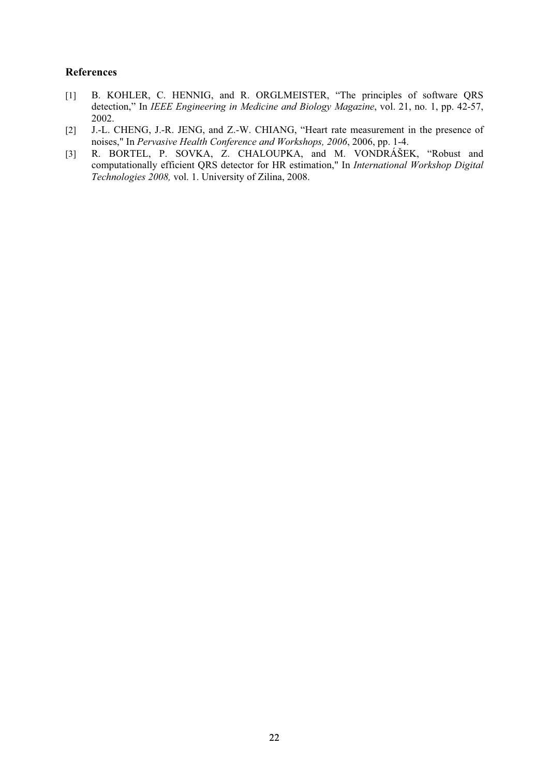- [1] B. KOHLER, C. HENNIG, and R. ORGLMEISTER, "The principles of software QRS detection," In *IEEE Engineering in Medicine and Biology Magazine*, vol. 21, no. 1, pp. 42-57, 2002.
- [2] J.-L. CHENG, J.-R. JENG, and Z.-W. CHIANG, "Heart rate measurement in the presence of noises," In *Pervasive Health Conference and Workshops, 2006*, 2006, pp. 1-4.
- [3] R. BORTEL, P. SOVKA, Z. CHALOUPKA, and M. VONDRÁŠEK, "Robust and computationally efficient QRS detector for HR estimation," In *International Workshop Digital Technologies 2008,* vol. 1. University of Zilina, 2008.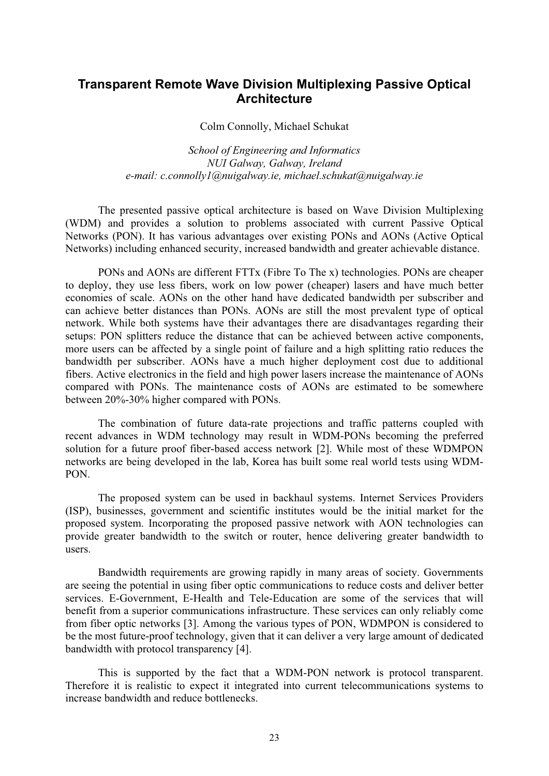# **Transparent Remote Wave Division Multiplexing Passive Optical Architecture**

Colm Connolly, Michael Schukat

*School of Engineering and Informatics NUI Galway, Galway, Ireland e-mail: c.connolly1@nuigalway.ie, michael.schukat@nuigalway.ie* 

The presented passive optical architecture is based on Wave Division Multiplexing (WDM) and provides a solution to problems associated with current Passive Optical Networks (PON). It has various advantages over existing PONs and AONs (Active Optical Networks) including enhanced security, increased bandwidth and greater achievable distance.

PONs and AONs are different FTTx (Fibre To The x) technologies. PONs are cheaper to deploy, they use less fibers, work on low power (cheaper) lasers and have much better economies of scale. AONs on the other hand have dedicated bandwidth per subscriber and can achieve better distances than PONs. AONs are still the most prevalent type of optical network. While both systems have their advantages there are disadvantages regarding their setups: PON splitters reduce the distance that can be achieved between active components, more users can be affected by a single point of failure and a high splitting ratio reduces the bandwidth per subscriber. AONs have a much higher deployment cost due to additional fibers. Active electronics in the field and high power lasers increase the maintenance of AONs compared with PONs. The maintenance costs of AONs are estimated to be somewhere between 20%-30% higher compared with PONs.

The combination of future data-rate projections and traffic patterns coupled with recent advances in WDM technology may result in WDM-PONs becoming the preferred solution for a future proof fiber-based access network [2]. While most of these WDMPON networks are being developed in the lab, Korea has built some real world tests using WDM-PON.

The proposed system can be used in backhaul systems. Internet Services Providers (ISP), businesses, government and scientific institutes would be the initial market for the proposed system. Incorporating the proposed passive network with AON technologies can provide greater bandwidth to the switch or router, hence delivering greater bandwidth to users.

Bandwidth requirements are growing rapidly in many areas of society. Governments are seeing the potential in using fiber optic communications to reduce costs and deliver better services. E-Government, E-Health and Tele-Education are some of the services that will benefit from a superior communications infrastructure. These services can only reliably come from fiber optic networks [3]. Among the various types of PON, WDMPON is considered to be the most future-proof technology, given that it can deliver a very large amount of dedicated bandwidth with protocol transparency [4].

This is supported by the fact that a WDM-PON network is protocol transparent. Therefore it is realistic to expect it integrated into current telecommunications systems to increase bandwidth and reduce bottlenecks.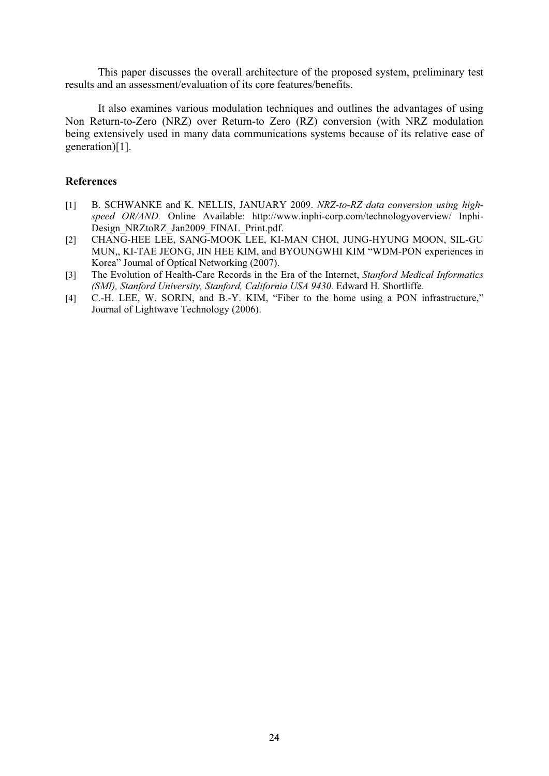This paper discusses the overall architecture of the proposed system, preliminary test results and an assessment/evaluation of its core features/benefits.

It also examines various modulation techniques and outlines the advantages of using Non Return-to-Zero (NRZ) over Return-to Zero (RZ) conversion (with NRZ modulation being extensively used in many data communications systems because of its relative ease of generation)[1].

- [1] B. SCHWANKE and K. NELLIS, JANUARY 2009. *NRZ-to-RZ data conversion using highspeed OR/AND.* Online Available: http://www.inphi-corp.com/technologyoverview/ Inphi-Design\_NRZtoRZ\_Jan2009\_FINAL\_Print.pdf.
- [2] CHANG-HEE LEE, SANG-MOOK LEE, KI-MAN CHOI, JUNG-HYUNG MOON, SIL-GU MUN,, KI-TAE JEONG, JIN HEE KIM, and BYOUNGWHI KIM "WDM-PON experiences in Korea" Journal of Optical Networking (2007).
- [3] The Evolution of Health-Care Records in the Era of the Internet, *Stanford Medical Informatics (SMI), Stanford University, Stanford, California USA 9430.* Edward H. Shortliffe.
- [4] C.-H. LEE, W. SORIN, and B.-Y. KIM, "Fiber to the home using a PON infrastructure," Journal of Lightwave Technology (2006).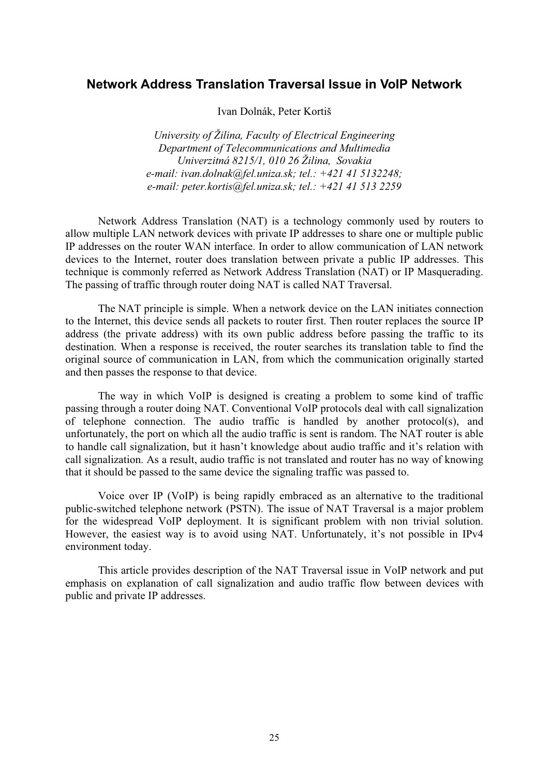# **Network Address Translation Traversal Issue in VoIP Network**

Ivan Dolnák, Peter Kortiš

*University of Žilina, Faculty of Electrical Engineering Department of Telecommunications and Multimedia Univerzitná 8215/1, 010 26 Žilina, Sovakia e-mail: ivan.dolnak@fel.uniza.sk; tel.: +421 41 5132248; e-mail: peter.kortis@fel.uniza.sk; tel.: +421 41 513 2259* 

Network Address Translation (NAT) is a technology commonly used by routers to allow multiple LAN network devices with private IP addresses to share one or multiple public IP addresses on the router WAN interface. In order to allow communication of LAN network devices to the Internet, router does translation between private a public IP addresses. This technique is commonly referred as Network Address Translation (NAT) or IP Masquerading. The passing of traffic through router doing NAT is called NAT Traversal.

The NAT principle is simple. When a network device on the LAN initiates connection to the Internet, this device sends all packets to router first. Then router replaces the source IP address (the private address) with its own public address before passing the traffic to its destination. When a response is received, the router searches its translation table to find the original source of communication in LAN, from which the communication originally started and then passes the response to that device.

The way in which VoIP is designed is creating a problem to some kind of traffic passing through a router doing NAT. Conventional VoIP protocols deal with call signalization of telephone connection. The audio traffic is handled by another protocol(s), and unfortunately, the port on which all the audio traffic is sent is random. The NAT router is able to handle call signalization, but it hasn't knowledge about audio traffic and it's relation with call signalization. As a result, audio traffic is not translated and router has no way of knowing that it should be passed to the same device the signaling traffic was passed to.

Voice over IP (VoIP) is being rapidly embraced as an alternative to the traditional public-switched telephone network (PSTN). The issue of NAT Traversal is a major problem for the widespread VoIP deployment. It is significant problem with non trivial solution. However, the easiest way is to avoid using NAT. Unfortunately, it's not possible in IPv4 environment today.

This article provides description of the NAT Traversal issue in VoIP network and put emphasis on explanation of call signalization and audio traffic flow between devices with public and private IP addresses.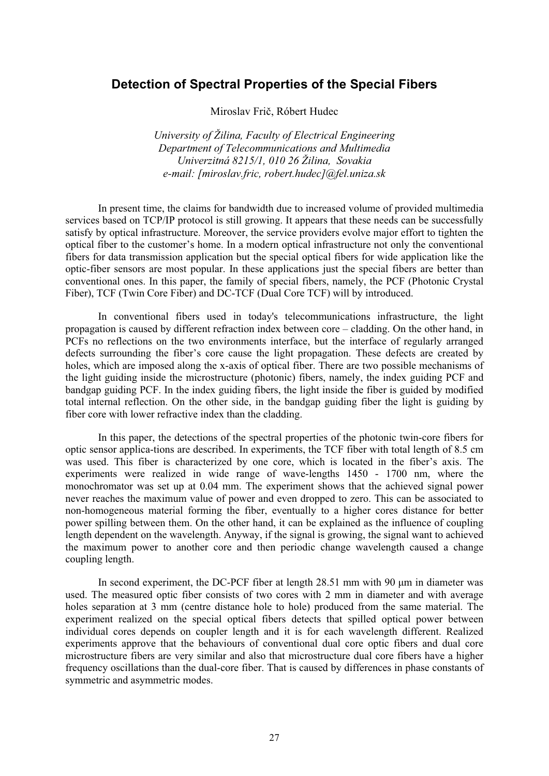# **Detection of Spectral Properties of the Special Fibers**

Miroslav Frič, Róbert Hudec

*University of Žilina, Faculty of Electrical Engineering Department of Telecommunications and Multimedia Univerzitná 8215/1, 010 26 Žilina, Sovakia e-mail: [miroslav.fric, robert.hudec]@fel.uniza.sk* 

In present time, the claims for bandwidth due to increased volume of provided multimedia services based on TCP/IP protocol is still growing. It appears that these needs can be successfully satisfy by optical infrastructure. Moreover, the service providers evolve major effort to tighten the optical fiber to the customer's home. In a modern optical infrastructure not only the conventional fibers for data transmission application but the special optical fibers for wide application like the optic-fiber sensors are most popular. In these applications just the special fibers are better than conventional ones. In this paper, the family of special fibers, namely, the PCF (Photonic Crystal Fiber), TCF (Twin Core Fiber) and DC-TCF (Dual Core TCF) will by introduced.

In conventional fibers used in today's telecommunications infrastructure, the light propagation is caused by different refraction index between core – cladding. On the other hand, in PCFs no reflections on the two environments interface, but the interface of regularly arranged defects surrounding the fiber's core cause the light propagation. These defects are created by holes, which are imposed along the x-axis of optical fiber. There are two possible mechanisms of the light guiding inside the microstructure (photonic) fibers, namely, the index guiding PCF and bandgap guiding PCF. In the index guiding fibers, the light inside the fiber is guided by modified total internal reflection. On the other side, in the bandgap guiding fiber the light is guiding by fiber core with lower refractive index than the cladding.

In this paper, the detections of the spectral properties of the photonic twin-core fibers for optic sensor applica-tions are described. In experiments, the TCF fiber with total length of 8.5 cm was used. This fiber is characterized by one core, which is located in the fiber's axis. The experiments were realized in wide range of wave-lengths 1450 - 1700 nm, where the monochromator was set up at 0.04 mm. The experiment shows that the achieved signal power never reaches the maximum value of power and even dropped to zero. This can be associated to non-homogeneous material forming the fiber, eventually to a higher cores distance for better power spilling between them. On the other hand, it can be explained as the influence of coupling length dependent on the wavelength. Anyway, if the signal is growing, the signal want to achieved the maximum power to another core and then periodic change wavelength caused a change coupling length.

In second experiment, the DC-PCF fiber at length 28.51 mm with 90  $\mu$ m in diameter was used. The measured optic fiber consists of two cores with 2 mm in diameter and with average holes separation at 3 mm (centre distance hole to hole) produced from the same material. The experiment realized on the special optical fibers detects that spilled optical power between individual cores depends on coupler length and it is for each wavelength different. Realized experiments approve that the behaviours of conventional dual core optic fibers and dual core microstructure fibers are very similar and also that microstructure dual core fibers have a higher frequency oscillations than the dual-core fiber. That is caused by differences in phase constants of symmetric and asymmetric modes.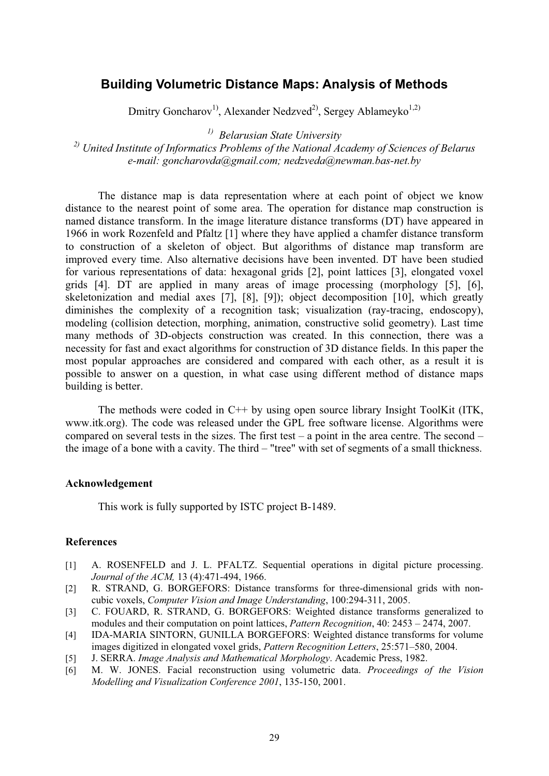# **Building Volumetric Distance Maps: Analysis of Methods**

Dmitry Goncharov<sup>1</sup>, Alexander Nedzved<sup>2</sup>, Sergey Ablameyko<sup>1,2)</sup>

*1) Belarusian State University* 

*2) United Institute of Informatics Problems of the National Academy of Sciences of Belarus e-mail: goncharovda@gmail.com; nedzveda@newman.bas-net.by* 

The distance map is data representation where at each point of object we know distance to the nearest point of some area. The operation for distance map construction is named distance transform. In the image literature distance transforms (DT) have appeared in 1966 in work Rozenfeld and Pfaltz [1] where they have applied a chamfer distance transform to construction of a skeleton of object. But algorithms of distance map transform are improved every time. Also alternative decisions have been invented. DT have been studied for various representations of data: hexagonal grids [2], point lattices [3], elongated voxel grids [4]. DT are applied in many areas of image processing (morphology [5], [6], skeletonization and medial axes [7], [8], [9]); object decomposition [10], which greatly diminishes the complexity of a recognition task; visualization (ray-tracing, endoscopy), modeling (collision detection, morphing, animation, constructive solid geometry). Last time many methods of 3D-objects construction was created. In this connection, there was a necessity for fast and exact algorithms for construction of 3D distance fields. In this paper the most popular approaches are considered and compared with each other, as a result it is possible to answer on a question, in what case using different method of distance maps building is better.

The methods were coded in C<sup>++</sup> by using open source library Insight ToolKit (ITK, www.itk.org). The code was released under the GPL free software license. Algorithms were compared on several tests in the sizes. The first test – a point in the area centre. The second – the image of a bone with a cavity. The third – "tree" with set of segments of a small thickness.

#### **Acknowledgement**

This work is fully supported by ISTC project B-1489.

- [1] A. ROSENFELD and J. L. PFALTZ. Sequential operations in digital picture processing. *Journal of the ACM,* 13 (4):471-494, 1966.
- [2] R. STRAND, G. BORGEFORS: Distance transforms for three-dimensional grids with noncubic voxels, *Computer Vision and Image Understanding*, 100:294-311, 2005.
- [3] C. FOUARD, R. STRAND, G. BORGEFORS: Weighted distance transforms generalized to modules and their computation on point lattices, *Pattern Recognition*, 40: 2453 – 2474, 2007.
- [4] IDA-MARIA SINTORN, GUNILLA BORGEFORS: Weighted distance transforms for volume images digitized in elongated voxel grids, *Pattern Recognition Letters*, 25:571–580, 2004.
- [5] J. SERRA. *Image Analysis and Mathematical Morphology*. Academic Press, 1982.
- [6] M. W. JONES. Facial reconstruction using volumetric data. *Proceedings of the Vision Modelling and Visualization Conference 2001*, 135-150, 2001.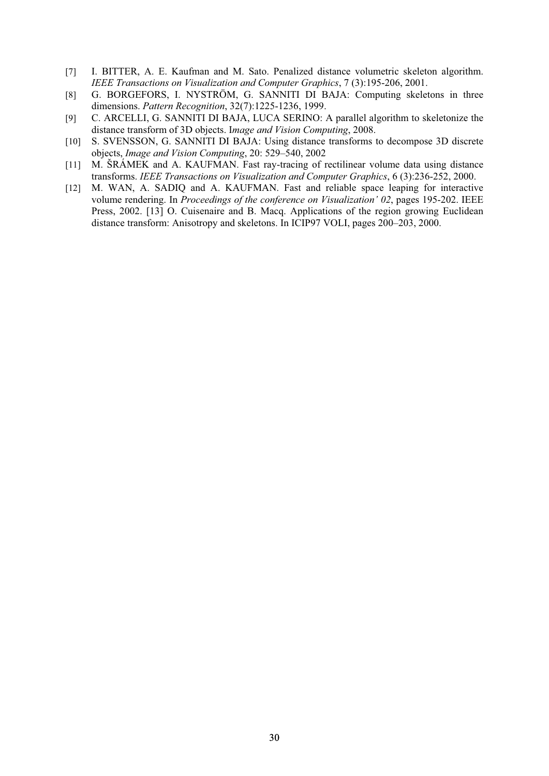- [7] I. BITTER, A. E. Kaufman and M. Sato. Penalized distance volumetric skeleton algorithm. *IEEE Transactions on Visualization and Computer Graphics*, 7 (3):195-206, 2001.
- [8] G. BORGEFORS, I. NYSTRÖM, G. SANNITI DI BAJA: Computing skeletons in three dimensions. *Pattern Recognition*, 32(7):1225-1236, 1999.
- [9] C. ARCELLI, G. SANNITI DI BAJA, LUCA SERINO: A parallel algorithm to skeletonize the distance transform of 3D objects. I*mage and Vision Computing*, 2008.
- [10] S. SVENSSON, G. SANNITI DI BAJA: Using distance transforms to decompose 3D discrete objects, *Image and Vision Computing*, 20: 529–540, 2002
- [11] M. ŠRÁMEK and A. KAUFMAN. Fast ray-tracing of rectilinear volume data using distance transforms. *IEEE Transactions on Visualization and Computer Graphics*, 6 (3):236-252, 2000.
- [12] M. WAN, A. SADIO and A. KAUFMAN. Fast and reliable space leaping for interactive volume rendering. In *Proceedings of the conference on Visualization' 02*, pages 195-202. IEEE Press, 2002. [13] O. Cuisenaire and B. Macq. Applications of the region growing Euclidean distance transform: Anisotropy and skeletons. In ICIP97 VOLI, pages 200–203, 2000.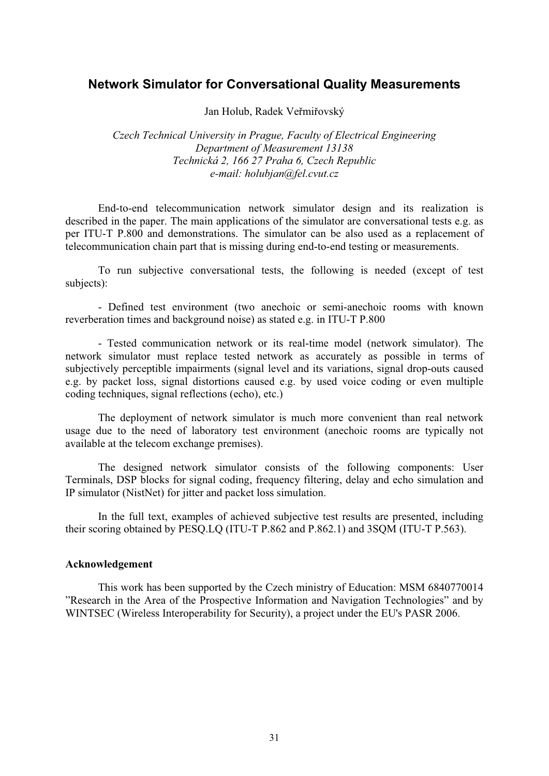# **Network Simulator for Conversational Quality Measurements**

Jan Holub, Radek Veřmiřovský

*Czech Technical University in Prague, Faculty of Electrical Engineering Department of Measurement 13138 Technická 2, 166 27 Praha 6, Czech Republic e-mail: holubjan@fel.cvut.cz* 

End-to-end telecommunication network simulator design and its realization is described in the paper. The main applications of the simulator are conversational tests e.g. as per ITU-T P.800 and demonstrations. The simulator can be also used as a replacement of telecommunication chain part that is missing during end-to-end testing or measurements.

To run subjective conversational tests, the following is needed (except of test subjects):

- Defined test environment (two anechoic or semi-anechoic rooms with known reverberation times and background noise) as stated e.g. in ITU-T P.800

- Tested communication network or its real-time model (network simulator). The network simulator must replace tested network as accurately as possible in terms of subjectively perceptible impairments (signal level and its variations, signal drop-outs caused e.g. by packet loss, signal distortions caused e.g. by used voice coding or even multiple coding techniques, signal reflections (echo), etc.)

The deployment of network simulator is much more convenient than real network usage due to the need of laboratory test environment (anechoic rooms are typically not available at the telecom exchange premises).

The designed network simulator consists of the following components: User Terminals, DSP blocks for signal coding, frequency filtering, delay and echo simulation and IP simulator (NistNet) for jitter and packet loss simulation.

In the full text, examples of achieved subjective test results are presented, including their scoring obtained by PESQ.LQ (ITU-T P.862 and P.862.1) and 3SQM (ITU-T P.563).

## **Acknowledgement**

This work has been supported by the Czech ministry of Education: MSM 6840770014 "Research in the Area of the Prospective Information and Navigation Technologies" and by WINTSEC (Wireless Interoperability for Security), a project under the EU's PASR 2006.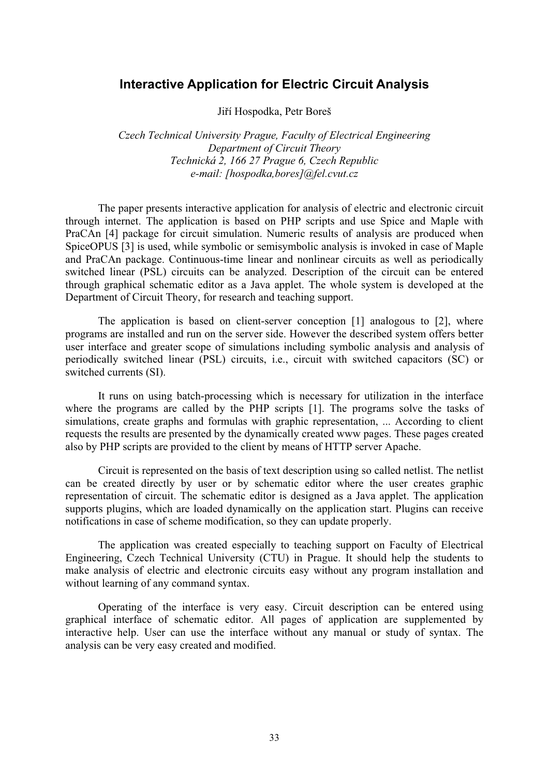# **Interactive Application for Electric Circuit Analysis**

Jiří Hospodka, Petr Boreš

*Czech Technical University Prague, Faculty of Electrical Engineering Department of Circuit Theory Technická 2, 166 27 Prague 6, Czech Republic e-mail: [hospodka,bores]@fel.cvut.cz* 

The paper presents interactive application for analysis of electric and electronic circuit through internet. The application is based on PHP scripts and use Spice and Maple with PraCAn [4] package for circuit simulation. Numeric results of analysis are produced when SpiceOPUS [3] is used, while symbolic or semisymbolic analysis is invoked in case of Maple and PraCAn package. Continuous-time linear and nonlinear circuits as well as periodically switched linear (PSL) circuits can be analyzed. Description of the circuit can be entered through graphical schematic editor as a Java applet. The whole system is developed at the Department of Circuit Theory, for research and teaching support.

The application is based on client-server conception [1] analogous to [2], where programs are installed and run on the server side. However the described system offers better user interface and greater scope of simulations including symbolic analysis and analysis of periodically switched linear (PSL) circuits, i.e., circuit with switched capacitors (SC) or switched currents (SI).

It runs on using batch-processing which is necessary for utilization in the interface where the programs are called by the PHP scripts [1]. The programs solve the tasks of simulations, create graphs and formulas with graphic representation, ... According to client requests the results are presented by the dynamically created www pages. These pages created also by PHP scripts are provided to the client by means of HTTP server Apache.

Circuit is represented on the basis of text description using so called netlist. The netlist can be created directly by user or by schematic editor where the user creates graphic representation of circuit. The schematic editor is designed as a Java applet. The application supports plugins, which are loaded dynamically on the application start. Plugins can receive notifications in case of scheme modification, so they can update properly.

The application was created especially to teaching support on Faculty of Electrical Engineering, Czech Technical University (CTU) in Prague. It should help the students to make analysis of electric and electronic circuits easy without any program installation and without learning of any command syntax.

Operating of the interface is very easy. Circuit description can be entered using graphical interface of schematic editor. All pages of application are supplemented by interactive help. User can use the interface without any manual or study of syntax. The analysis can be very easy created and modified.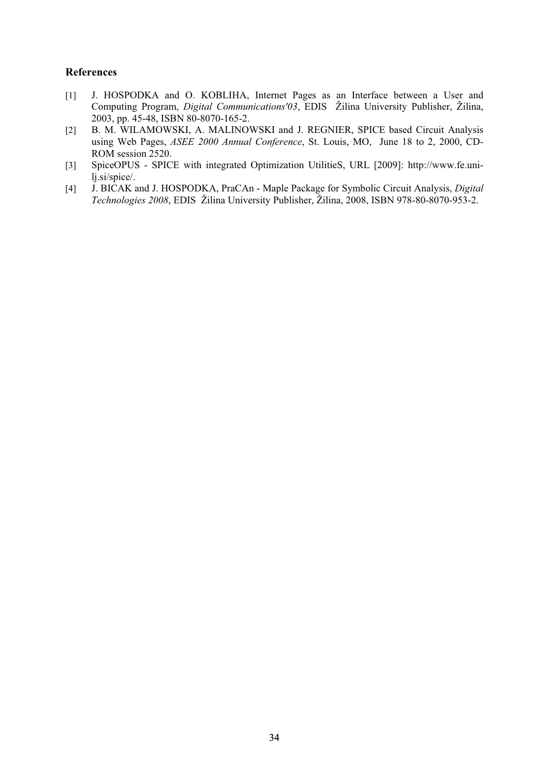- [1] J. HOSPODKA and O. KOBLIHA, Internet Pages as an Interface between a User and Computing Program, *Digital Communications'03*, EDIS Žilina University Publisher, Žilina, 2003, pp. 45-48, ISBN 80-8070-165-2.
- [2] B. M. WILAMOWSKI, A. MALINOWSKI and J. REGNIER, SPICE based Circuit Analysis using Web Pages, *ASEE 2000 Annual Conference*, St. Louis, MO, June 18 to 2, 2000, CD-ROM session 2520.
- [3] SpiceOPUS SPICE with integrated Optimization UtilitieS, URL [2009]: http://www.fe.unilj.si/spice/.
- [4] J. BICAK and J. HOSPODKA, PraCAn Maple Package for Symbolic Circuit Analysis, *Digital Technologies 2008*, EDIS Žilina University Publisher, Žilina, 2008, ISBN 978-80-8070-953-2.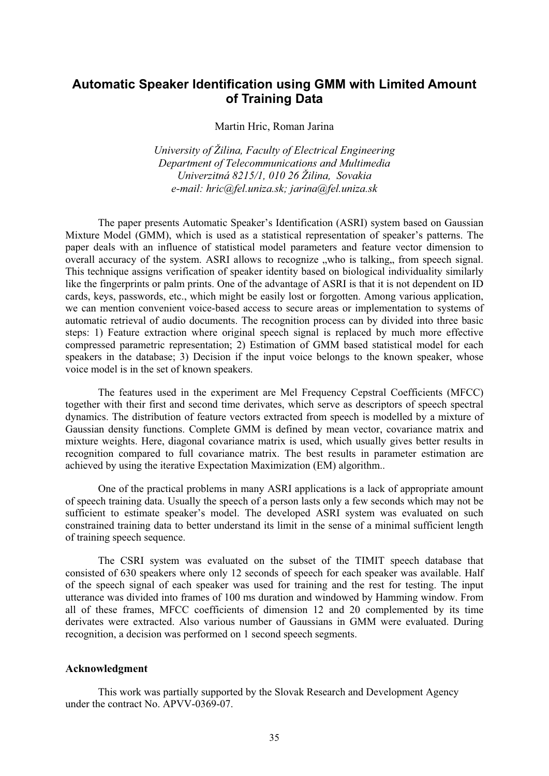# **Automatic Speaker Identification using GMM with Limited Amount of Training Data**

Martin Hric, Roman Jarina

*University of Žilina, Faculty of Electrical Engineering Department of Telecommunications and Multimedia Univerzitná 8215/1, 010 26 Žilina, Sovakia e-mail: hric@fel.uniza.sk; jarina@fel.uniza.sk* 

The paper presents Automatic Speaker's Identification (ASRI) system based on Gaussian Mixture Model (GMM), which is used as a statistical representation of speaker's patterns. The paper deals with an influence of statistical model parameters and feature vector dimension to overall accuracy of the system. ASRI allows to recognize "who is talking" from speech signal. This technique assigns verification of speaker identity based on biological individuality similarly like the fingerprints or palm prints. One of the advantage of ASRI is that it is not dependent on ID cards, keys, passwords, etc., which might be easily lost or forgotten. Among various application, we can mention convenient voice-based access to secure areas or implementation to systems of automatic retrieval of audio documents. The recognition process can by divided into three basic steps: 1) Feature extraction where original speech signal is replaced by much more effective compressed parametric representation; 2) Estimation of GMM based statistical model for each speakers in the database; 3) Decision if the input voice belongs to the known speaker, whose voice model is in the set of known speakers.

The features used in the experiment are Mel Frequency Cepstral Coefficients (MFCC) together with their first and second time derivates, which serve as descriptors of speech spectral dynamics. The distribution of feature vectors extracted from speech is modelled by a mixture of Gaussian density functions. Complete GMM is defined by mean vector, covariance matrix and mixture weights. Here, diagonal covariance matrix is used, which usually gives better results in recognition compared to full covariance matrix. The best results in parameter estimation are achieved by using the iterative Expectation Maximization (EM) algorithm..

One of the practical problems in many ASRI applications is a lack of appropriate amount of speech training data. Usually the speech of a person lasts only a few seconds which may not be sufficient to estimate speaker's model. The developed ASRI system was evaluated on such constrained training data to better understand its limit in the sense of a minimal sufficient length of training speech sequence.

The CSRI system was evaluated on the subset of the TIMIT speech database that consisted of 630 speakers where only 12 seconds of speech for each speaker was available. Half of the speech signal of each speaker was used for training and the rest for testing. The input utterance was divided into frames of 100 ms duration and windowed by Hamming window. From all of these frames, MFCC coefficients of dimension 12 and 20 complemented by its time derivates were extracted. Also various number of Gaussians in GMM were evaluated. During recognition, a decision was performed on 1 second speech segments.

## **Acknowledgment**

This work was partially supported by the Slovak Research and Development Agency under the contract No. APVV-0369-07.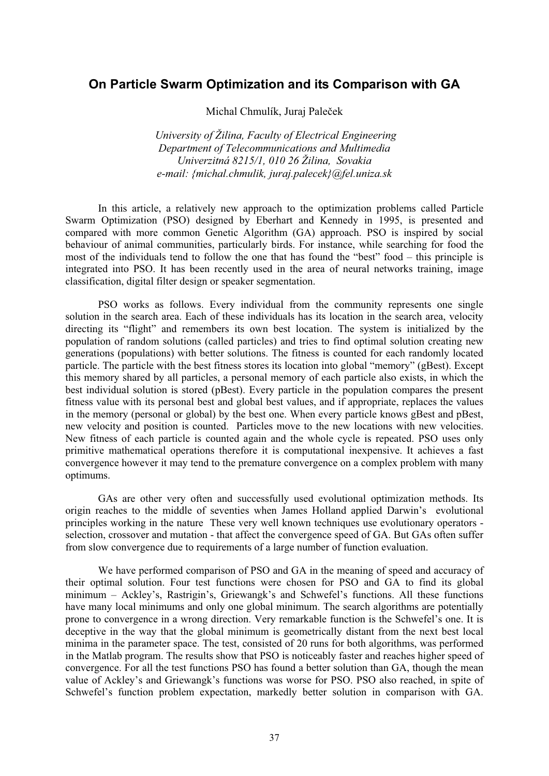# **On Particle Swarm Optimization and its Comparison with GA**

Michal Chmulík, Juraj Paleček

 *University of Žilina, Faculty of Electrical Engineering Department of Telecommunications and Multimedia Univerzitná 8215/1, 010 26 Žilina, Sovakia e-mail: {michal.chmulik, juraj.palecek}@fel.uniza.sk* 

In this article, a relatively new approach to the optimization problems called Particle Swarm Optimization (PSO) designed by Eberhart and Kennedy in 1995, is presented and compared with more common Genetic Algorithm (GA) approach. PSO is inspired by social behaviour of animal communities, particularly birds. For instance, while searching for food the most of the individuals tend to follow the one that has found the "best" food – this principle is integrated into PSO. It has been recently used in the area of neural networks training, image classification, digital filter design or speaker segmentation.

PSO works as follows. Every individual from the community represents one single solution in the search area. Each of these individuals has its location in the search area, velocity directing its "flight" and remembers its own best location. The system is initialized by the population of random solutions (called particles) and tries to find optimal solution creating new generations (populations) with better solutions. The fitness is counted for each randomly located particle. The particle with the best fitness stores its location into global "memory" (gBest). Except this memory shared by all particles, a personal memory of each particle also exists, in which the best individual solution is stored (pBest). Every particle in the population compares the present fitness value with its personal best and global best values, and if appropriate, replaces the values in the memory (personal or global) by the best one. When every particle knows gBest and pBest, new velocity and position is counted. Particles move to the new locations with new velocities. New fitness of each particle is counted again and the whole cycle is repeated. PSO uses only primitive mathematical operations therefore it is computational inexpensive. It achieves a fast convergence however it may tend to the premature convergence on a complex problem with many optimums.

GAs are other very often and successfully used evolutional optimization methods. Its origin reaches to the middle of seventies when James Holland applied Darwin's evolutional principles working in the nature These very well known techniques use evolutionary operators selection, crossover and mutation - that affect the convergence speed of GA. But GAs often suffer from slow convergence due to requirements of a large number of function evaluation.

We have performed comparison of PSO and GA in the meaning of speed and accuracy of their optimal solution. Four test functions were chosen for PSO and GA to find its global minimum – Ackley's, Rastrigin's, Griewangk's and Schwefel's functions. All these functions have many local minimums and only one global minimum. The search algorithms are potentially prone to convergence in a wrong direction. Very remarkable function is the Schwefel's one. It is deceptive in the way that the global minimum is geometrically distant from the next best local minima in the parameter space. The test, consisted of 20 runs for both algorithms, was performed in the Matlab program. The results show that PSO is noticeably faster and reaches higher speed of convergence. For all the test functions PSO has found a better solution than GA, though the mean value of Ackley's and Griewangk's functions was worse for PSO. PSO also reached, in spite of Schwefel's function problem expectation, markedly better solution in comparison with GA.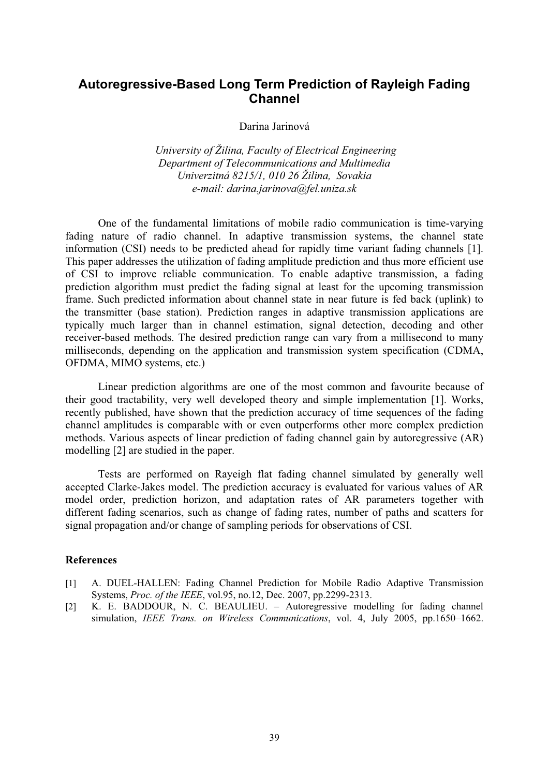# **Autoregressive-Based Long Term Prediction of Rayleigh Fading Channel**

Darina Jarinová

 *University of Žilina, Faculty of Electrical Engineering Department of Telecommunications and Multimedia Univerzitná 8215/1, 010 26 Žilina, Sovakia e-mail: darina.jarinova@fel.uniza.sk* 

One of the fundamental limitations of mobile radio communication is time-varying fading nature of radio channel. In adaptive transmission systems, the channel state information (CSI) needs to be predicted ahead for rapidly time variant fading channels [1]. This paper addresses the utilization of fading amplitude prediction and thus more efficient use of CSI to improve reliable communication. To enable adaptive transmission, a fading prediction algorithm must predict the fading signal at least for the upcoming transmission frame. Such predicted information about channel state in near future is fed back (uplink) to the transmitter (base station). Prediction ranges in adaptive transmission applications are typically much larger than in channel estimation, signal detection, decoding and other receiver-based methods. The desired prediction range can vary from a millisecond to many milliseconds, depending on the application and transmission system specification (CDMA, OFDMA, MIMO systems, etc.)

Linear prediction algorithms are one of the most common and favourite because of their good tractability, very well developed theory and simple implementation [1]. Works, recently published, have shown that the prediction accuracy of time sequences of the fading channel amplitudes is comparable with or even outperforms other more complex prediction methods. Various aspects of linear prediction of fading channel gain by autoregressive (AR) modelling [2] are studied in the paper.

Tests are performed on Rayeigh flat fading channel simulated by generally well accepted Clarke-Jakes model. The prediction accuracy is evaluated for various values of AR model order, prediction horizon, and adaptation rates of AR parameters together with different fading scenarios, such as change of fading rates, number of paths and scatters for signal propagation and/or change of sampling periods for observations of CSI.

- [1] A. DUEL-HALLEN: Fading Channel Prediction for Mobile Radio Adaptive Transmission Systems, *Proc. of the IEEE*, vol.95, no.12, Dec. 2007, pp.2299-2313.
- [2] K. E. BADDOUR, N. C. BEAULIEU. Autoregressive modelling for fading channel simulation, *IEEE Trans. on Wireless Communications*, vol. 4, July 2005, pp.1650–1662.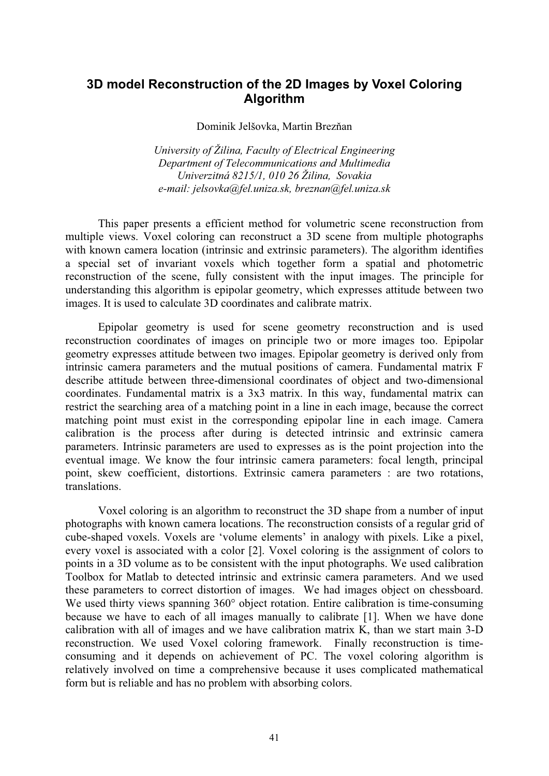# **3D model Reconstruction of the 2D Images by Voxel Coloring Algorithm**

Dominik Jelšovka, Martin Brezňan

*University of Žilina, Faculty of Electrical Engineering Department of Telecommunications and Multimedia Univerzitná 8215/1, 010 26 Žilina, Sovakia e-mail: jelsovka@fel.uniza.sk, breznan@fel.uniza.sk* 

This paper presents a efficient method for volumetric scene reconstruction from multiple views. Voxel coloring can reconstruct a 3D scene from multiple photographs with known camera location (intrinsic and extrinsic parameters). The algorithm identifies a special set of invariant voxels which together form a spatial and photometric reconstruction of the scene, fully consistent with the input images. The principle for understanding this algorithm is epipolar geometry, which expresses attitude between two images. It is used to calculate 3D coordinates and calibrate matrix.

Epipolar geometry is used for scene geometry reconstruction and is used reconstruction coordinates of images on principle two or more images too. Epipolar geometry expresses attitude between two images. Epipolar geometry is derived only from intrinsic camera parameters and the mutual positions of camera. Fundamental matrix F describe attitude between three-dimensional coordinates of object and two-dimensional coordinates. Fundamental matrix is a 3x3 matrix. In this way, fundamental matrix can restrict the searching area of a matching point in a line in each image, because the correct matching point must exist in the corresponding epipolar line in each image. Camera calibration is the process after during is detected intrinsic and extrinsic camera parameters. Intrinsic parameters are used to expresses as is the point projection into the eventual image. We know the four intrinsic camera parameters: focal length, principal point, skew coefficient, distortions. Extrinsic camera parameters : are two rotations, translations.

Voxel coloring is an algorithm to reconstruct the 3D shape from a number of input photographs with known camera locations. The reconstruction consists of a regular grid of cube-shaped voxels. Voxels are 'volume elements' in analogy with pixels. Like a pixel, every voxel is associated with a color [2]. Voxel coloring is the assignment of colors to points in a 3D volume as to be consistent with the input photographs. We used calibration Toolbox for Matlab to detected intrinsic and extrinsic camera parameters. And we used these parameters to correct distortion of images. We had images object on chessboard. We used thirty views spanning 360° object rotation. Entire calibration is time-consuming because we have to each of all images manually to calibrate [1]. When we have done calibration with all of images and we have calibration matrix K, than we start main 3-D reconstruction. We used Voxel coloring framework. Finally reconstruction is timeconsuming and it depends on achievement of PC. The voxel coloring algorithm is relatively involved on time a comprehensive because it uses complicated mathematical form but is reliable and has no problem with absorbing colors.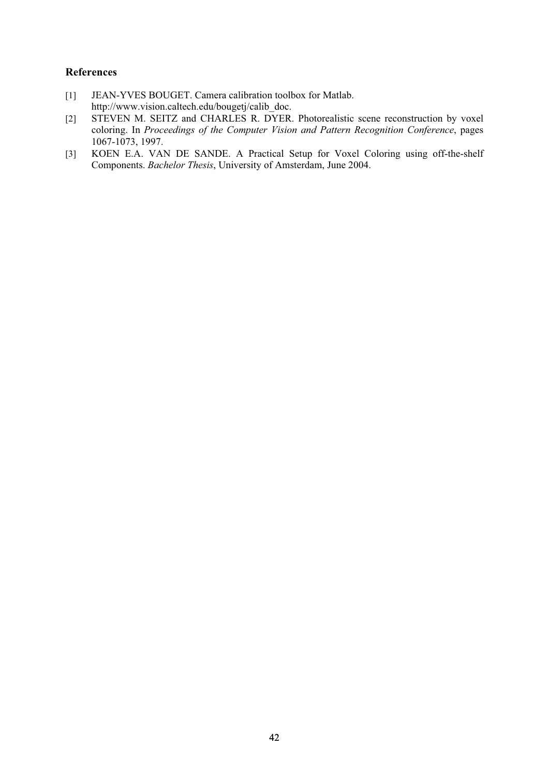- [1] JEAN-YVES BOUGET. Camera calibration toolbox for Matlab. http://www.vision.caltech.edu/bougetj/calib\_doc.
- [2] STEVEN M. SEITZ and CHARLES R. DYER. Photorealistic scene reconstruction by voxel coloring. In *Proceedings of the Computer Vision and Pattern Recognition Conference*, pages 1067-1073, 1997.
- [3] KOEN E.A. VAN DE SANDE. A Practical Setup for Voxel Coloring using off-the-shelf Components. *Bachelor Thesis*, University of Amsterdam, June 2004.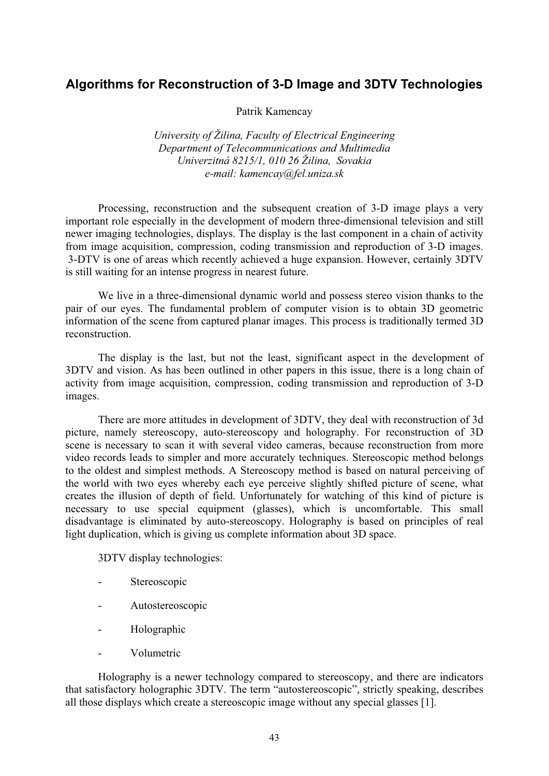# **Algorithms for Reconstruction of 3-D Image and 3DTV Technologies**

Patrik Kamencay

*University of Žilina, Faculty of Electrical Engineering Department of Telecommunications and Multimedia Univerzitná 8215/1, 010 26 Žilina, Sovakia e-mail: kamencay@fel.uniza.sk* 

Processing, reconstruction and the subsequent creation of 3-D image plays a very important role especially in the development of modern three-dimensional television and still newer imaging technologies, displays. The display is the last component in a chain of activity from image acquisition, compression, coding transmission and reproduction of 3-D images. 3-DTV is one of areas which recently achieved a huge expansion. However, certainly 3DTV is still waiting for an intense progress in nearest future.

We live in a three-dimensional dynamic world and possess stereo vision thanks to the pair of our eyes. The fundamental problem of computer vision is to obtain 3D geometric information of the scene from captured planar images. This process is traditionally termed 3D reconstruction.

The display is the last, but not the least, significant aspect in the development of 3DTV and vision. As has been outlined in other papers in this issue, there is a long chain of activity from image acquisition, compression, coding transmission and reproduction of 3-D images.

There are more attitudes in development of 3DTV, they deal with reconstruction of 3d picture, namely stereoscopy, auto-stereoscopy and holography. For reconstruction of 3D scene is necessary to scan it with several video cameras, because reconstruction from more video records leads to simpler and more accurately techniques. Stereoscopic method belongs to the oldest and simplest methods. A Stereoscopy method is based on natural perceiving of the world with two eyes whereby each eye perceive slightly shifted picture of scene, what creates the illusion of depth of field. Unfortunately for watching of this kind of picture is necessary to use special equipment (glasses), which is uncomfortable. This small disadvantage is eliminated by auto-stereoscopy. Holography is based on principles of real light duplication, which is giving us complete information about 3D space.

3DTV display technologies:

- Stereoscopic
- Autostereoscopic
- Holographic
- Volumetric

Holography is a newer technology compared to stereoscopy, and there are indicators that satisfactory holographic 3DTV. The term "autostereoscopic", strictly speaking, describes all those displays which create a stereoscopic image without any special glasses [1].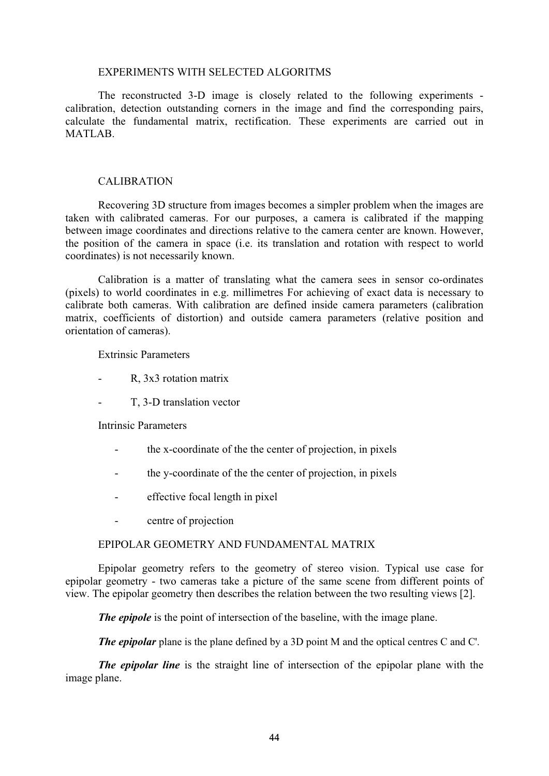## EXPERIMENTS WITH SELECTED ALGORITMS

The reconstructed 3-D image is closely related to the following experiments calibration, detection outstanding corners in the image and find the corresponding pairs, calculate the fundamental matrix, rectification. These experiments are carried out in MATLAB.

# CALIBRATION

Recovering 3D structure from images becomes a simpler problem when the images are taken with calibrated cameras. For our purposes, a camera is calibrated if the mapping between image coordinates and directions relative to the camera center are known. However, the position of the camera in space (i.e. its translation and rotation with respect to world coordinates) is not necessarily known.

Calibration is a matter of translating what the camera sees in sensor co-ordinates (pixels) to world coordinates in e.g. millimetres For achieving of exact data is necessary to calibrate both cameras. With calibration are defined inside camera parameters (calibration matrix, coefficients of distortion) and outside camera parameters (relative position and orientation of cameras).

Extrinsic Parameters

- R, 3x3 rotation matrix
- T, 3-D translation vector

Intrinsic Parameters

- the x-coordinate of the the center of projection, in pixels
- the y-coordinate of the the center of projection, in pixels
- effective focal length in pixel
- centre of projection

# EPIPOLAR GEOMETRY AND FUNDAMENTAL MATRIX

Epipolar geometry refers to the geometry of stereo vision. Typical use case for epipolar geometry - two cameras take a picture of the same scene from different points of view. The epipolar geometry then describes the relation between the two resulting views [2].

*The epipole* is the point of intersection of the baseline, with the image plane.

*The epipolar* plane is the plane defined by a 3D point M and the optical centres C and C'.

*The epipolar line* is the straight line of intersection of the epipolar plane with the image plane.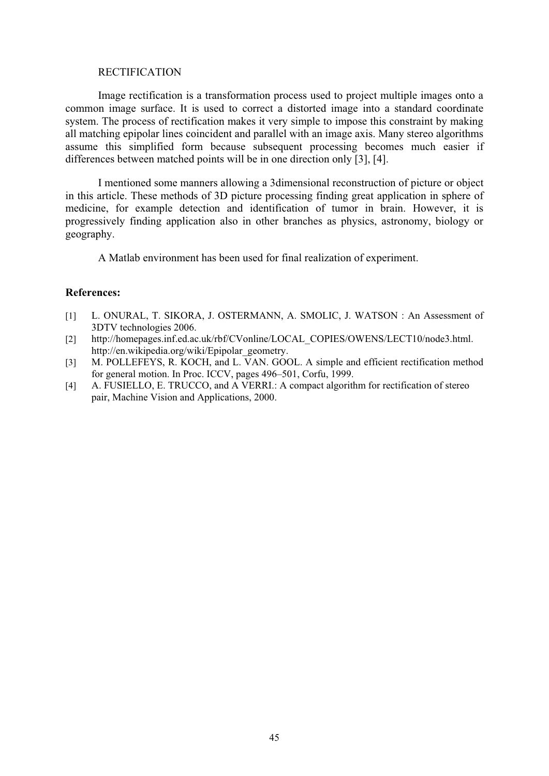## RECTIFICATION

Image rectification is a transformation process used to project multiple images onto a common image surface. It is used to correct a distorted image into a standard coordinate system. The process of rectification makes it very simple to impose this constraint by making all matching epipolar lines coincident and parallel with an image axis. Many stereo algorithms assume this simplified form because subsequent processing becomes much easier if differences between matched points will be in one direction only [3], [4].

I mentioned some manners allowing a 3dimensional reconstruction of picture or object in this article. These methods of 3D picture processing finding great application in sphere of medicine, for example detection and identification of tumor in brain. However, it is progressively finding application also in other branches as physics, astronomy, biology or geography.

A Matlab environment has been used for final realization of experiment.

- [1] L. ONURAL, T. SIKORA, J. OSTERMANN, A. SMOLIC, J. WATSON : An Assessment of 3DTV technologies 2006.
- [2] http://homepages.inf.ed.ac.uk/rbf/CVonline/LOCAL\_COPIES/OWENS/LECT10/node3.html. http://en.wikipedia.org/wiki/Epipolar\_geometry.
- [3] M. POLLEFEYS, R. KOCH, and L. VAN. GOOL. A simple and efficient rectification method for general motion. In Proc. ICCV, pages 496–501, Corfu, 1999.
- [4] A. FUSIELLO, E. TRUCCO, and A VERRI.: A compact algorithm for rectification of stereo pair, Machine Vision and Applications, 2000.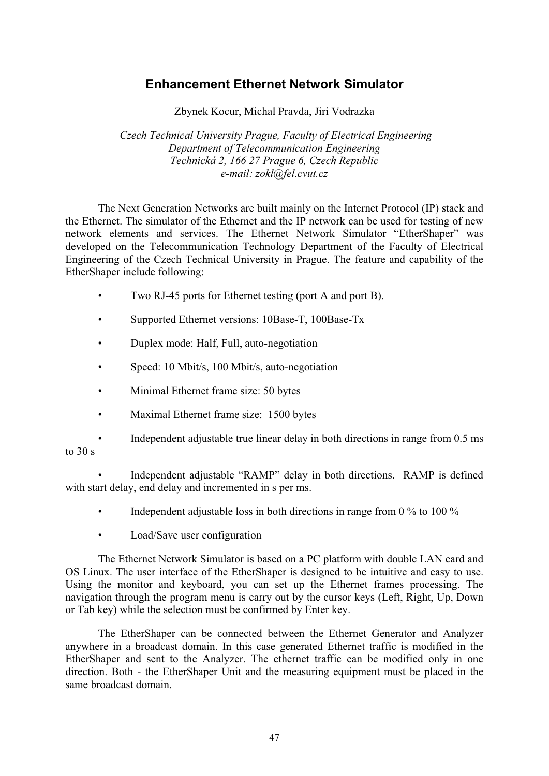# **Enhancement Ethernet Network Simulator**

Zbynek Kocur, Michal Pravda, Jiri Vodrazka

 *Czech Technical University Prague, Faculty of Electrical Engineering Department of Telecommunication Engineering Technická 2, 166 27 Prague 6, Czech Republic e-mail: zokl@fel.cvut.cz* 

The Next Generation Networks are built mainly on the Internet Protocol (IP) stack and the Ethernet. The simulator of the Ethernet and the IP network can be used for testing of new network elements and services. The Ethernet Network Simulator "EtherShaper" was developed on the Telecommunication Technology Department of the Faculty of Electrical Engineering of the Czech Technical University in Prague. The feature and capability of the EtherShaper include following:

- Two RJ-45 ports for Ethernet testing (port A and port B).
- Supported Ethernet versions: 10Base-T, 100Base-Tx
- Duplex mode: Half, Full, auto-negotiation
- Speed: 10 Mbit/s, 100 Mbit/s, auto-negotiation
- Minimal Ethernet frame size: 50 bytes
- Maximal Ethernet frame size: 1500 bytes
- Independent adjustable true linear delay in both directions in range from 0.5 ms to  $30 s$

Independent adjustable "RAMP" delay in both directions. RAMP is defined with start delay, end delay and incremented in s per ms.

- Independent adjustable loss in both directions in range from  $0\%$  to  $100\%$
- Load/Save user configuration

The Ethernet Network Simulator is based on a PC platform with double LAN card and OS Linux. The user interface of the EtherShaper is designed to be intuitive and easy to use. Using the monitor and keyboard, you can set up the Ethernet frames processing. The navigation through the program menu is carry out by the cursor keys (Left, Right, Up, Down or Tab key) while the selection must be confirmed by Enter key.

The EtherShaper can be connected between the Ethernet Generator and Analyzer anywhere in a broadcast domain. In this case generated Ethernet traffic is modified in the EtherShaper and sent to the Analyzer. The ethernet traffic can be modified only in one direction. Both - the EtherShaper Unit and the measuring equipment must be placed in the same broadcast domain.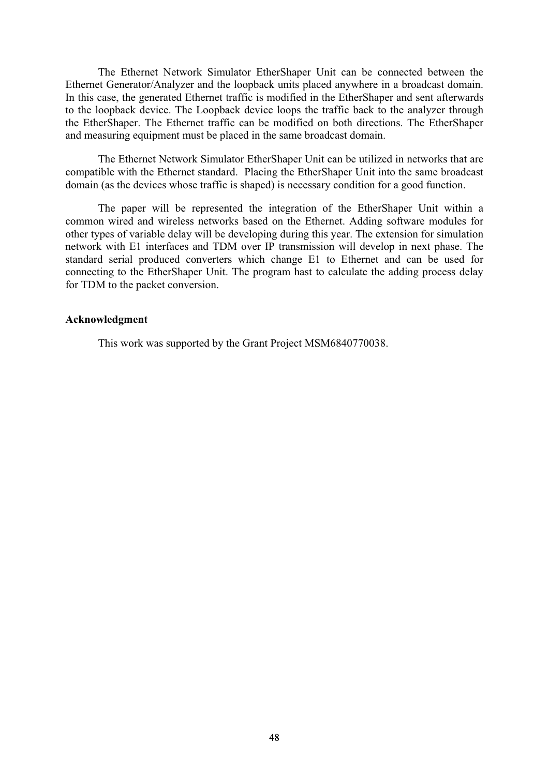The Ethernet Network Simulator EtherShaper Unit can be connected between the Ethernet Generator/Analyzer and the loopback units placed anywhere in a broadcast domain. In this case, the generated Ethernet traffic is modified in the EtherShaper and sent afterwards to the loopback device. The Loopback device loops the traffic back to the analyzer through the EtherShaper. The Ethernet traffic can be modified on both directions. The EtherShaper and measuring equipment must be placed in the same broadcast domain.

The Ethernet Network Simulator EtherShaper Unit can be utilized in networks that are compatible with the Ethernet standard. Placing the EtherShaper Unit into the same broadcast domain (as the devices whose traffic is shaped) is necessary condition for a good function.

The paper will be represented the integration of the EtherShaper Unit within a common wired and wireless networks based on the Ethernet. Adding software modules for other types of variable delay will be developing during this year. The extension for simulation network with E1 interfaces and TDM over IP transmission will develop in next phase. The standard serial produced converters which change E1 to Ethernet and can be used for connecting to the EtherShaper Unit. The program hast to calculate the adding process delay for TDM to the packet conversion.

#### **Acknowledgment**

This work was supported by the Grant Project MSM6840770038.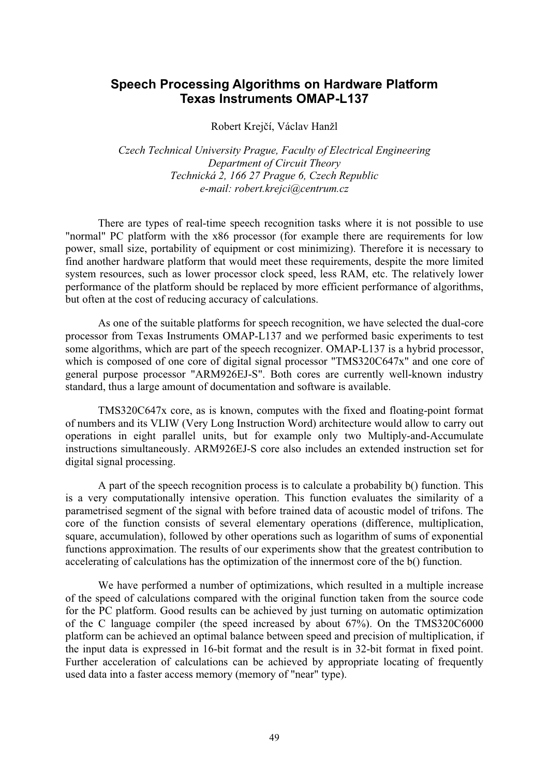# **Speech Processing Algorithms on Hardware Platform Texas Instruments OMAP-L137**

Robert Krejčí, Václav Hanžl

*Czech Technical University Prague, Faculty of Electrical Engineering Department of Circuit Theory Technická 2, 166 27 Prague 6, Czech Republic e-mail: robert.krejci@centrum.cz* 

There are types of real-time speech recognition tasks where it is not possible to use "normal" PC platform with the x86 processor (for example there are requirements for low power, small size, portability of equipment or cost minimizing). Therefore it is necessary to find another hardware platform that would meet these requirements, despite the more limited system resources, such as lower processor clock speed, less RAM, etc. The relatively lower performance of the platform should be replaced by more efficient performance of algorithms, but often at the cost of reducing accuracy of calculations.

As one of the suitable platforms for speech recognition, we have selected the dual-core processor from Texas Instruments OMAP-L137 and we performed basic experiments to test some algorithms, which are part of the speech recognizer. OMAP-L137 is a hybrid processor, which is composed of one core of digital signal processor "TMS320C647x" and one core of general purpose processor "ARM926EJ-S". Both cores are currently well-known industry standard, thus a large amount of documentation and software is available.

TMS320C647x core, as is known, computes with the fixed and floating-point format of numbers and its VLIW (Very Long Instruction Word) architecture would allow to carry out operations in eight parallel units, but for example only two Multiply-and-Accumulate instructions simultaneously. ARM926EJ-S core also includes an extended instruction set for digital signal processing.

A part of the speech recognition process is to calculate a probability b() function. This is a very computationally intensive operation. This function evaluates the similarity of a parametrised segment of the signal with before trained data of acoustic model of trifons. The core of the function consists of several elementary operations (difference, multiplication, square, accumulation), followed by other operations such as logarithm of sums of exponential functions approximation. The results of our experiments show that the greatest contribution to accelerating of calculations has the optimization of the innermost core of the b() function.

We have performed a number of optimizations, which resulted in a multiple increase of the speed of calculations compared with the original function taken from the source code for the PC platform. Good results can be achieved by just turning on automatic optimization of the C language compiler (the speed increased by about 67%). On the TMS320C6000 platform can be achieved an optimal balance between speed and precision of multiplication, if the input data is expressed in 16-bit format and the result is in 32-bit format in fixed point. Further acceleration of calculations can be achieved by appropriate locating of frequently used data into a faster access memory (memory of "near" type).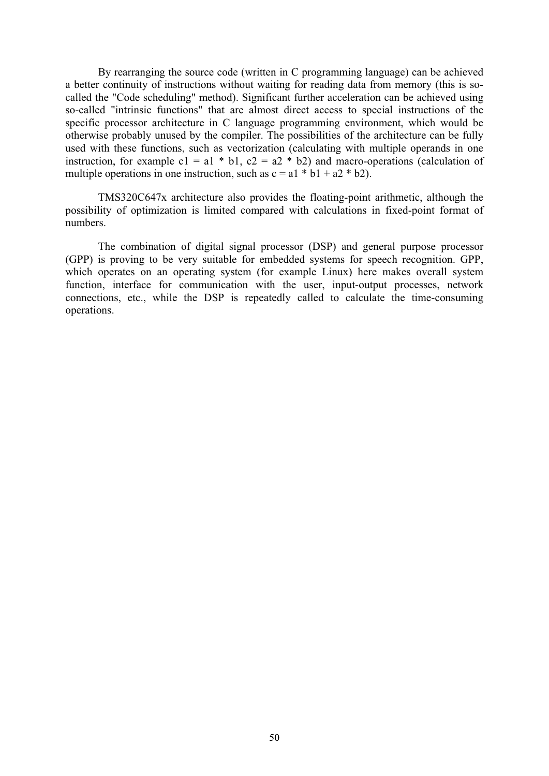By rearranging the source code (written in C programming language) can be achieved a better continuity of instructions without waiting for reading data from memory (this is socalled the "Code scheduling" method). Significant further acceleration can be achieved using so-called "intrinsic functions" that are almost direct access to special instructions of the specific processor architecture in C language programming environment, which would be otherwise probably unused by the compiler. The possibilities of the architecture can be fully used with these functions, such as vectorization (calculating with multiple operands in one instruction, for example c1 = a1  $*$  b1, c2 = a2  $*$  b2) and macro-operations (calculation of multiple operations in one instruction, such as  $c = a1 * b1 + a2 * b2$ .

TMS320C647x architecture also provides the floating-point arithmetic, although the possibility of optimization is limited compared with calculations in fixed-point format of numbers.

The combination of digital signal processor (DSP) and general purpose processor (GPP) is proving to be very suitable for embedded systems for speech recognition. GPP, which operates on an operating system (for example Linux) here makes overall system function, interface for communication with the user, input-output processes, network connections, etc., while the DSP is repeatedly called to calculate the time-consuming operations.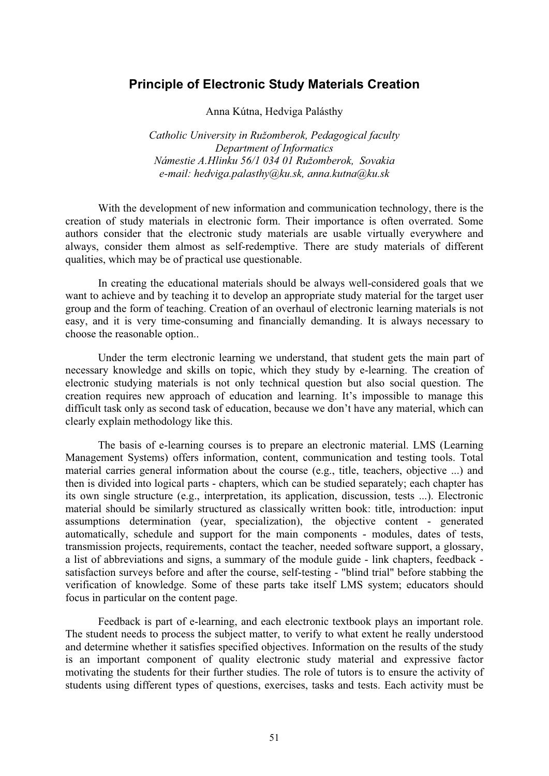# **Principle of Electronic Study Materials Creation**

Anna Kútna, Hedviga Palásthy

*Catholic University in Ružomberok, Pedagogical faculty Department of Informatics Námestie A.Hlinku 56/1 034 01 Ružomberok, Sovakia e-mail: hedviga.palasthy@ku.sk, anna.kutna@ku.sk* 

With the development of new information and communication technology, there is the creation of study materials in electronic form. Their importance is often overrated. Some authors consider that the electronic study materials are usable virtually everywhere and always, consider them almost as self-redemptive. There are study materials of different qualities, which may be of practical use questionable.

In creating the educational materials should be always well-considered goals that we want to achieve and by teaching it to develop an appropriate study material for the target user group and the form of teaching. Creation of an overhaul of electronic learning materials is not easy, and it is very time-consuming and financially demanding. It is always necessary to choose the reasonable option..

Under the term electronic learning we understand, that student gets the main part of necessary knowledge and skills on topic, which they study by e-learning. The creation of electronic studying materials is not only technical question but also social question. The creation requires new approach of education and learning. It's impossible to manage this difficult task only as second task of education, because we don't have any material, which can clearly explain methodology like this.

The basis of e-learning courses is to prepare an electronic material. LMS (Learning Management Systems) offers information, content, communication and testing tools. Total material carries general information about the course (e.g., title, teachers, objective ...) and then is divided into logical parts - chapters, which can be studied separately; each chapter has its own single structure (e.g., interpretation, its application, discussion, tests ...). Electronic material should be similarly structured as classically written book: title, introduction: input assumptions determination (year, specialization), the objective content - generated automatically, schedule and support for the main components - modules, dates of tests, transmission projects, requirements, contact the teacher, needed software support, a glossary, a list of abbreviations and signs, a summary of the module guide - link chapters, feedback satisfaction surveys before and after the course, self-testing - "blind trial" before stabbing the verification of knowledge. Some of these parts take itself LMS system; educators should focus in particular on the content page.

Feedback is part of e-learning, and each electronic textbook plays an important role. The student needs to process the subject matter, to verify to what extent he really understood and determine whether it satisfies specified objectives. Information on the results of the study is an important component of quality electronic study material and expressive factor motivating the students for their further studies. The role of tutors is to ensure the activity of students using different types of questions, exercises, tasks and tests. Each activity must be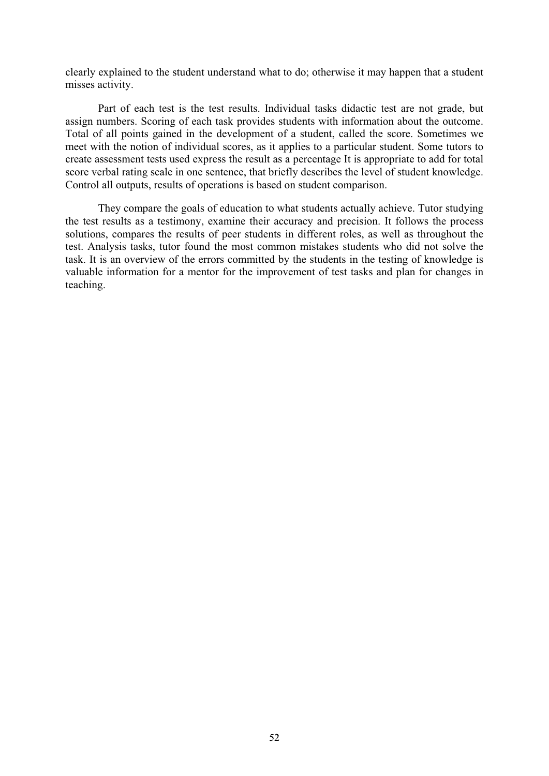clearly explained to the student understand what to do; otherwise it may happen that a student misses activity.

Part of each test is the test results. Individual tasks didactic test are not grade, but assign numbers. Scoring of each task provides students with information about the outcome. Total of all points gained in the development of a student, called the score. Sometimes we meet with the notion of individual scores, as it applies to a particular student. Some tutors to create assessment tests used express the result as a percentage It is appropriate to add for total score verbal rating scale in one sentence, that briefly describes the level of student knowledge. Control all outputs, results of operations is based on student comparison.

They compare the goals of education to what students actually achieve. Tutor studying the test results as a testimony, examine their accuracy and precision. It follows the process solutions, compares the results of peer students in different roles, as well as throughout the test. Analysis tasks, tutor found the most common mistakes students who did not solve the task. It is an overview of the errors committed by the students in the testing of knowledge is valuable information for a mentor for the improvement of test tasks and plan for changes in teaching.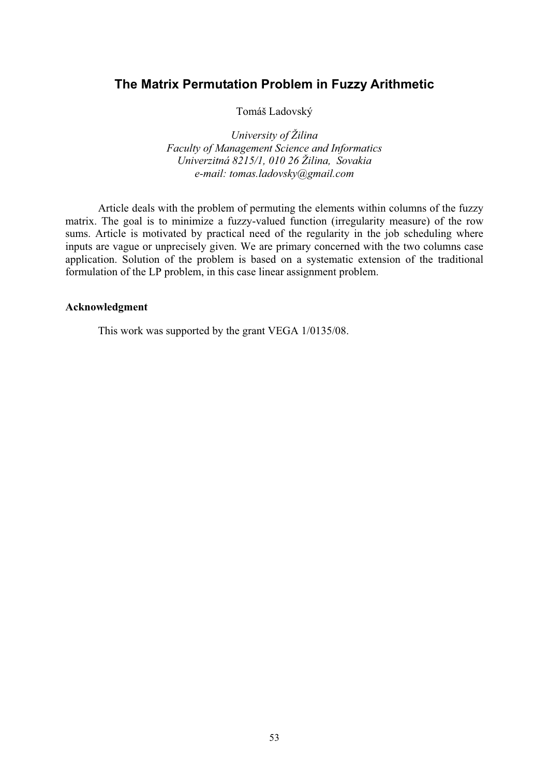# **The Matrix Permutation Problem in Fuzzy Arithmetic**

Tomáš Ladovský

*University of Žilina Faculty of Management Science and Informatics Univerzitná 8215/1, 010 26 Žilina, Sovakia e-mail: tomas.ladovsky@gmail.com* 

Article deals with the problem of permuting the elements within columns of the fuzzy matrix. The goal is to minimize a fuzzy-valued function (irregularity measure) of the row sums. Article is motivated by practical need of the regularity in the job scheduling where inputs are vague or unprecisely given. We are primary concerned with the two columns case application. Solution of the problem is based on a systematic extension of the traditional formulation of the LP problem, in this case linear assignment problem.

#### **Acknowledgment**

This work was supported by the grant VEGA 1/0135/08.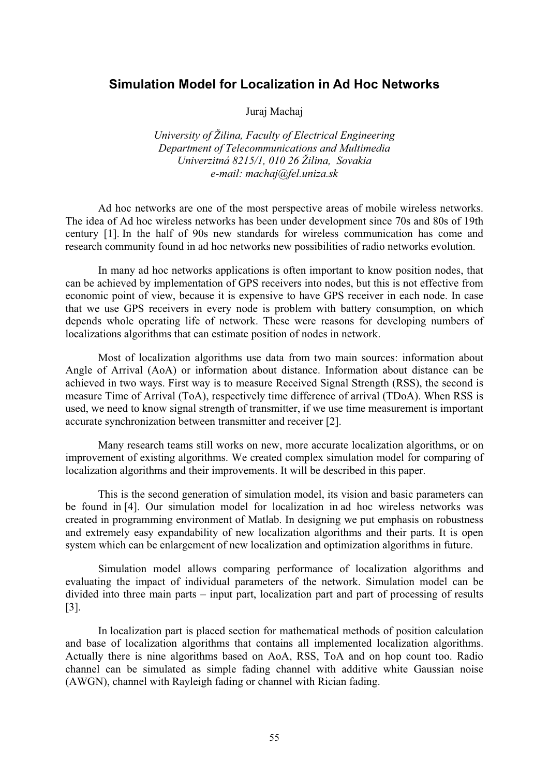## **Simulation Model for Localization in Ad Hoc Networks**

Juraj Machaj

*University of Žilina, Faculty of Electrical Engineering Department of Telecommunications and Multimedia Univerzitná 8215/1, 010 26 Žilina, Sovakia e-mail: machaj@fel.uniza.sk* 

Ad hoc networks are one of the most perspective areas of mobile wireless networks. The idea of Ad hoc wireless networks has been under development since 70s and 80s of 19th century [1]. In the half of 90s new standards for wireless communication has come and research community found in ad hoc networks new possibilities of radio networks evolution.

In many ad hoc networks applications is often important to know position nodes, that can be achieved by implementation of GPS receivers into nodes, but this is not effective from economic point of view, because it is expensive to have GPS receiver in each node. In case that we use GPS receivers in every node is problem with battery consumption, on which depends whole operating life of network. These were reasons for developing numbers of localizations algorithms that can estimate position of nodes in network.

Most of localization algorithms use data from two main sources: information about Angle of Arrival (AoA) or information about distance. Information about distance can be achieved in two ways. First way is to measure Received Signal Strength (RSS), the second is measure Time of Arrival (ToA), respectively time difference of arrival (TDoA). When RSS is used, we need to know signal strength of transmitter, if we use time measurement is important accurate synchronization between transmitter and receiver [2].

Many research teams still works on new, more accurate localization algorithms, or on improvement of existing algorithms. We created complex simulation model for comparing of localization algorithms and their improvements. It will be described in this paper.

This is the second generation of simulation model, its vision and basic parameters can be found in [4]. Our simulation model for localization in ad hoc wireless networks was created in programming environment of Matlab. In designing we put emphasis on robustness and extremely easy expandability of new localization algorithms and their parts. It is open system which can be enlargement of new localization and optimization algorithms in future.

Simulation model allows comparing performance of localization algorithms and evaluating the impact of individual parameters of the network. Simulation model can be divided into three main parts – input part, localization part and part of processing of results [3].

In localization part is placed section for mathematical methods of position calculation and base of localization algorithms that contains all implemented localization algorithms. Actually there is nine algorithms based on AoA, RSS, ToA and on hop count too. Radio channel can be simulated as simple fading channel with additive white Gaussian noise (AWGN), channel with Rayleigh fading or channel with Rician fading.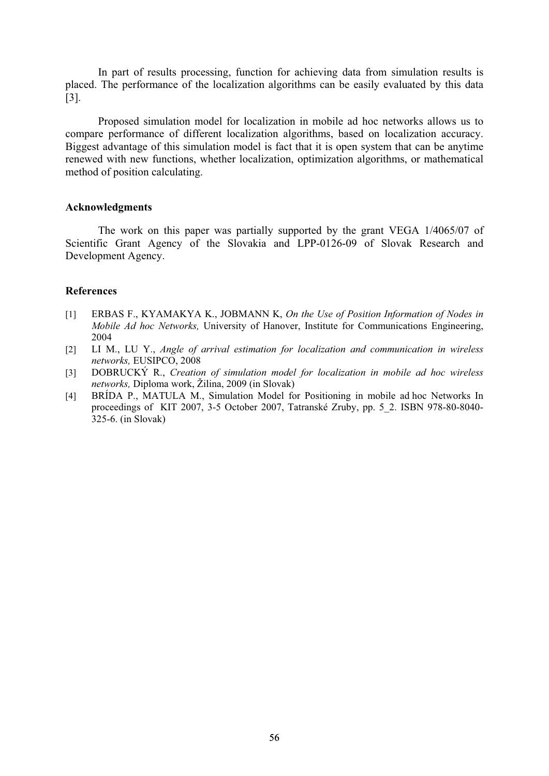In part of results processing, function for achieving data from simulation results is placed. The performance of the localization algorithms can be easily evaluated by this data [3].

Proposed simulation model for localization in mobile ad hoc networks allows us to compare performance of different localization algorithms, based on localization accuracy. Biggest advantage of this simulation model is fact that it is open system that can be anytime renewed with new functions, whether localization, optimization algorithms, or mathematical method of position calculating.

#### **Acknowledgments**

The work on this paper was partially supported by the grant VEGA 1/4065/07 of Scientific Grant Agency of the Slovakia and LPP-0126-09 of Slovak Research and Development Agency.

- [1] ERBAS F., KYAMAKYA K., JOBMANN K, *On the Use of Position Information of Nodes in Mobile Ad hoc Networks,* University of Hanover, Institute for Communications Engineering, 2004
- [2] LI M., LU Y., *Angle of arrival estimation for localization and communication in wireless networks,* EUSIPCO, 2008
- [3] DOBRUCKÝ R., *Creation of simulation model for localization in mobile ad hoc wireless networks,* Diploma work, Žilina, 2009 (in Slovak)
- [4] BRÍDA P., MATULA M., Simulation Model for Positioning in mobile ad hoc Networks In proceedings of KIT 2007, 3-5 October 2007, Tatranské Zruby, pp. 5\_2. ISBN 978-80-8040- 325-6. (in Slovak)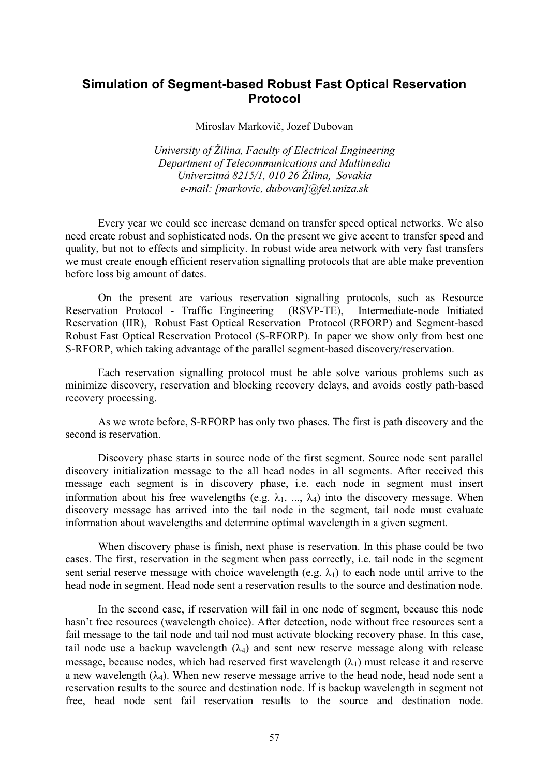# **Simulation of Segment-based Robust Fast Optical Reservation Protocol**

Miroslav Markovič, Jozef Dubovan

*University of Žilina, Faculty of Electrical Engineering Department of Telecommunications and Multimedia Univerzitná 8215/1, 010 26 Žilina, Sovakia e-mail: [markovic, dubovan]@fel.uniza.sk* 

Every year we could see increase demand on transfer speed optical networks. We also need create robust and sophisticated nods. On the present we give accent to transfer speed and quality, but not to effects and simplicity. In robust wide area network with very fast transfers we must create enough efficient reservation signalling protocols that are able make prevention before loss big amount of dates.

On the present are various reservation signalling protocols, such as Resource Reservation Protocol - Traffic Engineering (RSVP-TE), Intermediate-node Initiated Reservation (IIR), Robust Fast Optical Reservation Protocol (RFORP) and Segment-based Robust Fast Optical Reservation Protocol (S-RFORP). In paper we show only from best one S-RFORP, which taking advantage of the parallel segment-based discovery/reservation.

Each reservation signalling protocol must be able solve various problems such as minimize discovery, reservation and blocking recovery delays, and avoids costly path-based recovery processing.

As we wrote before, S-RFORP has only two phases. The first is path discovery and the second is reservation.

Discovery phase starts in source node of the first segment. Source node sent parallel discovery initialization message to the all head nodes in all segments. After received this message each segment is in discovery phase, i.e. each node in segment must insert information about his free wavelengths (e.g.  $\lambda_1$ , ...,  $\lambda_4$ ) into the discovery message. When discovery message has arrived into the tail node in the segment, tail node must evaluate information about wavelengths and determine optimal wavelength in a given segment.

When discovery phase is finish, next phase is reservation. In this phase could be two cases. The first, reservation in the segment when pass correctly, i.e. tail node in the segment sent serial reserve message with choice wavelength (e.g.  $\lambda_1$ ) to each node until arrive to the head node in segment. Head node sent a reservation results to the source and destination node.

In the second case, if reservation will fail in one node of segment, because this node hasn't free resources (wavelength choice). After detection, node without free resources sent a fail message to the tail node and tail nod must activate blocking recovery phase. In this case, tail node use a backup wavelength  $(\lambda_4)$  and sent new reserve message along with release message, because nodes, which had reserved first wavelength  $(\lambda_1)$  must release it and reserve a new wavelength  $(\lambda_4)$ . When new reserve message arrive to the head node, head node sent a reservation results to the source and destination node. If is backup wavelength in segment not free, head node sent fail reservation results to the source and destination node.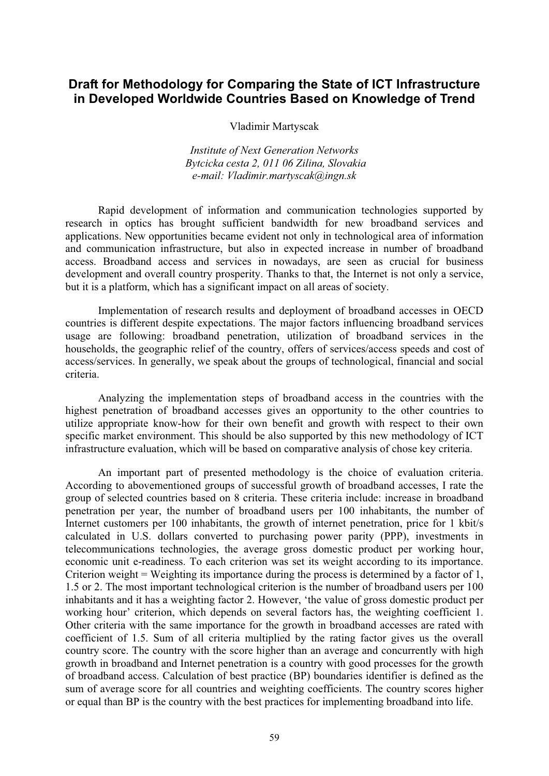# **Draft for Methodology for Comparing the State of ICT Infrastructure in Developed Worldwide Countries Based on Knowledge of Trend**

Vladimir Martyscak

*Institute of Next Generation Networks Bytcicka cesta 2, 011 06 Zilina, Slovakia e-mail: Vladimir.martyscak@ingn.sk* 

Rapid development of information and communication technologies supported by research in optics has brought sufficient bandwidth for new broadband services and applications. New opportunities became evident not only in technological area of information and communication infrastructure, but also in expected increase in number of broadband access. Broadband access and services in nowadays, are seen as crucial for business development and overall country prosperity. Thanks to that, the Internet is not only a service, but it is a platform, which has a significant impact on all areas of society.

Implementation of research results and deployment of broadband accesses in OECD countries is different despite expectations. The major factors influencing broadband services usage are following: broadband penetration, utilization of broadband services in the households, the geographic relief of the country, offers of services/access speeds and cost of access/services. In generally, we speak about the groups of technological, financial and social criteria.

Analyzing the implementation steps of broadband access in the countries with the highest penetration of broadband accesses gives an opportunity to the other countries to utilize appropriate know-how for their own benefit and growth with respect to their own specific market environment. This should be also supported by this new methodology of ICT infrastructure evaluation, which will be based on comparative analysis of chose key criteria.

An important part of presented methodology is the choice of evaluation criteria. According to abovementioned groups of successful growth of broadband accesses, I rate the group of selected countries based on 8 criteria. These criteria include: increase in broadband penetration per year, the number of broadband users per 100 inhabitants, the number of Internet customers per 100 inhabitants, the growth of internet penetration, price for 1 kbit/s calculated in U.S. dollars converted to purchasing power parity (PPP), investments in telecommunications technologies, the average gross domestic product per working hour, economic unit e-readiness. To each criterion was set its weight according to its importance. Criterion weight = Weighting its importance during the process is determined by a factor of 1, 1.5 or 2. The most important technological criterion is the number of broadband users per 100 inhabitants and it has a weighting factor 2. However, 'the value of gross domestic product per working hour' criterion, which depends on several factors has, the weighting coefficient 1. Other criteria with the same importance for the growth in broadband accesses are rated with coefficient of 1.5. Sum of all criteria multiplied by the rating factor gives us the overall country score. The country with the score higher than an average and concurrently with high growth in broadband and Internet penetration is a country with good processes for the growth of broadband access. Calculation of best practice (BP) boundaries identifier is defined as the sum of average score for all countries and weighting coefficients. The country scores higher or equal than BP is the country with the best practices for implementing broadband into life.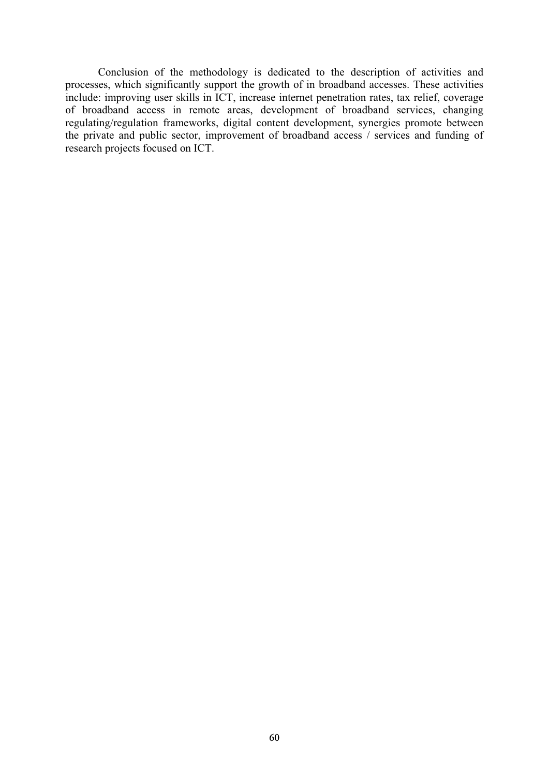Conclusion of the methodology is dedicated to the description of activities and processes, which significantly support the growth of in broadband accesses. These activities include: improving user skills in ICT, increase internet penetration rates, tax relief, coverage of broadband access in remote areas, development of broadband services, changing regulating/regulation frameworks, digital content development, synergies promote between the private and public sector, improvement of broadband access / services and funding of research projects focused on ICT.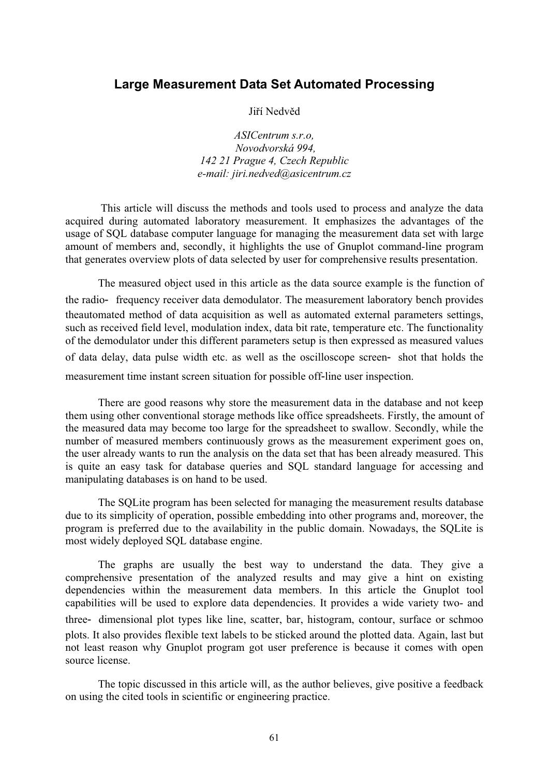## **Large Measurement Data Set Automated Processing**

Jiří Nedvěd

*ASICentrum s.r.o, Novodvorská 994, 142 21 Prague 4, Czech Republic e-mail: jiri.nedved@asicentrum.cz* 

 This article will discuss the methods and tools used to process and analyze the data acquired during automated laboratory measurement. It emphasizes the advantages of the usage of SQL database computer language for managing the measurement data set with large amount of members and, secondly, it highlights the use of Gnuplot command-line program that generates overview plots of data selected by user for comprehensive results presentation.

The measured object used in this article as the data source example is the function of the radio- frequency receiver data demodulator. The measurement laboratory bench provides theautomated method of data acquisition as well as automated external parameters settings, such as received field level, modulation index, data bit rate, temperature etc. The functionality of the demodulator under this different parameters setup is then expressed as measured values of data delay, data pulse width etc. as well as the oscilloscope screen- shot that holds the measurement time instant screen situation for possible off-line user inspection.

There are good reasons why store the measurement data in the database and not keep them using other conventional storage methods like office spreadsheets. Firstly, the amount of the measured data may become too large for the spreadsheet to swallow. Secondly, while the number of measured members continuously grows as the measurement experiment goes on, the user already wants to run the analysis on the data set that has been already measured. This is quite an easy task for database queries and SQL standard language for accessing and manipulating databases is on hand to be used.

The SQLite program has been selected for managing the measurement results database due to its simplicity of operation, possible embedding into other programs and, moreover, the program is preferred due to the availability in the public domain. Nowadays, the SQLite is most widely deployed SQL database engine.

The graphs are usually the best way to understand the data. They give a comprehensive presentation of the analyzed results and may give a hint on existing dependencies within the measurement data members. In this article the Gnuplot tool capabilities will be used to explore data dependencies. It provides a wide variety two- and three- dimensional plot types like line, scatter, bar, histogram, contour, surface or schmoo plots. It also provides flexible text labels to be sticked around the plotted data. Again, last but not least reason why Gnuplot program got user preference is because it comes with open source license.

The topic discussed in this article will, as the author believes, give positive a feedback on using the cited tools in scientific or engineering practice.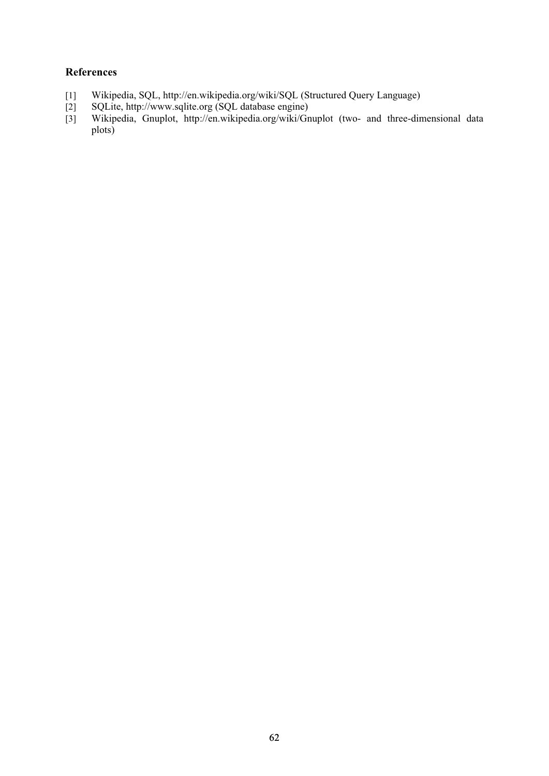- [1] Wikipedia, SQL, http://en.wikipedia.org/wiki/SQL (Structured Query Language)
- [2] SQLite, http://www.sqlite.org (SQL database engine)
- [3] Wikipedia, Gnuplot, http://en.wikipedia.org/wiki/Gnuplot (two- and three-dimensional data plots)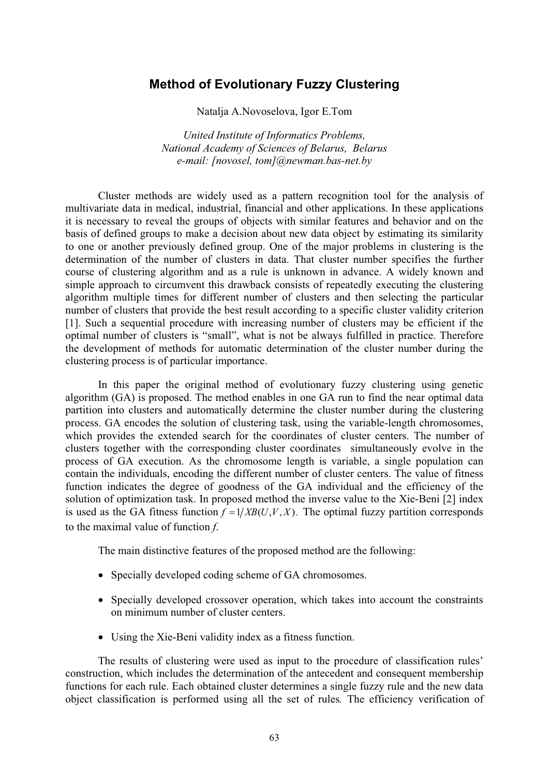### **Method of Evolutionary Fuzzy Clustering**

Natalja A.Novoselova, Igor E.Tom

*United Institute of Informatics Problems, National Academy of Sciences of Belarus, Belarus e-mail: [novosel, tom]@newman.bas-net.by* 

Cluster methods are widely used as a pattern recognition tool for the analysis of multivariate data in medical, industrial, financial and other applications. In these applications it is necessary to reveal the groups of objects with similar features and behavior and on the basis of defined groups to make a decision about new data object by estimating its similarity to one or another previously defined group. One of the major problems in clustering is the determination of the number of clusters in data. That cluster number specifies the further course of clustering algorithm and as a rule is unknown in advance. A widely known and simple approach to circumvent this drawback consists of repeatedly executing the clustering algorithm multiple times for different number of clusters and then selecting the particular number of clusters that provide the best result according to a specific cluster validity criterion [1]. Such a sequential procedure with increasing number of clusters may be efficient if the optimal number of clusters is "small", what is not be always fulfilled in practice. Therefore the development of methods for automatic determination of the cluster number during the clustering process is of particular importance.

In this paper the original method of evolutionary fuzzy clustering using genetic algorithm (GA) is proposed. The method enables in one GA run to find the near optimal data partition into clusters and automatically determine the cluster number during the clustering process. GA encodes the solution of clustering task, using the variable-length chromosomes, which provides the extended search for the coordinates of cluster centers. The number of clusters together with the corresponding cluster coordinates simultaneously evolve in the process of GA execution. As the chromosome length is variable, a single population can contain the individuals, encoding the different number of cluster centers. The value of fitness function indicates the degree of goodness of the GA individual and the efficiency of the solution of optimization task. In proposed method the inverse value to the Xie-Beni [2] index is used as the GA fitness function  $f = 1/XB(U, V, X)$ . The optimal fuzzy partition corresponds to the maximal value of function *f*.

The main distinctive features of the proposed method are the following:

- Specially developed coding scheme of GA chromosomes.
- Specially developed crossover operation, which takes into account the constraints on minimum number of cluster centers.
- Using the Xie-Beni validity index as a fitness function.

The results of clustering were used as input to the procedure of classification rules' construction, which includes the determination of the antecedent and consequent membership functions for each rule. Each obtained cluster determines a single fuzzy rule and the new data object classification is performed using all the set of rules*.* The efficiency verification of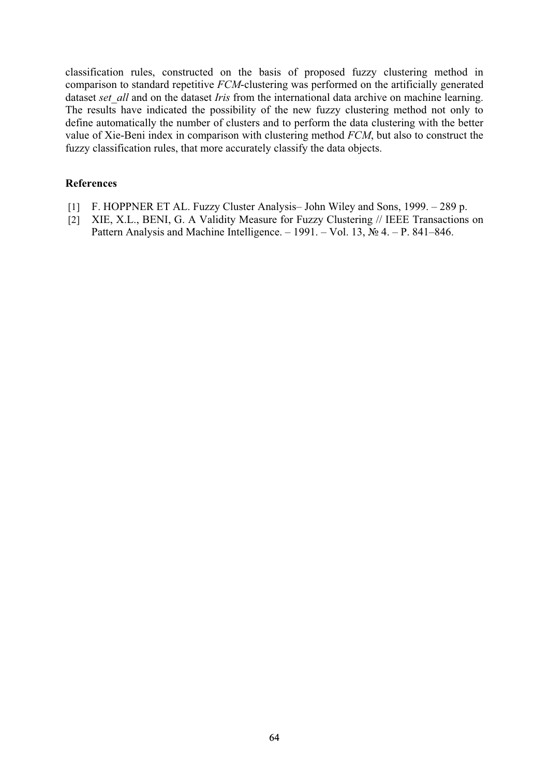classification rules, constructed on the basis of proposed fuzzy clustering method in comparison to standard repetitive *FCM*-clustering was performed on the artificially generated dataset *set all* and on the dataset *Iris* from the international data archive on machine learning. The results have indicated the possibility of the new fuzzy clustering method not only to define automatically the number of clusters and to perform the data clustering with the better value of Xie-Beni index in comparison with clustering method *FCM*, but also to construct the fuzzy classification rules, that more accurately classify the data objects.

- [1] F. HOPPNER ET AL. Fuzzy Cluster Analysis– John Wiley and Sons, 1999. 289 p.
- [2] XIE, X.L., BENI, G. A Validity Measure for Fuzzy Clustering // IEEE Transactions on Pattern Analysis and Machine Intelligence. – 1991. – Vol. 13,  $\mathcal{N}_2$  4. – P. 841–846.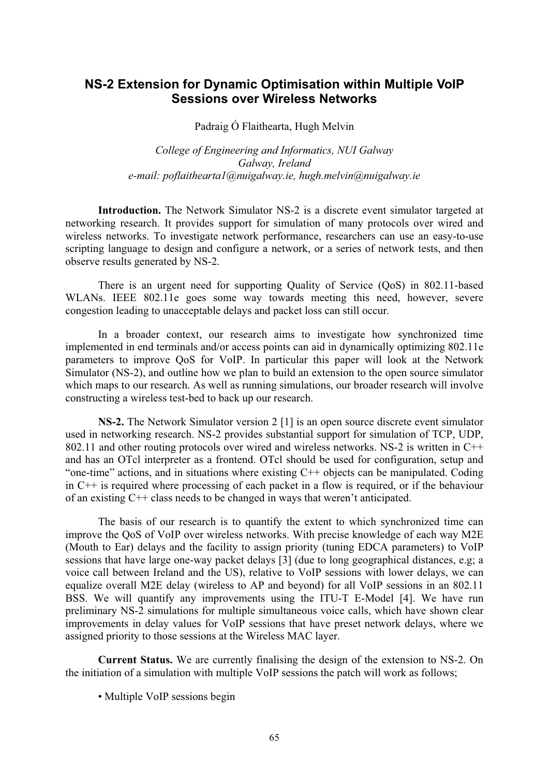## **NS-2 Extension for Dynamic Optimisation within Multiple VoIP Sessions over Wireless Networks**

Padraig Ó Flaithearta, Hugh Melvin

*College of Engineering and Informatics, NUI Galway Galway, Ireland e-mail: poflaithearta1@nuigalway.ie, hugh.melvin@nuigalway.ie* 

**Introduction.** The Network Simulator NS-2 is a discrete event simulator targeted at networking research. It provides support for simulation of many protocols over wired and wireless networks. To investigate network performance, researchers can use an easy-to-use scripting language to design and configure a network, or a series of network tests, and then observe results generated by NS-2.

There is an urgent need for supporting Quality of Service (QoS) in 802.11-based WLANs. IEEE 802.11e goes some way towards meeting this need, however, severe congestion leading to unacceptable delays and packet loss can still occur.

In a broader context, our research aims to investigate how synchronized time implemented in end terminals and/or access points can aid in dynamically optimizing 802.11e parameters to improve QoS for VoIP. In particular this paper will look at the Network Simulator (NS-2), and outline how we plan to build an extension to the open source simulator which maps to our research. As well as running simulations, our broader research will involve constructing a wireless test-bed to back up our research.

**NS-2.** The Network Simulator version 2 [1] is an open source discrete event simulator used in networking research. NS-2 provides substantial support for simulation of TCP, UDP, 802.11 and other routing protocols over wired and wireless networks. NS-2 is written in C++ and has an OTcl interpreter as a frontend. OTcl should be used for configuration, setup and "one-time" actions, and in situations where existing  $C++$  objects can be manipulated. Coding in C++ is required where processing of each packet in a flow is required, or if the behaviour of an existing C++ class needs to be changed in ways that weren't anticipated.

The basis of our research is to quantify the extent to which synchronized time can improve the QoS of VoIP over wireless networks. With precise knowledge of each way M2E (Mouth to Ear) delays and the facility to assign priority (tuning EDCA parameters) to VoIP sessions that have large one-way packet delays [3] (due to long geographical distances, e.g; a voice call between Ireland and the US), relative to VoIP sessions with lower delays, we can equalize overall M2E delay (wireless to AP and beyond) for all VoIP sessions in an 802.11 BSS. We will quantify any improvements using the ITU-T E-Model [4]. We have run preliminary NS-2 simulations for multiple simultaneous voice calls, which have shown clear improvements in delay values for VoIP sessions that have preset network delays, where we assigned priority to those sessions at the Wireless MAC layer.

**Current Status.** We are currently finalising the design of the extension to NS-2. On the initiation of a simulation with multiple VoIP sessions the patch will work as follows;

• Multiple VoIP sessions begin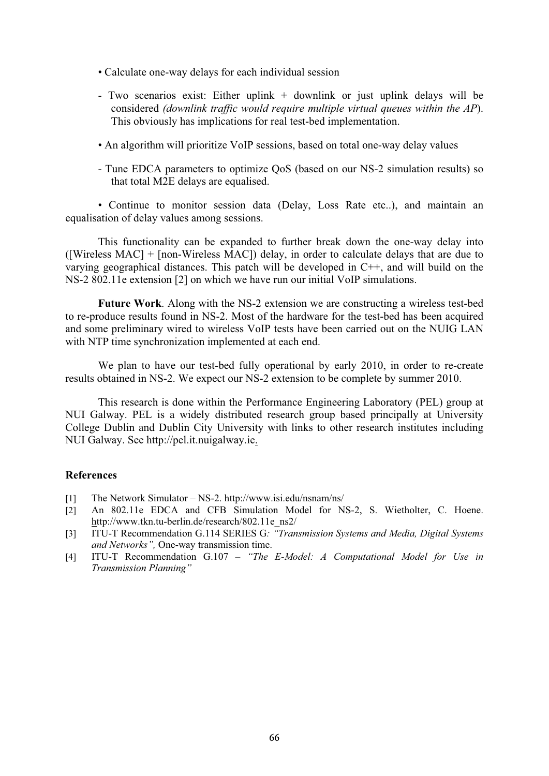- Calculate one-way delays for each individual session
- Two scenarios exist: Either uplink + downlink or just uplink delays will be considered *(downlink traffic would require multiple virtual queues within the AP*). This obviously has implications for real test-bed implementation.
- An algorithm will prioritize VoIP sessions, based on total one-way delay values
- Tune EDCA parameters to optimize QoS (based on our NS-2 simulation results) so that total M2E delays are equalised.

• Continue to monitor session data (Delay, Loss Rate etc..), and maintain an equalisation of delay values among sessions.

This functionality can be expanded to further break down the one-way delay into ([Wireless MAC] + [non-Wireless MAC]) delay, in order to calculate delays that are due to varying geographical distances. This patch will be developed in C++, and will build on the NS-2 802.11e extension [2] on which we have run our initial VoIP simulations.

**Future Work**. Along with the NS-2 extension we are constructing a wireless test-bed to re-produce results found in NS-2. Most of the hardware for the test-bed has been acquired and some preliminary wired to wireless VoIP tests have been carried out on the NUIG LAN with NTP time synchronization implemented at each end.

We plan to have our test-bed fully operational by early 2010, in order to re-create results obtained in NS-2. We expect our NS-2 extension to be complete by summer 2010.

This research is done within the Performance Engineering Laboratory (PEL) group at NUI Galway. PEL is a widely distributed research group based principally at University College Dublin and Dublin City University with links to other research institutes including NUI Galway. See http://pel.it.nuigalway.ie.

- [1] The Network Simulator NS-2. http://www.isi.edu/nsnam/ns/
- [2] An 802.11e EDCA and CFB Simulation Model for NS-2, S. Wietholter, C. Hoene. http://www.tkn.tu-berlin.de/research/802.11e\_ns2/
- [3] ITU-T Recommendation G.114 SERIES G*: "Transmission Systems and Media, Digital Systems and Networks",* One-way transmission time.
- [4] ITU-T Recommendation G.107 *"The E-Model: A Computational Model for Use in Transmission Planning"*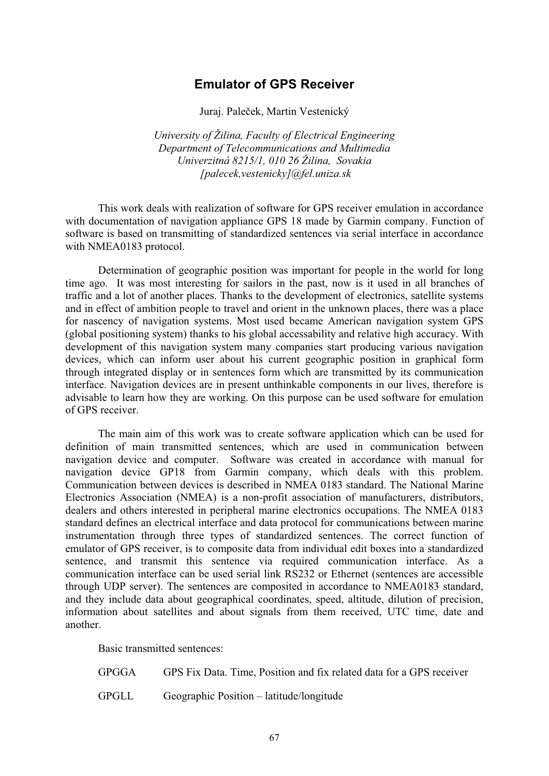# **Emulator of GPS Receiver**

Juraj. Paleček, Martin Vestenický

*University of Žilina, Faculty of Electrical Engineering Department of Telecommunications and Multimedia Univerzitná 8215/1, 010 26 Žilina, Sovakia [palecek,vestenicky]@fel.uniza.sk* 

This work deals with realization of software for GPS receiver emulation in accordance with documentation of navigation appliance GPS 18 made by Garmin company. Function of software is based on transmitting of standardized sentences via serial interface in accordance with NMEA0183 protocol.

Determination of geographic position was important for people in the world for long time ago. It was most interesting for sailors in the past, now is it used in all branches of traffic and a lot of another places. Thanks to the development of electronics, satellite systems and in effect of ambition people to travel and orient in the unknown places, there was a place for nascency of navigation systems. Most used became American navigation system GPS (global positioning system) thanks to his global accessability and relative high accuracy. With development of this navigation system many companies start producing various navigation devices, which can inform user about his current geographic position in graphical form through integrated display or in sentences form which are transmitted by its communication interface. Navigation devices are in present unthinkable components in our lives, therefore is advisable to learn how they are working. On this purpose can be used software for emulation of GPS receiver.

The main aim of this work was to create software application which can be used for definition of main transmitted sentences, which are used in communication between navigation device and computer. Software was created in accordance with manual for navigation device GP18 from Garmin company, which deals with this problem. Communication between devices is described in NMEA 0183 standard. The National Marine Electronics Association (NMEA) is a non-profit association of manufacturers, distributors, dealers and others interested in peripheral marine electronics occupations. The NMEA 0183 standard defines an electrical interface and data protocol for communications between marine instrumentation through three types of standardized sentences. The correct function of emulator of GPS receiver, is to composite data from individual edit boxes into a standardized sentence, and transmit this sentence via required communication interface. As a communication interface can be used serial link RS232 or Ethernet (sentences are accessible through UDP server). The sentences are composited in accordance to NMEA0183 standard, and they include data about geographical coordinates, speed, altitude, dilution of precision, information about satellites and about signals from them received, UTC time, date and another.

Basic transmitted sentences:

GPGGA GPS Fix Data. Time, Position and fix related data for a GPS receiver

GPGLL Geographic Position – latitude/longitude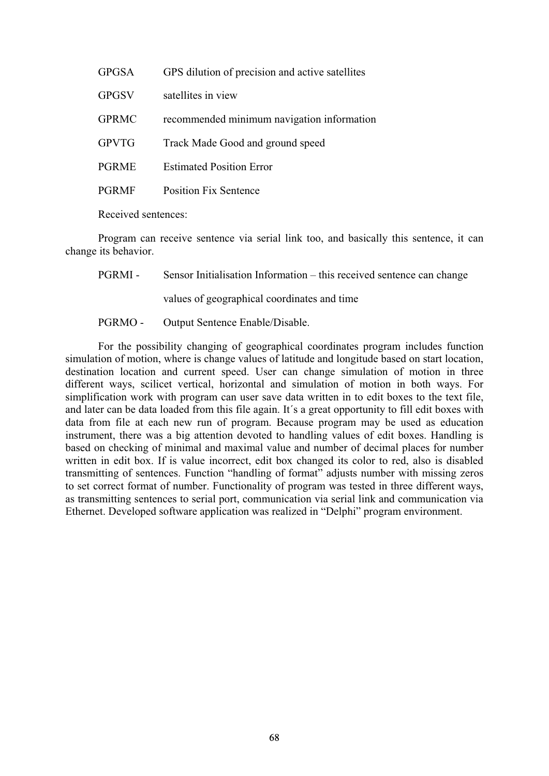| <b>GPGSA</b> | GPS dilution of precision and active satellites |
|--------------|-------------------------------------------------|
| <b>GPGSV</b> | satellites in view                              |
| <b>GPRMC</b> | recommended minimum navigation information      |
| <b>GPVTG</b> | Track Made Good and ground speed                |
| <b>PGRME</b> | <b>Estimated Position Error</b>                 |
| <b>PGRMF</b> | <b>Position Fix Sentence</b>                    |
|              |                                                 |

Received sentences:

Program can receive sentence via serial link too, and basically this sentence, it can change its behavior.

PGRMI - Sensor Initialisation Information – this received sentence can change

values of geographical coordinates and time

PGRMO - Output Sentence Enable/Disable.

For the possibility changing of geographical coordinates program includes function simulation of motion, where is change values of latitude and longitude based on start location, destination location and current speed. User can change simulation of motion in three different ways, scilicet vertical, horizontal and simulation of motion in both ways. For simplification work with program can user save data written in to edit boxes to the text file, and later can be data loaded from this file again. It´s a great opportunity to fill edit boxes with data from file at each new run of program. Because program may be used as education instrument, there was a big attention devoted to handling values of edit boxes. Handling is based on checking of minimal and maximal value and number of decimal places for number written in edit box. If is value incorrect, edit box changed its color to red, also is disabled transmitting of sentences. Function "handling of format" adjusts number with missing zeros to set correct format of number. Functionality of program was tested in three different ways, as transmitting sentences to serial port, communication via serial link and communication via Ethernet. Developed software application was realized in "Delphi" program environment.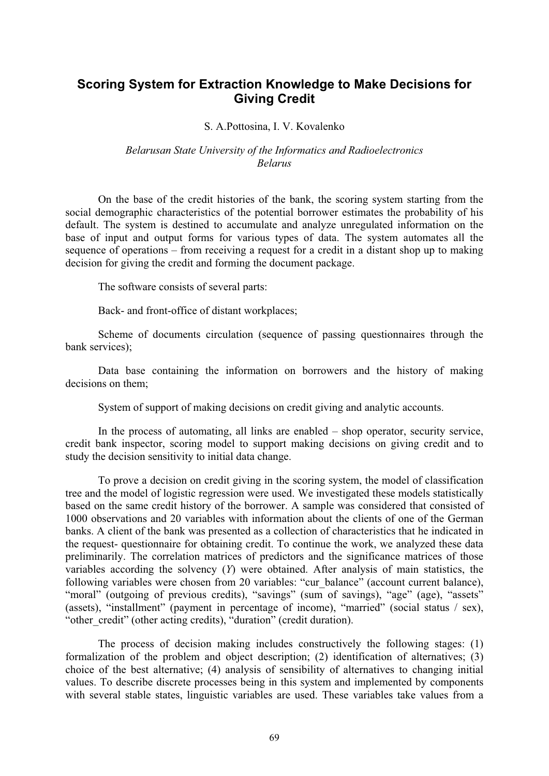# **Scoring System for Extraction Knowledge to Make Decisions for Giving Credit**

#### S. A.Pottosina, I. V. Kovalenko

#### *Belarusan State University of the Informatics and Radioelectronics Belarus*

On the base of the credit histories of the bank, the scoring system starting from the social demographic characteristics of the potential borrower estimates the probability of his default. The system is destined to accumulate and analyze unregulated information on the base of input and output forms for various types of data. The system automates all the sequence of operations – from receiving a request for a credit in a distant shop up to making decision for giving the credit and forming the document package.

The software consists of several parts:

Back- and front-office of distant workplaces;

Scheme of documents circulation (sequence of passing questionnaires through the bank services);

Data base containing the information on borrowers and the history of making decisions on them;

System of support of making decisions on credit giving and analytic accounts.

In the process of automating, all links are enabled – shop operator, security service, credit bank inspector, scoring model to support making decisions on giving credit and to study the decision sensitivity to initial data change.

To prove a decision on credit giving in the scoring system, the model of classification tree and the model of logistic regression were used. We investigated these models statistically based on the same credit history of the borrower. A sample was considered that consisted of 1000 observations and 20 variables with information about the clients of one of the German banks. A client of the bank was presented as a collection of characteristics that he indicated in the request- questionnaire for obtaining credit. To continue the work, we analyzed these data preliminarily. The correlation matrices of predictors and the significance matrices of those variables according the solvency (*Y*) were obtained. After analysis of main statistics, the following variables were chosen from 20 variables: "cur\_balance" (account current balance), "moral" (outgoing of previous credits), "savings" (sum of savings), "age" (age), "assets" (assets), "installment" (payment in percentage of income), "married" (social status / sex), "other\_credit" (other acting credits), "duration" (credit duration).

The process of decision making includes constructively the following stages: (1) formalization of the problem and object description; (2) identification of alternatives; (3) choice of the best alternative; (4) analysis of sensibility of alternatives to changing initial values. To describe discrete processes being in this system and implemented by components with several stable states, linguistic variables are used. These variables take values from a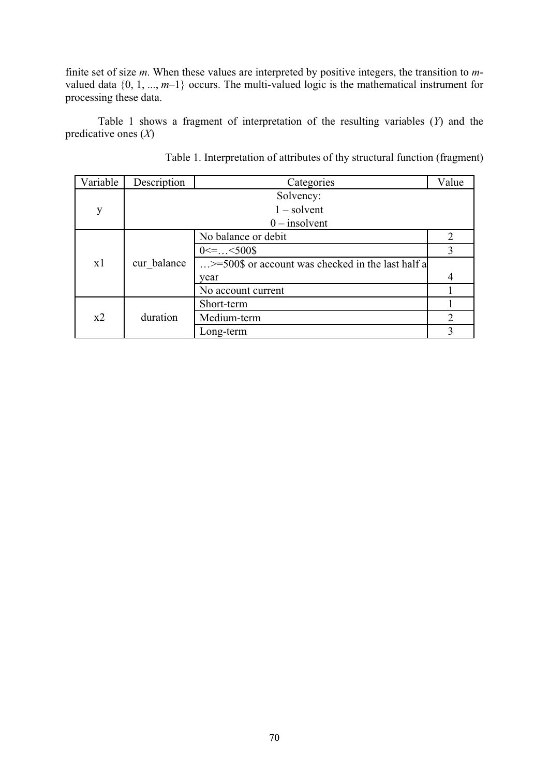finite set of size *m*. When these values are interpreted by positive integers, the transition to *m*valued data  $\{0, 1, ..., m-1\}$  occurs. The multi-valued logic is the mathematical instrument for processing these data.

Table 1 shows a fragment of interpretation of the resulting variables (*Y*) and the predicative ones (*X*)

| Variable | Description     | Categories                                                 | Value                       |  |
|----------|-----------------|------------------------------------------------------------|-----------------------------|--|
| y        |                 | Solvency:                                                  |                             |  |
|          | $1$ – solvent   |                                                            |                             |  |
|          | $0$ – insolvent |                                                            |                             |  |
| x1       | cur balance     | No balance or debit                                        | $\overline{2}$              |  |
|          |                 | $0 \leq -.000$                                             | 3                           |  |
|          |                 | $\ldots$ >=500\$ or account was checked in the last half a |                             |  |
|          |                 | year                                                       |                             |  |
|          |                 | No account current                                         |                             |  |
| x2       | duration        | Short-term                                                 |                             |  |
|          |                 | Medium-term                                                | $\mathcal{D}_{\mathcal{L}}$ |  |
|          |                 | Long-term                                                  |                             |  |

Table 1. Interpretation of attributes of thy structural function (fragment)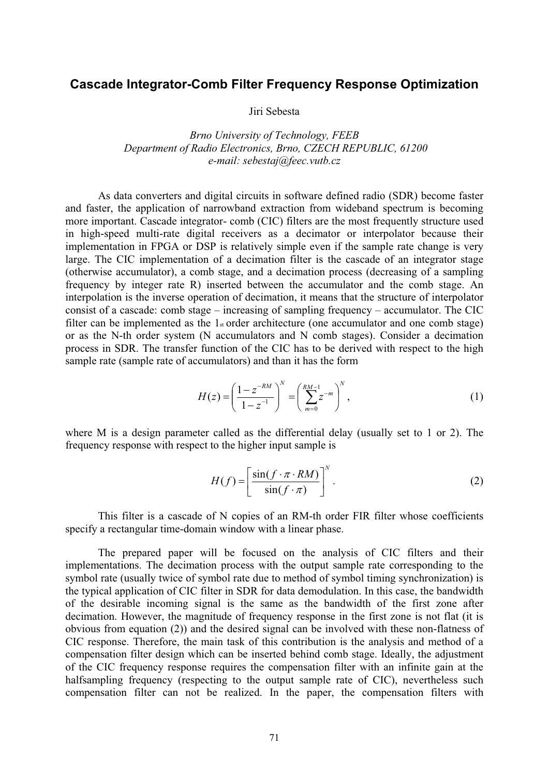### **Cascade Integrator-Comb Filter Frequency Response Optimization**

Jiri Sebesta

*Brno University of Technology, FEEB Department of Radio Electronics, Brno, CZECH REPUBLIC, 61200 e-mail: sebestaj@feec.vutb.cz* 

As data converters and digital circuits in software defined radio (SDR) become faster and faster, the application of narrowband extraction from wideband spectrum is becoming more important. Cascade integrator- comb (CIC) filters are the most frequently structure used in high-speed multi-rate digital receivers as a decimator or interpolator because their implementation in FPGA or DSP is relatively simple even if the sample rate change is very large. The CIC implementation of a decimation filter is the cascade of an integrator stage (otherwise accumulator), a comb stage, and a decimation process (decreasing of a sampling frequency by integer rate R) inserted between the accumulator and the comb stage. An interpolation is the inverse operation of decimation, it means that the structure of interpolator consist of a cascade: comb stage – increasing of sampling frequency – accumulator. The CIC filter can be implemented as the  $1<sub>st</sub>$  order architecture (one accumulator and one comb stage) or as the N-th order system (N accumulators and N comb stages). Consider a decimation process in SDR. The transfer function of the CIC has to be derived with respect to the high sample rate (sample rate of accumulators) and than it has the form

$$
H(z) = \left(\frac{1 - z^{-RM}}{1 - z^{-1}}\right)^N = \left(\sum_{m=0}^{RM-1} z^{-m}\right)^N,
$$
\n(1)

where M is a design parameter called as the differential delay (usually set to 1 or 2). The frequency response with respect to the higher input sample is

$$
H(f) = \left[\frac{\sin(f \cdot \pi \cdot RM)}{\sin(f \cdot \pi)}\right]^N.
$$
 (2)

This filter is a cascade of N copies of an RM-th order FIR filter whose coefficients specify a rectangular time-domain window with a linear phase.

The prepared paper will be focused on the analysis of CIC filters and their implementations. The decimation process with the output sample rate corresponding to the symbol rate (usually twice of symbol rate due to method of symbol timing synchronization) is the typical application of CIC filter in SDR for data demodulation. In this case, the bandwidth of the desirable incoming signal is the same as the bandwidth of the first zone after decimation. However, the magnitude of frequency response in the first zone is not flat (it is obvious from equation (2)) and the desired signal can be involved with these non-flatness of CIC response. Therefore, the main task of this contribution is the analysis and method of a compensation filter design which can be inserted behind comb stage. Ideally, the adjustment of the CIC frequency response requires the compensation filter with an infinite gain at the halfsampling frequency (respecting to the output sample rate of CIC), nevertheless such compensation filter can not be realized. In the paper, the compensation filters with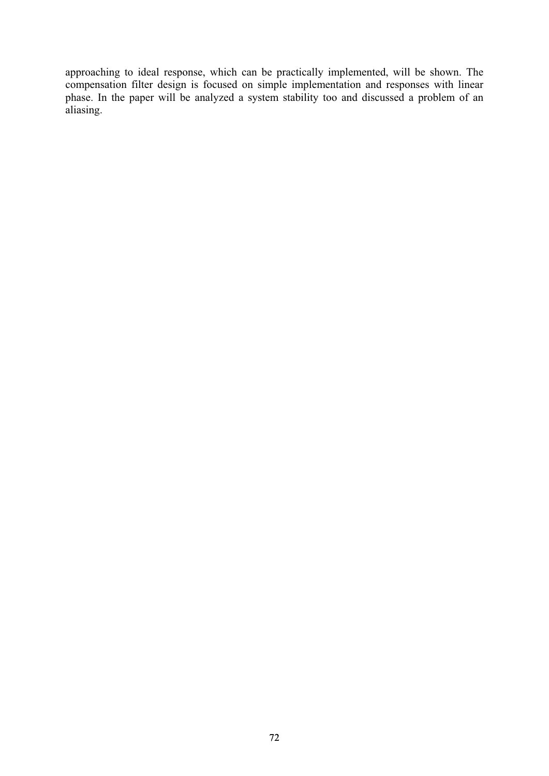approaching to ideal response, which can be practically implemented, will be shown. The compensation filter design is focused on simple implementation and responses with linear phase. In the paper will be analyzed a system stability too and discussed a problem of an aliasing.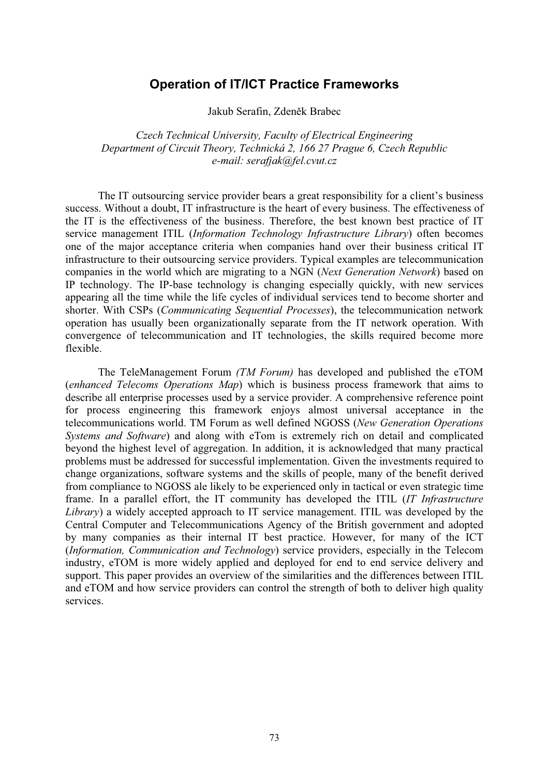## **Operation of IT/ICT Practice Frameworks**

Jakub Serafin, Zdeněk Brabec

*Czech Technical University, Faculty of Electrical Engineering Department of Circuit Theory, Technická 2, 166 27 Prague 6, Czech Republic e-mail: serafjak@fel.cvut.cz* 

The IT outsourcing service provider bears a great responsibility for a client's business success. Without a doubt, IT infrastructure is the heart of every business. The effectiveness of the IT is the effectiveness of the business. Therefore, the best known best practice of IT service management ITIL (*Information Technology Infrastructure Library*) often becomes one of the major acceptance criteria when companies hand over their business critical IT infrastructure to their outsourcing service providers. Typical examples are telecommunication companies in the world which are migrating to a NGN (*Next Generation Network*) based on IP technology. The IP-base technology is changing especially quickly, with new services appearing all the time while the life cycles of individual services tend to become shorter and shorter. With CSPs (*Communicating Sequential Processes*), the telecommunication network operation has usually been organizationally separate from the IT network operation. With convergence of telecommunication and IT technologies, the skills required become more flexible.

The TeleManagement Forum *(TM Forum)* has developed and published the eTOM (*enhanced Telecoms Operations Map*) which is business process framework that aims to describe all enterprise processes used by a service provider. A comprehensive reference point for process engineering this framework enjoys almost universal acceptance in the telecommunications world. TM Forum as well defined NGOSS (*New Generation Operations Systems and Software*) and along with eTom is extremely rich on detail and complicated beyond the highest level of aggregation. In addition, it is acknowledged that many practical problems must be addressed for successful implementation. Given the investments required to change organizations, software systems and the skills of people, many of the benefit derived from compliance to NGOSS ale likely to be experienced only in tactical or even strategic time frame. In a parallel effort, the IT community has developed the ITIL (*IT Infrastructure Library*) a widely accepted approach to IT service management. ITIL was developed by the Central Computer and Telecommunications Agency of the British government and adopted by many companies as their internal IT best practice. However, for many of the ICT (*Information, Communication and Technology*) service providers, especially in the Telecom industry, eTOM is more widely applied and deployed for end to end service delivery and support. This paper provides an overview of the similarities and the differences between ITIL and eTOM and how service providers can control the strength of both to deliver high quality services.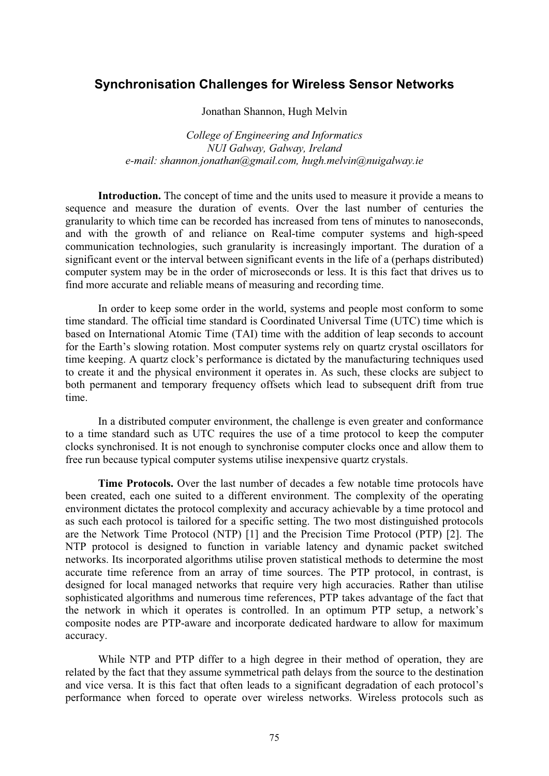### **Synchronisation Challenges for Wireless Sensor Networks**

Jonathan Shannon, Hugh Melvin

*College of Engineering and Informatics NUI Galway, Galway, Ireland e-mail: shannon.jonathan@gmail.com, hugh.melvin@nuigalway.ie* 

**Introduction.** The concept of time and the units used to measure it provide a means to sequence and measure the duration of events. Over the last number of centuries the granularity to which time can be recorded has increased from tens of minutes to nanoseconds, and with the growth of and reliance on Real-time computer systems and high-speed communication technologies, such granularity is increasingly important. The duration of a significant event or the interval between significant events in the life of a (perhaps distributed) computer system may be in the order of microseconds or less. It is this fact that drives us to find more accurate and reliable means of measuring and recording time.

In order to keep some order in the world, systems and people most conform to some time standard. The official time standard is Coordinated Universal Time (UTC) time which is based on International Atomic Time (TAI) time with the addition of leap seconds to account for the Earth's slowing rotation. Most computer systems rely on quartz crystal oscillators for time keeping. A quartz clock's performance is dictated by the manufacturing techniques used to create it and the physical environment it operates in. As such, these clocks are subject to both permanent and temporary frequency offsets which lead to subsequent drift from true time.

In a distributed computer environment, the challenge is even greater and conformance to a time standard such as UTC requires the use of a time protocol to keep the computer clocks synchronised. It is not enough to synchronise computer clocks once and allow them to free run because typical computer systems utilise inexpensive quartz crystals.

**Time Protocols.** Over the last number of decades a few notable time protocols have been created, each one suited to a different environment. The complexity of the operating environment dictates the protocol complexity and accuracy achievable by a time protocol and as such each protocol is tailored for a specific setting. The two most distinguished protocols are the Network Time Protocol (NTP) [1] and the Precision Time Protocol (PTP) [2]. The NTP protocol is designed to function in variable latency and dynamic packet switched networks. Its incorporated algorithms utilise proven statistical methods to determine the most accurate time reference from an array of time sources. The PTP protocol, in contrast, is designed for local managed networks that require very high accuracies. Rather than utilise sophisticated algorithms and numerous time references, PTP takes advantage of the fact that the network in which it operates is controlled. In an optimum PTP setup, a network's composite nodes are PTP-aware and incorporate dedicated hardware to allow for maximum accuracy.

While NTP and PTP differ to a high degree in their method of operation, they are related by the fact that they assume symmetrical path delays from the source to the destination and vice versa. It is this fact that often leads to a significant degradation of each protocol's performance when forced to operate over wireless networks. Wireless protocols such as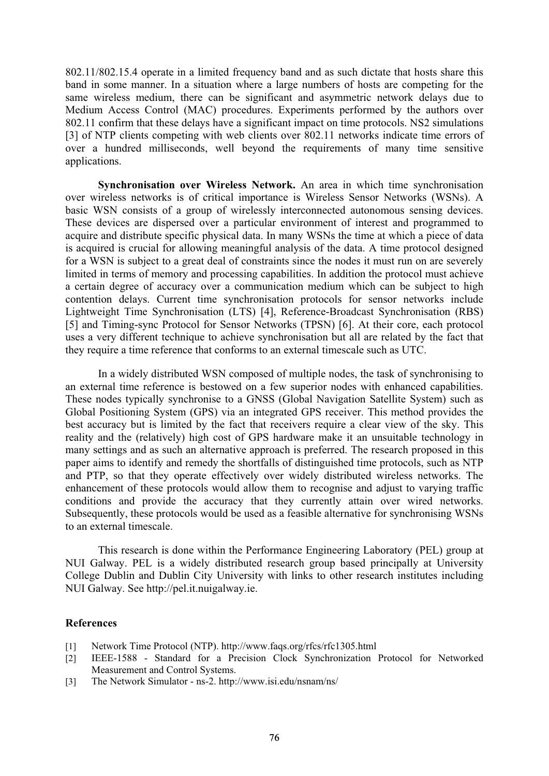802.11/802.15.4 operate in a limited frequency band and as such dictate that hosts share this band in some manner. In a situation where a large numbers of hosts are competing for the same wireless medium, there can be significant and asymmetric network delays due to Medium Access Control (MAC) procedures. Experiments performed by the authors over 802.11 confirm that these delays have a significant impact on time protocols. NS2 simulations [3] of NTP clients competing with web clients over 802.11 networks indicate time errors of over a hundred milliseconds, well beyond the requirements of many time sensitive applications.

**Synchronisation over Wireless Network.** An area in which time synchronisation over wireless networks is of critical importance is Wireless Sensor Networks (WSNs). A basic WSN consists of a group of wirelessly interconnected autonomous sensing devices. These devices are dispersed over a particular environment of interest and programmed to acquire and distribute specific physical data. In many WSNs the time at which a piece of data is acquired is crucial for allowing meaningful analysis of the data. A time protocol designed for a WSN is subject to a great deal of constraints since the nodes it must run on are severely limited in terms of memory and processing capabilities. In addition the protocol must achieve a certain degree of accuracy over a communication medium which can be subject to high contention delays. Current time synchronisation protocols for sensor networks include Lightweight Time Synchronisation (LTS) [4], Reference-Broadcast Synchronisation (RBS) [5] and Timing-sync Protocol for Sensor Networks (TPSN) [6]. At their core, each protocol uses a very different technique to achieve synchronisation but all are related by the fact that they require a time reference that conforms to an external timescale such as UTC.

In a widely distributed WSN composed of multiple nodes, the task of synchronising to an external time reference is bestowed on a few superior nodes with enhanced capabilities. These nodes typically synchronise to a GNSS (Global Navigation Satellite System) such as Global Positioning System (GPS) via an integrated GPS receiver. This method provides the best accuracy but is limited by the fact that receivers require a clear view of the sky. This reality and the (relatively) high cost of GPS hardware make it an unsuitable technology in many settings and as such an alternative approach is preferred. The research proposed in this paper aims to identify and remedy the shortfalls of distinguished time protocols, such as NTP and PTP, so that they operate effectively over widely distributed wireless networks. The enhancement of these protocols would allow them to recognise and adjust to varying traffic conditions and provide the accuracy that they currently attain over wired networks. Subsequently, these protocols would be used as a feasible alternative for synchronising WSNs to an external timescale.

This research is done within the Performance Engineering Laboratory (PEL) group at NUI Galway. PEL is a widely distributed research group based principally at University College Dublin and Dublin City University with links to other research institutes including NUI Galway. See http://pel.it.nuigalway.ie.

- [1] Network Time Protocol (NTP). http://www.faqs.org/rfcs/rfc1305.html
- [2] IEEE-1588 Standard for a Precision Clock Synchronization Protocol for Networked Measurement and Control Systems.
- [3] The Network Simulator ns-2. http://www.isi.edu/nsnam/ns/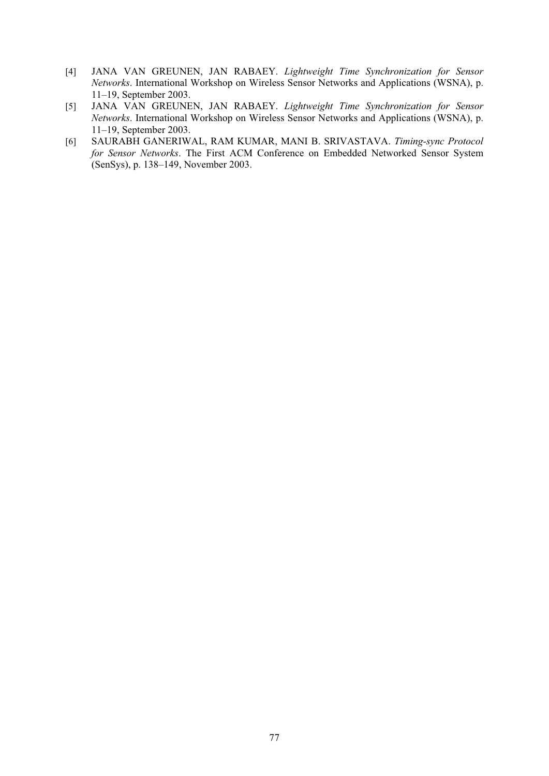- [4] JANA VAN GREUNEN, JAN RABAEY. *Lightweight Time Synchronization for Sensor Networks*. International Workshop on Wireless Sensor Networks and Applications (WSNA), p. 11–19, September 2003.
- [5] JANA VAN GREUNEN, JAN RABAEY. *Lightweight Time Synchronization for Sensor Networks*. International Workshop on Wireless Sensor Networks and Applications (WSNA), p. 11–19, September 2003.
- [6] SAURABH GANERIWAL, RAM KUMAR, MANI B. SRIVASTAVA. *Timing-sync Protocol for Sensor Networks*. The First ACM Conference on Embedded Networked Sensor System (SenSys), p. 138–149, November 2003.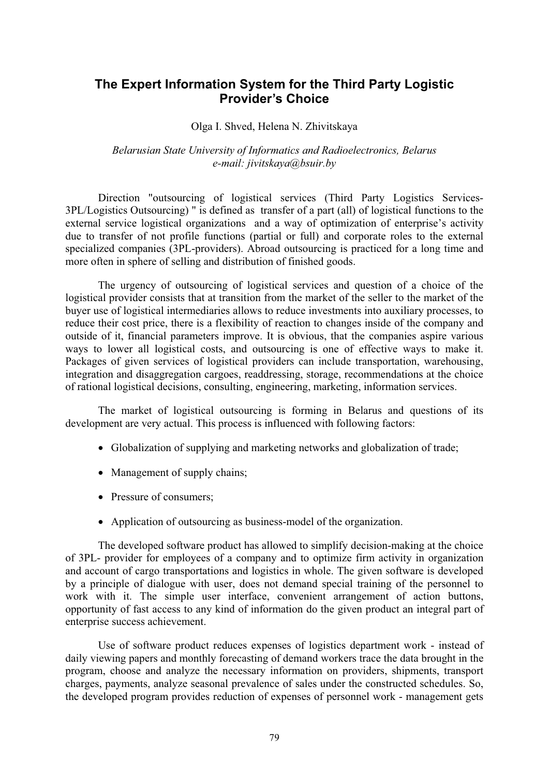# **The Expert Information System for the Third Party Logistic Provider's Choice**

#### Olga I. Shved, Helena N. Zhivitskaya

#### *Belarusian State University of Informatics and Radioelectronics, Belarus e-mail: jivitskaya@bsuir.by*

Direction "outsourcing of logistical services (Third Party Logistics Services-3PL/Logistics Outsourcing) " is defined as transfer of a part (all) of logistical functions to the external service logistical organizations and a way of optimization of enterprise's activity due to transfer of not profile functions (partial or full) and corporate roles to the external specialized companies (3PL-providers). Abroad outsourcing is practiced for a long time and more often in sphere of selling and distribution of finished goods.

The urgency of outsourcing of logistical services and question of a choice of the logistical provider consists that at transition from the market of the seller to the market of the buyer use of logistical intermediaries allows to reduce investments into auxiliary processes, to reduce their cost price, there is a flexibility of reaction to changes inside of the company and outside of it, financial parameters improve. It is obvious, that the companies aspire various ways to lower all logistical costs, and outsourcing is one of effective ways to make it. Packages of given services of logistical providers can include transportation, warehousing, integration and disaggregation cargoes, readdressing, storage, recommendations at the choice of rational logistical decisions, consulting, engineering, marketing, information services.

The market of logistical outsourcing is forming in Belarus and questions of its development are very actual. This process is influenced with following factors:

- Globalization of supplying and marketing networks and globalization of trade;
- Management of supply chains;
- Pressure of consumers;
- Application of outsourcing as business-model of the organization.

The developed software product has allowed to simplify decision-making at the choice of 3PL- provider for employees of a company and to optimize firm activity in organization and account of cargo transportations and logistics in whole. The given software is developed by a principle of dialogue with user, does not demand special training of the personnel to work with it. The simple user interface, convenient arrangement of action buttons, opportunity of fast access to any kind of information do the given product an integral part of enterprise success achievement.

Use of software product reduces expenses of logistics department work - instead of daily viewing papers and monthly forecasting of demand workers trace the data brought in the program, choose and analyze the necessary information on providers, shipments, transport charges, payments, analyze seasonal prevalence of sales under the constructed schedules. So, the developed program provides reduction of expenses of personnel work - management gets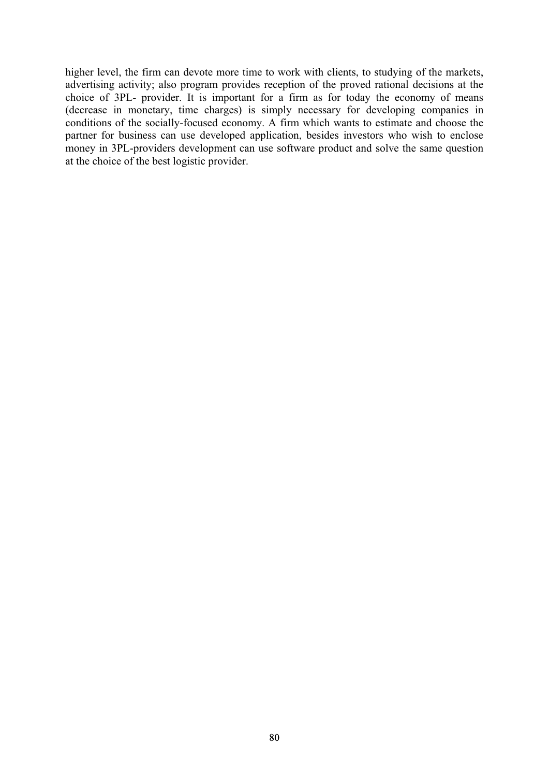higher level, the firm can devote more time to work with clients, to studying of the markets, advertising activity; also program provides reception of the proved rational decisions at the choice of 3PL- provider. It is important for a firm as for today the economy of means (decrease in monetary, time charges) is simply necessary for developing companies in conditions of the socially-focused economy. A firm which wants to estimate and choose the partner for business can use developed application, besides investors who wish to enclose money in 3PL-providers development can use software product and solve the same question at the choice of the best logistic provider.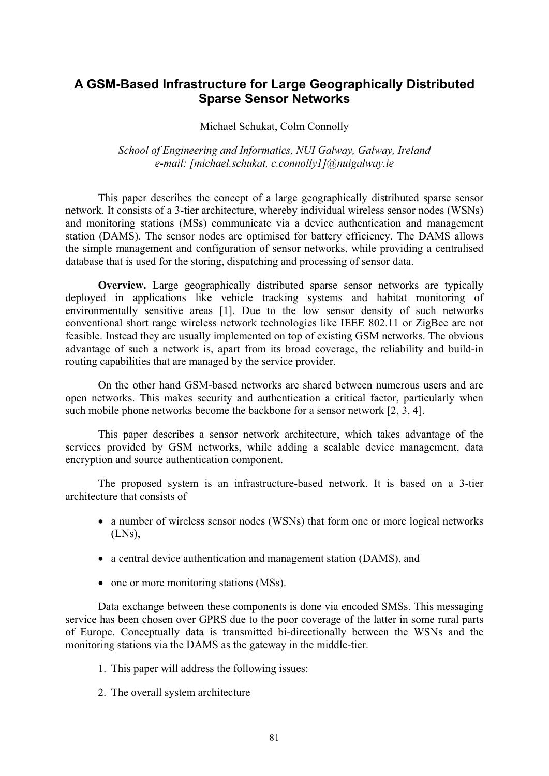# **A GSM-Based Infrastructure for Large Geographically Distributed Sparse Sensor Networks**

Michael Schukat, Colm Connolly

*School of Engineering and Informatics, NUI Galway, Galway, Ireland e-mail: [michael.schukat, c.connolly1]@nuigalway.ie* 

This paper describes the concept of a large geographically distributed sparse sensor network. It consists of a 3-tier architecture, whereby individual wireless sensor nodes (WSNs) and monitoring stations (MSs) communicate via a device authentication and management station (DAMS). The sensor nodes are optimised for battery efficiency. The DAMS allows the simple management and configuration of sensor networks, while providing a centralised database that is used for the storing, dispatching and processing of sensor data.

**Overview.** Large geographically distributed sparse sensor networks are typically deployed in applications like vehicle tracking systems and habitat monitoring of environmentally sensitive areas [1]. Due to the low sensor density of such networks conventional short range wireless network technologies like IEEE 802.11 or ZigBee are not feasible. Instead they are usually implemented on top of existing GSM networks. The obvious advantage of such a network is, apart from its broad coverage, the reliability and build-in routing capabilities that are managed by the service provider.

On the other hand GSM-based networks are shared between numerous users and are open networks. This makes security and authentication a critical factor, particularly when such mobile phone networks become the backbone for a sensor network [2, 3, 4].

This paper describes a sensor network architecture, which takes advantage of the services provided by GSM networks, while adding a scalable device management, data encryption and source authentication component.

The proposed system is an infrastructure-based network. It is based on a 3-tier architecture that consists of

- a number of wireless sensor nodes (WSNs) that form one or more logical networks (LNs),
- a central device authentication and management station (DAMS), and
- one or more monitoring stations (MSs).

Data exchange between these components is done via encoded SMSs. This messaging service has been chosen over GPRS due to the poor coverage of the latter in some rural parts of Europe. Conceptually data is transmitted bi-directionally between the WSNs and the monitoring stations via the DAMS as the gateway in the middle-tier.

- 1. This paper will address the following issues:
- 2. The overall system architecture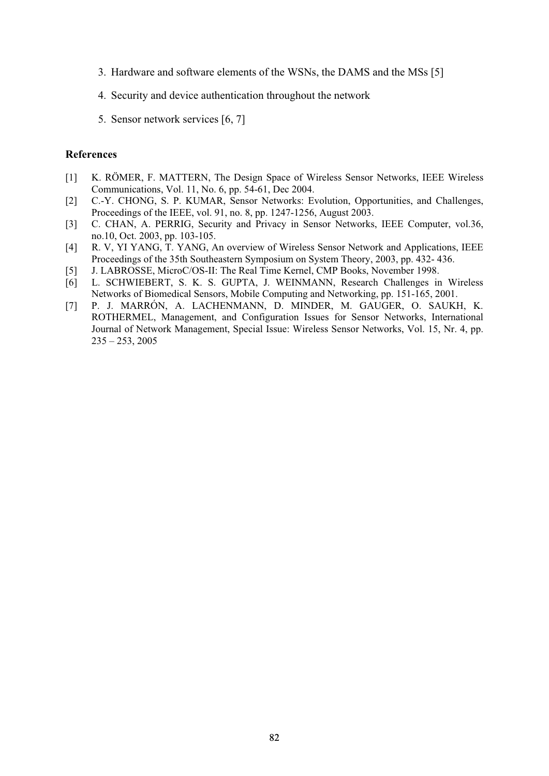- 3. Hardware and software elements of the WSNs, the DAMS and the MSs [5]
- 4. Security and device authentication throughout the network
- 5. Sensor network services [6, 7]

- [1] K. RÖMER, F. MATTERN, The Design Space of Wireless Sensor Networks, IEEE Wireless Communications, Vol. 11, No. 6, pp. 54-61, Dec 2004.
- [2] C.-Y. CHONG, S. P. KUMAR, Sensor Networks: Evolution, Opportunities, and Challenges, Proceedings of the IEEE, vol. 91, no. 8, pp. 1247-1256, August 2003.
- [3] C. CHAN, A. PERRIG, Security and Privacy in Sensor Networks, IEEE Computer, vol.36, no.10, Oct. 2003, pp. 103-105.
- [4] R. V, YI YANG, T. YANG, An overview of Wireless Sensor Network and Applications, IEEE Proceedings of the 35th Southeastern Symposium on System Theory, 2003, pp. 432- 436.
- [5] J. LABROSSE, MicroC/OS-II: The Real Time Kernel, CMP Books, November 1998.
- [6] L. SCHWIEBERT, S. K. S. GUPTA, J. WEINMANN, Research Challenges in Wireless Networks of Biomedical Sensors, Mobile Computing and Networking, pp. 151-165, 2001.
- [7] P. J. MARRÓN, A. LACHENMANN, D. MINDER, M. GAUGER, O. SAUKH, K. ROTHERMEL, Management, and Configuration Issues for Sensor Networks, International Journal of Network Management, Special Issue: Wireless Sensor Networks, Vol. 15, Nr. 4, pp.  $235 - 253$ , 2005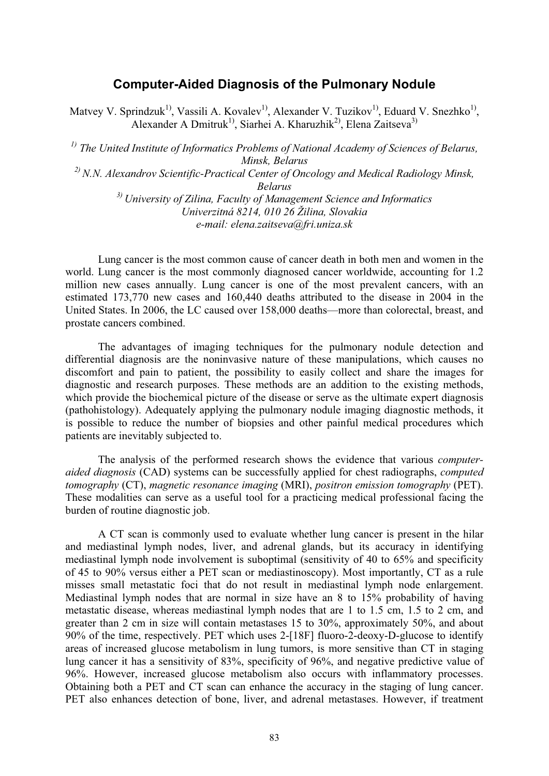### **Computer-Aided Diagnosis of the Pulmonary Nodule**

Matvey V. Sprindzuk<sup>1)</sup>, Vassili A. Kovalev<sup>1)</sup>, Alexander V. Tuzikov<sup>1)</sup>, Eduard V. Snezhko<sup>1)</sup>, Alexander A Dmitruk<sup>1)</sup>, Siarhei A. Kharuzhik<sup>2)</sup>, Elena Zaitseva<sup>3)</sup>

*1) The United Institute of Informatics Problems of National Academy of Sciences of Belarus, Minsk, Belarus 2) N.N. Alexandrov Scientific-Practical Center of Oncology and Medical Radiology Minsk, Belarus 3) University of Zilina, Faculty of Management Science and Informatics Univerzitná 8214, 010 26 Žilina, Slovakia e-mail: elena.zaitseva@fri.uniza.sk* 

Lung cancer is the most common cause of cancer death in both men and women in the world. Lung cancer is the most commonly diagnosed cancer worldwide, accounting for 1.2 million new cases annually. Lung cancer is one of the most prevalent cancers, with an estimated 173,770 new cases and 160,440 deaths attributed to the disease in 2004 in the United States. In 2006, the LC caused over 158,000 deaths—more than colorectal, breast, and prostate cancers combined.

The advantages of imaging techniques for the pulmonary nodule detection and differential diagnosis are the noninvasive nature of these manipulations, which causes no discomfort and pain to patient, the possibility to easily collect and share the images for diagnostic and research purposes. These methods are an addition to the existing methods, which provide the biochemical picture of the disease or serve as the ultimate expert diagnosis (pathohistology). Adequately applying the pulmonary nodule imaging diagnostic methods, it is possible to reduce the number of biopsies and other painful medical procedures which patients are inevitably subjected to.

The analysis of the performed research shows the evidence that various *computeraided diagnosis* (CAD) systems can be successfully applied for chest radiographs, *computed tomography* (CT), *magnetic resonance imaging* (MRI), *positron emission tomography* (PET). These modalities can serve as a useful tool for a practicing medical professional facing the burden of routine diagnostic job.

A CT scan is commonly used to evaluate whether lung cancer is present in the hilar and mediastinal lymph nodes, liver, and adrenal glands, but its accuracy in identifying mediastinal lymph node involvement is suboptimal (sensitivity of 40 to 65% and specificity of 45 to 90% versus either a PET scan or mediastinoscopy). Most importantly, CT as a rule misses small metastatic foci that do not result in mediastinal lymph node enlargement. Mediastinal lymph nodes that are normal in size have an 8 to 15% probability of having metastatic disease, whereas mediastinal lymph nodes that are 1 to 1.5 cm, 1.5 to 2 cm, and greater than 2 cm in size will contain metastases 15 to 30%, approximately 50%, and about 90% of the time, respectively. PET which uses 2-[18F] fluoro-2-deoxy-D-glucose to identify areas of increased glucose metabolism in lung tumors, is more sensitive than CT in staging lung cancer it has a sensitivity of 83%, specificity of 96%, and negative predictive value of 96%. However, increased glucose metabolism also occurs with inflammatory processes. Obtaining both a PET and CT scan can enhance the accuracy in the staging of lung cancer. PET also enhances detection of bone, liver, and adrenal metastases. However, if treatment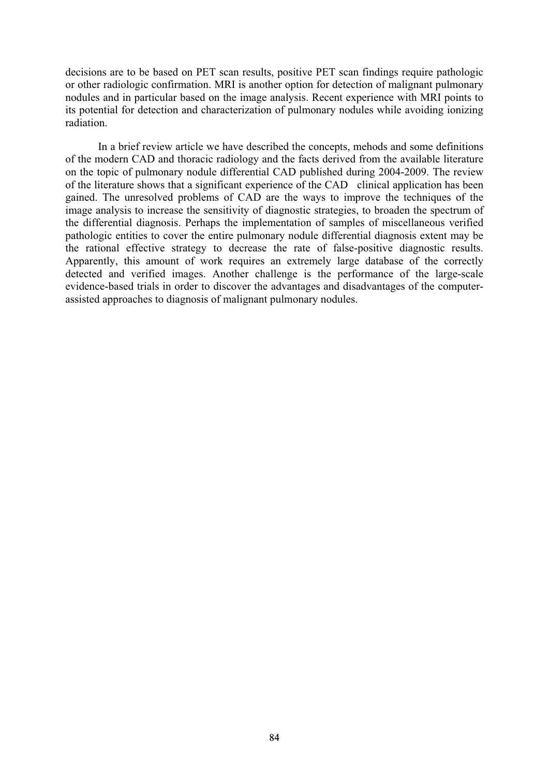decisions are to be based on PET scan results, positive PET scan findings require pathologic or other radiologic confirmation. MRI is another option for detection of malignant pulmonary nodules and in particular based on the image analysis. Recent experience with MRI points to its potential for detection and characterization of pulmonary nodules while avoiding ionizing radiation.

In a brief review article we have described the concepts, mehods and some definitions of the modern CAD and thoracic radiology and the facts derived from the available literature on the topic of pulmonary nodule differential CAD published during 2004-2009. The review of the literature shows that a significant experience of the CAD clinical application has been gained. The unresolved problems of CAD are the ways to improve the techniques of the image analysis to increase the sensitivity of diagnostic strategies, to broaden the spectrum of the differential diagnosis. Perhaps the implementation of samples of miscellaneous verified pathologic entities to cover the entire pulmonary nodule differential diagnosis extent may be the rational effective strategy to decrease the rate of false-positive diagnostic results. Apparently, this amount of work requires an extremely large database of the correctly detected and verified images. Another challenge is the performance of the large-scale evidence-based trials in order to discover the advantages and disadvantages of the computerassisted approaches to diagnosis of malignant pulmonary nodules.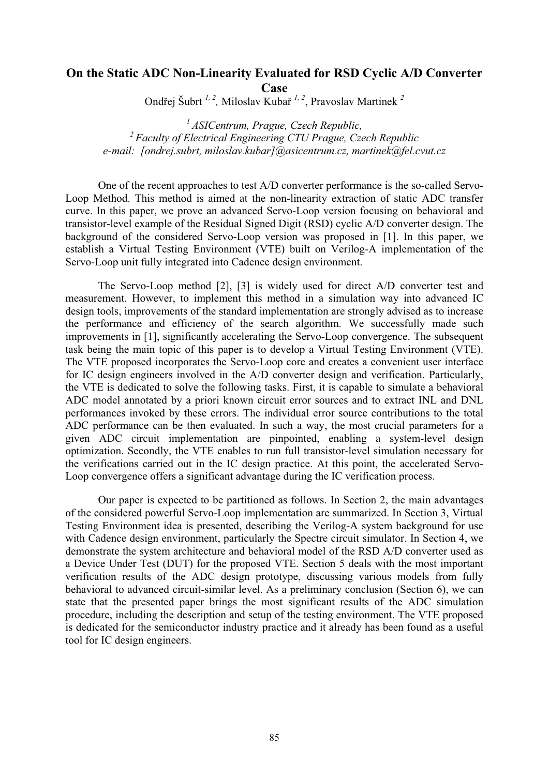## **On the Static ADC Non-Linearity Evaluated for RSD Cyclic A/D Converter Case**

Ondřej Šubrt <sup>1, 2</sup>, Miloslav Kubař<sup>1, 2</sup>, Pravoslav Martinek<sup>2</sup>

*1 ASICentrum, Prague, Czech Republic, 2 Faculty of Electrical Engineering CTU Prague, Czech Republic e-mail: [ondrej.subrt, miloslav.kubar]@asicentrum.cz, martinek@fel.cvut.cz* 

One of the recent approaches to test A/D converter performance is the so-called Servo-Loop Method. This method is aimed at the non-linearity extraction of static ADC transfer curve. In this paper, we prove an advanced Servo-Loop version focusing on behavioral and transistor-level example of the Residual Signed Digit (RSD) cyclic A/D converter design. The background of the considered Servo-Loop version was proposed in [1]. In this paper, we establish a Virtual Testing Environment (VTE) built on Verilog-A implementation of the Servo-Loop unit fully integrated into Cadence design environment.

The Servo-Loop method [2], [3] is widely used for direct A/D converter test and measurement. However, to implement this method in a simulation way into advanced IC design tools, improvements of the standard implementation are strongly advised as to increase the performance and efficiency of the search algorithm. We successfully made such improvements in [1], significantly accelerating the Servo-Loop convergence. The subsequent task being the main topic of this paper is to develop a Virtual Testing Environment (VTE). The VTE proposed incorporates the Servo-Loop core and creates a convenient user interface for IC design engineers involved in the A/D converter design and verification. Particularly, the VTE is dedicated to solve the following tasks. First, it is capable to simulate a behavioral ADC model annotated by a priori known circuit error sources and to extract INL and DNL performances invoked by these errors. The individual error source contributions to the total ADC performance can be then evaluated. In such a way, the most crucial parameters for a given ADC circuit implementation are pinpointed, enabling a system-level design optimization. Secondly, the VTE enables to run full transistor-level simulation necessary for the verifications carried out in the IC design practice. At this point, the accelerated Servo-Loop convergence offers a significant advantage during the IC verification process.

Our paper is expected to be partitioned as follows. In Section 2, the main advantages of the considered powerful Servo-Loop implementation are summarized. In Section 3, Virtual Testing Environment idea is presented, describing the Verilog-A system background for use with Cadence design environment, particularly the Spectre circuit simulator. In Section 4, we demonstrate the system architecture and behavioral model of the RSD A/D converter used as a Device Under Test (DUT) for the proposed VTE. Section 5 deals with the most important verification results of the ADC design prototype, discussing various models from fully behavioral to advanced circuit-similar level. As a preliminary conclusion (Section 6), we can state that the presented paper brings the most significant results of the ADC simulation procedure, including the description and setup of the testing environment. The VTE proposed is dedicated for the semiconductor industry practice and it already has been found as a useful tool for IC design engineers.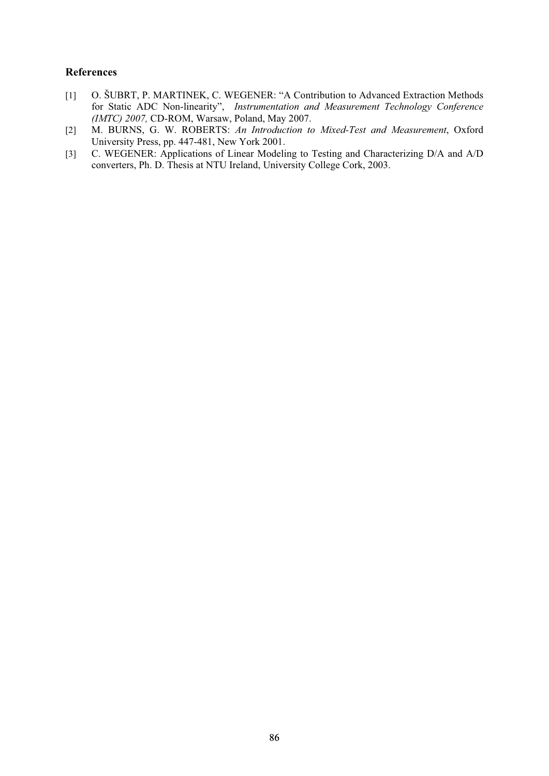- [1] O. ŠUBRT, P. MARTINEK, C. WEGENER: "A Contribution to Advanced Extraction Methods for Static ADC Non-linearity", *Instrumentation and Measurement Technology Conference (IMTC) 2007,* CD-ROM, Warsaw, Poland, May 2007.
- [2] M. BURNS, G. W. ROBERTS: *An Introduction to Mixed-Test and Measurement*, Oxford University Press, pp. 447-481, New York 2001.
- [3] C. WEGENER: Applications of Linear Modeling to Testing and Characterizing D/A and A/D converters, Ph. D. Thesis at NTU Ireland, University College Cork, 2003.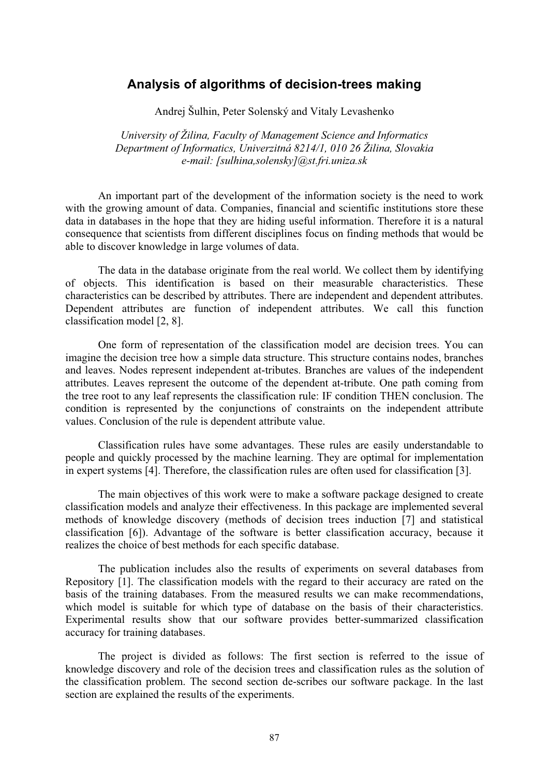### **Analysis of algorithms of decision-trees making**

Andrej Šulhin, Peter Solenský and Vitaly Levashenko

*University of Žilina, Faculty of Management Science and Informatics Department of Informatics, Univerzitná 8214/1, 010 26 Žilina, Slovakia e-mail: [sulhina,solensky]@st.fri.uniza.sk* 

An important part of the development of the information society is the need to work with the growing amount of data. Companies, financial and scientific institutions store these data in databases in the hope that they are hiding useful information. Therefore it is a natural consequence that scientists from different disciplines focus on finding methods that would be able to discover knowledge in large volumes of data.

The data in the database originate from the real world. We collect them by identifying of objects. This identification is based on their measurable characteristics. These characteristics can be described by attributes. There are independent and dependent attributes. Dependent attributes are function of independent attributes. We call this function classification model [2, 8].

One form of representation of the classification model are decision trees. You can imagine the decision tree how a simple data structure. This structure contains nodes, branches and leaves. Nodes represent independent at-tributes. Branches are values of the independent attributes. Leaves represent the outcome of the dependent at-tribute. One path coming from the tree root to any leaf represents the classification rule: IF condition THEN conclusion. The condition is represented by the conjunctions of constraints on the independent attribute values. Conclusion of the rule is dependent attribute value.

Classification rules have some advantages. These rules are easily understandable to people and quickly processed by the machine learning. They are optimal for implementation in expert systems [4]. Therefore, the classification rules are often used for classification [3].

The main objectives of this work were to make a software package designed to create classification models and analyze their effectiveness. In this package are implemented several methods of knowledge discovery (methods of decision trees induction [7] and statistical classification [6]). Advantage of the software is better classification accuracy, because it realizes the choice of best methods for each specific database.

The publication includes also the results of experiments on several databases from Repository [1]. The classification models with the regard to their accuracy are rated on the basis of the training databases. From the measured results we can make recommendations, which model is suitable for which type of database on the basis of their characteristics. Experimental results show that our software provides better-summarized classification accuracy for training databases.

The project is divided as follows: The first section is referred to the issue of knowledge discovery and role of the decision trees and classification rules as the solution of the classification problem. The second section de-scribes our software package. In the last section are explained the results of the experiments.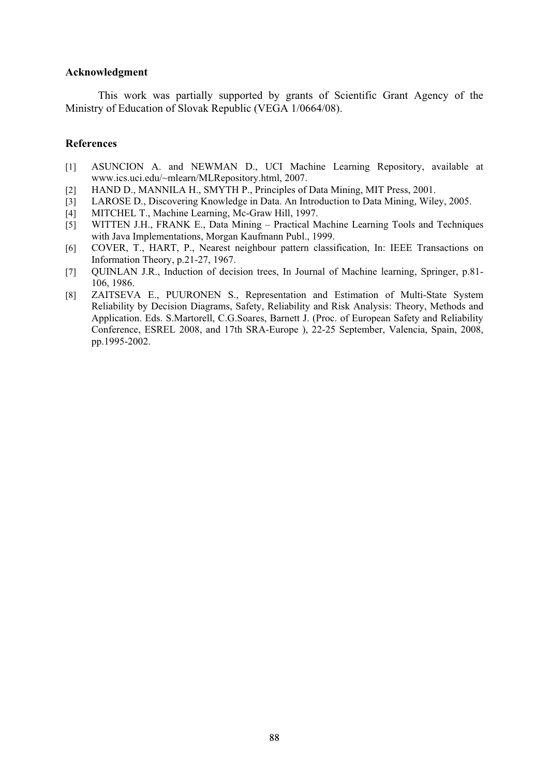#### **Acknowledgment**

This work was partially supported by grants of Scientific Grant Agency of the Ministry of Education of Slovak Republic (VEGA 1/0664/08).

- [1] ASUNCION A. and NEWMAN D., UCI Machine Learning Repository, available at www.ics.uci.edu/~mlearn/MLRepository.html, 2007.
- [2] HAND D., MANNILA H., SMYTH P., Principles of Data Mining, MIT Press, 2001.
- [3] LAROSE D., Discovering Knowledge in Data. An Introduction to Data Mining, Wiley, 2005.
- [4] MITCHEL T., Machine Learning, Mc-Graw Hill, 1997.
- [5] WITTEN J.H., FRANK E., Data Mining Practical Machine Learning Tools and Techniques with Java Implementations, Morgan Kaufmann Publ., 1999.
- [6] COVER, T., HART, P., Nearest neighbour pattern classification, In: IEEE Transactions on Information Theory, p.21-27, 1967.
- [7] QUINLAN J.R., Induction of decision trees, In Journal of Machine learning, Springer, p.81- 106, 1986.
- [8] ZAITSEVA E., PUURONEN S., Representation and Estimation of Multi-State System Reliability by Decision Diagrams, Safety, Reliability and Risk Analysis: Theory, Methods and Application. Eds. S.Martorell, C.G.Soares, Barnett J. (Proc. of European Safety and Reliability Conference, ESREL 2008, and 17th SRA-Europe ), 22-25 September, Valencia, Spain, 2008, pp.1995-2002.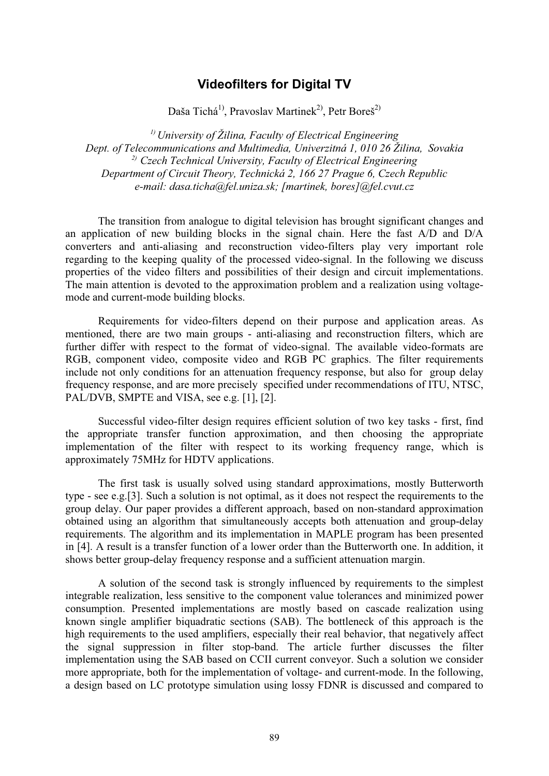# **Videofilters for Digital TV**

Daša Tichá<sup>1)</sup>, Pravoslav Martinek<sup>2)</sup>, Petr Boreš<sup>2)</sup>

*1) University of Žilina, Faculty of Electrical Engineering Dept. of Telecommunications and Multimedia, Univerzitná 1, 010 26 Žilina, Sovakia 2) Czech Technical University, Faculty of Electrical Engineering Department of Circuit Theory, Technická 2, 166 27 Prague 6, Czech Republic e-mail: dasa.ticha@fel.uniza.sk; [martinek, bores]@fel.cvut.cz* 

The transition from analogue to digital television has brought significant changes and an application of new building blocks in the signal chain. Here the fast A/D and D/A converters and anti-aliasing and reconstruction video-filters play very important role regarding to the keeping quality of the processed video-signal. In the following we discuss properties of the video filters and possibilities of their design and circuit implementations. The main attention is devoted to the approximation problem and a realization using voltagemode and current-mode building blocks.

Requirements for video-filters depend on their purpose and application areas. As mentioned, there are two main groups - anti-aliasing and reconstruction filters, which are further differ with respect to the format of video-signal. The available video-formats are RGB, component video, composite video and RGB PC graphics. The filter requirements include not only conditions for an attenuation frequency response, but also for group delay frequency response, and are more precisely specified under recommendations of ITU, NTSC, PAL/DVB, SMPTE and VISA, see e.g. [1], [2].

Successful video-filter design requires efficient solution of two key tasks - first, find the appropriate transfer function approximation, and then choosing the appropriate implementation of the filter with respect to its working frequency range, which is approximately 75MHz for HDTV applications.

The first task is usually solved using standard approximations, mostly Butterworth type - see e.g.[3]. Such a solution is not optimal, as it does not respect the requirements to the group delay. Our paper provides a different approach, based on non-standard approximation obtained using an algorithm that simultaneously accepts both attenuation and group-delay requirements. The algorithm and its implementation in MAPLE program has been presented in [4]. A result is a transfer function of a lower order than the Butterworth one. In addition, it shows better group-delay frequency response and a sufficient attenuation margin.

A solution of the second task is strongly influenced by requirements to the simplest integrable realization, less sensitive to the component value tolerances and minimized power consumption. Presented implementations are mostly based on cascade realization using known single amplifier biquadratic sections (SAB). The bottleneck of this approach is the high requirements to the used amplifiers, especially their real behavior, that negatively affect the signal suppression in filter stop-band. The article further discusses the filter implementation using the SAB based on CCII current conveyor. Such a solution we consider more appropriate, both for the implementation of voltage- and current-mode. In the following, a design based on LC prototype simulation using lossy FDNR is discussed and compared to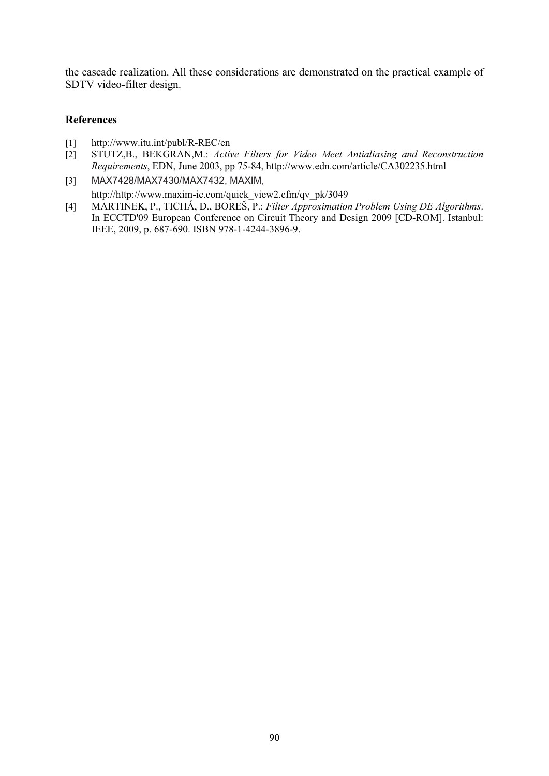the cascade realization. All these considerations are demonstrated on the practical example of SDTV video-filter design.

- [1] http://www.itu.int/publ/R-REC/en
- [2] STUTZ,B., BEKGRAN,M.: *Active Filters for Video Meet Antialiasing and Reconstruction Requirements*, EDN, June 2003, pp 75-84, http://www.edn.com/article/CA302235.html
- [3] MAX7428/MAX7430/MAX7432, MAXIM, http://http://www.maxim-ic.com/quick\_view2.cfm/qv\_pk/3049
- [4] MARTINEK, P., TICHÁ, D., BOREŠ, P.: *Filter Approximation Problem Using DE Algorithms*. In ECCTD'09 European Conference on Circuit Theory and Design 2009 [CD-ROM]. Istanbul: IEEE, 2009, p. 687-690. ISBN 978-1-4244-3896-9.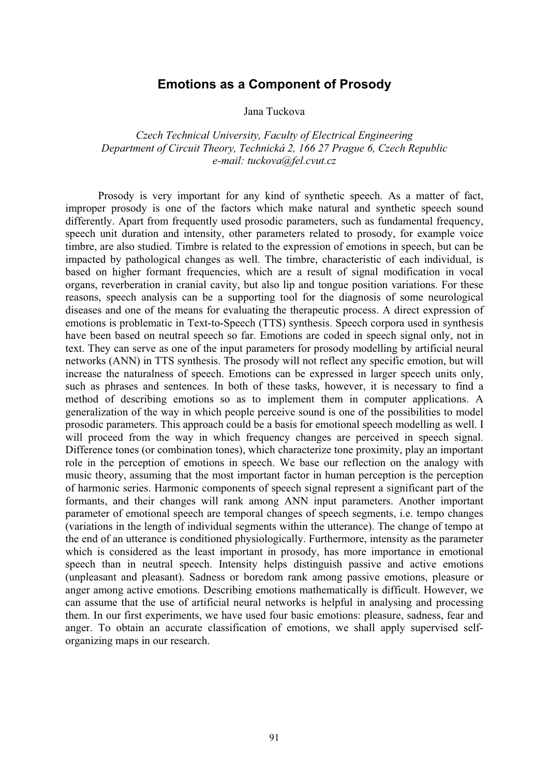## **Emotions as a Component of Prosody**

Jana Tuckova

*Czech Technical University, Faculty of Electrical Engineering Department of Circuit Theory, Technická 2, 166 27 Prague 6, Czech Republic e-mail: tuckova@fel.cvut.cz* 

Prosody is very important for any kind of synthetic speech. As a matter of fact, improper prosody is one of the factors which make natural and synthetic speech sound differently. Apart from frequently used prosodic parameters, such as fundamental frequency, speech unit duration and intensity, other parameters related to prosody, for example voice timbre, are also studied. Timbre is related to the expression of emotions in speech, but can be impacted by pathological changes as well. The timbre, characteristic of each individual, is based on higher formant frequencies, which are a result of signal modification in vocal organs, reverberation in cranial cavity, but also lip and tongue position variations. For these reasons, speech analysis can be a supporting tool for the diagnosis of some neurological diseases and one of the means for evaluating the therapeutic process. A direct expression of emotions is problematic in Text-to-Speech (TTS) synthesis. Speech corpora used in synthesis have been based on neutral speech so far. Emotions are coded in speech signal only, not in text. They can serve as one of the input parameters for prosody modelling by artificial neural networks (ANN) in TTS synthesis. The prosody will not reflect any specific emotion, but will increase the naturalness of speech. Emotions can be expressed in larger speech units only, such as phrases and sentences. In both of these tasks, however, it is necessary to find a method of describing emotions so as to implement them in computer applications. A generalization of the way in which people perceive sound is one of the possibilities to model prosodic parameters. This approach could be a basis for emotional speech modelling as well. I will proceed from the way in which frequency changes are perceived in speech signal. Difference tones (or combination tones), which characterize tone proximity, play an important role in the perception of emotions in speech. We base our reflection on the analogy with music theory, assuming that the most important factor in human perception is the perception of harmonic series. Harmonic components of speech signal represent a significant part of the formants, and their changes will rank among ANN input parameters. Another important parameter of emotional speech are temporal changes of speech segments, i.e. tempo changes (variations in the length of individual segments within the utterance). The change of tempo at the end of an utterance is conditioned physiologically. Furthermore, intensity as the parameter which is considered as the least important in prosody, has more importance in emotional speech than in neutral speech. Intensity helps distinguish passive and active emotions (unpleasant and pleasant). Sadness or boredom rank among passive emotions, pleasure or anger among active emotions. Describing emotions mathematically is difficult. However, we can assume that the use of artificial neural networks is helpful in analysing and processing them. In our first experiments, we have used four basic emotions: pleasure, sadness, fear and anger. To obtain an accurate classification of emotions, we shall apply supervised selforganizing maps in our research.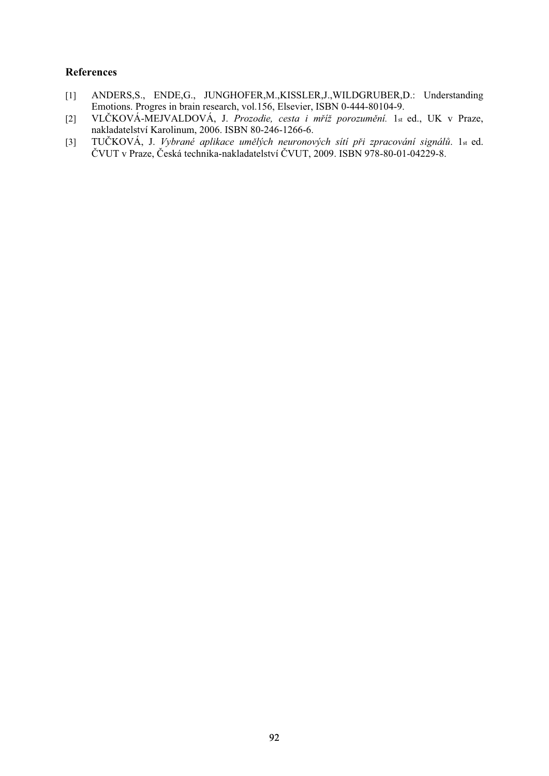- [1] ANDERS,S., ENDE,G., JUNGHOFER,M.,KISSLER,J.,WILDGRUBER,D.: Understanding Emotions. Progres in brain research, vol.156, Elsevier, ISBN 0-444-80104-9.
- [2] VLČKOVÁ-MEJVALDOVÁ, J. Prozodie, cesta i mříž porozumění. 1st ed., UK v Praze, nakladatelství Karolinum, 2006. ISBN 80-246-1266-6.
- [3] TUČKOVÁ, J. Vybrané aplikace umělých neuronových sítí při zpracování signálů. 1st ed. ČVUT v Praze, Česká technika-nakladatelství ČVUT, 2009. ISBN 978-80-01-04229-8.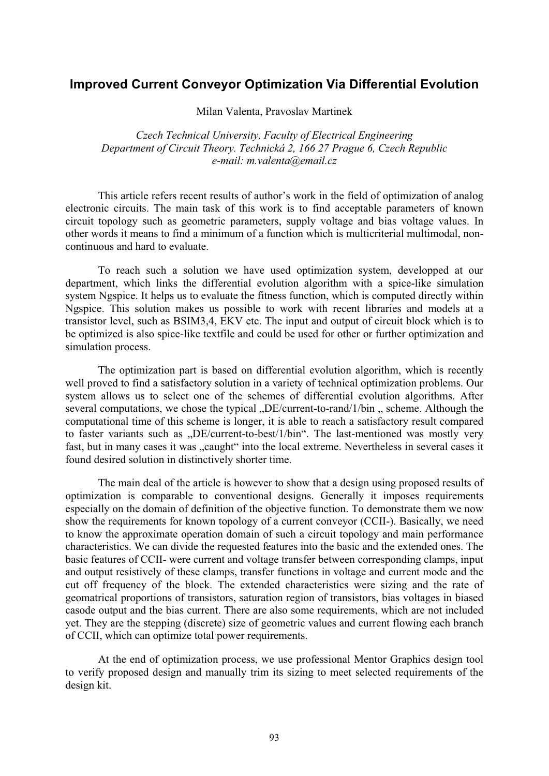## **Improved Current Conveyor Optimization Via Differential Evolution**

Milan Valenta, Pravoslav Martinek

*Czech Technical University, Faculty of Electrical Engineering Department of Circuit Theory. Technická 2, 166 27 Prague 6, Czech Republic e-mail: m.valenta@email.cz* 

This article refers recent results of author's work in the field of optimization of analog electronic circuits. The main task of this work is to find acceptable parameters of known circuit topology such as geometric parameters, supply voltage and bias voltage values. In other words it means to find a minimum of a function which is multicriterial multimodal, noncontinuous and hard to evaluate.

To reach such a solution we have used optimization system, developped at our department, which links the differential evolution algorithm with a spice-like simulation system Ngspice. It helps us to evaluate the fitness function, which is computed directly within Ngspice. This solution makes us possible to work with recent libraries and models at a transistor level, such as BSIM3,4, EKV etc. The input and output of circuit block which is to be optimized is also spice-like textfile and could be used for other or further optimization and simulation process.

The optimization part is based on differential evolution algorithm, which is recently well proved to find a satisfactory solution in a variety of technical optimization problems. Our system allows us to select one of the schemes of differential evolution algorithms. After several computations, we chose the typical  $D<sub>E</sub>/current-to-random/1/bin$ , scheme. Although the computational time of this scheme is longer, it is able to reach a satisfactory result compared to faster variants such as "DE/current-to-best/1/bin". The last-mentioned was mostly very fast, but in many cases it was "caught" into the local extreme. Nevertheless in several cases it found desired solution in distinctively shorter time.

The main deal of the article is however to show that a design using proposed results of optimization is comparable to conventional designs. Generally it imposes requirements especially on the domain of definition of the objective function. To demonstrate them we now show the requirements for known topology of a current conveyor (CCII-). Basically, we need to know the approximate operation domain of such a circuit topology and main performance characteristics. We can divide the requested features into the basic and the extended ones. The basic features of CCII- were current and voltage transfer between corresponding clamps, input and output resistively of these clamps, transfer functions in voltage and current mode and the cut off frequency of the block. The extended characteristics were sizing and the rate of geomatrical proportions of transistors, saturation region of transistors, bias voltages in biased casode output and the bias current. There are also some requirements, which are not included yet. They are the stepping (discrete) size of geometric values and current flowing each branch of CCII, which can optimize total power requirements.

At the end of optimization process, we use professional Mentor Graphics design tool to verify proposed design and manually trim its sizing to meet selected requirements of the design kit.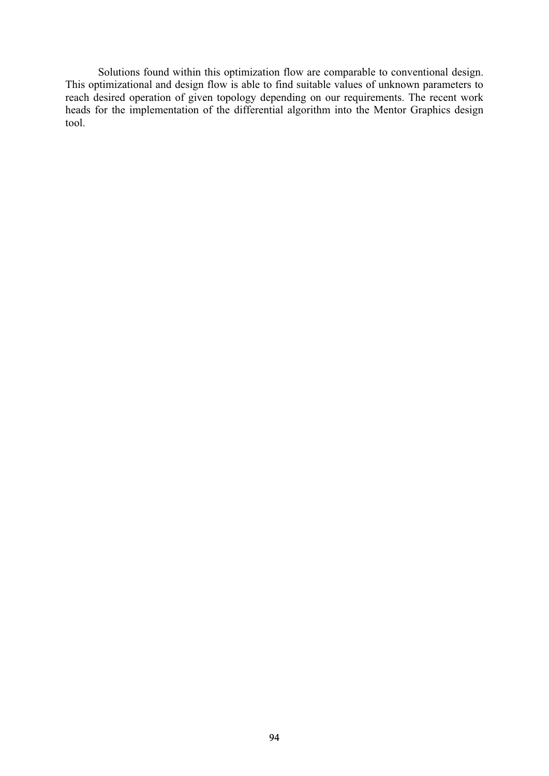Solutions found within this optimization flow are comparable to conventional design. This optimizational and design flow is able to find suitable values of unknown parameters to reach desired operation of given topology depending on our requirements. The recent work heads for the implementation of the differential algorithm into the Mentor Graphics design tool.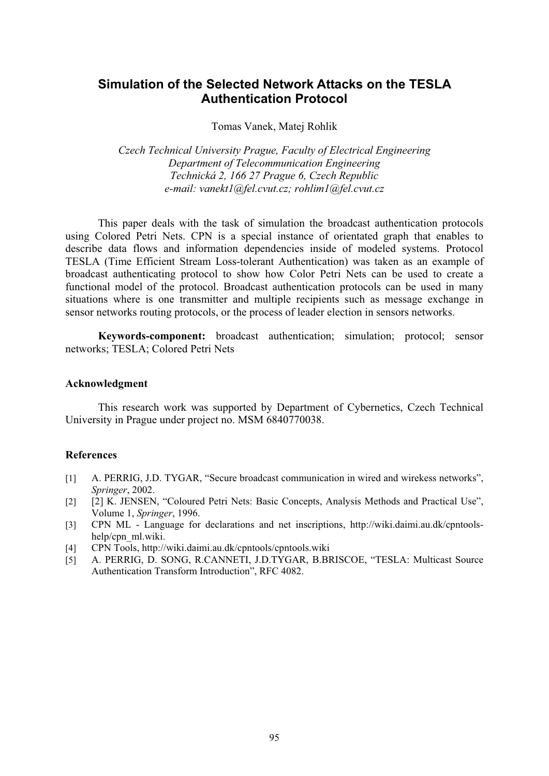# **Simulation of the Selected Network Attacks on the TESLA Authentication Protocol**

#### Tomas Vanek, Matej Rohlik

*Czech Technical University Prague, Faculty of Electrical Engineering Department of Telecommunication Engineering Technická 2, 166 27 Prague 6, Czech Republic e-mail: vanekt1@fel.cvut.cz; rohlim1@fel.cvut.cz* 

This paper deals with the task of simulation the broadcast authentication protocols using Colored Petri Nets. CPN is a special instance of orientated graph that enables to describe data flows and information dependencies inside of modeled systems. Protocol TESLA (Time Efficient Stream Loss-tolerant Authentication) was taken as an example of broadcast authenticating protocol to show how Color Petri Nets can be used to create a functional model of the protocol. Broadcast authentication protocols can be used in many situations where is one transmitter and multiple recipients such as message exchange in sensor networks routing protocols, or the process of leader election in sensors networks.

**Keywords-component:** broadcast authentication; simulation; protocol; sensor networks; TESLA; Colored Petri Nets

#### **Acknowledgment**

This research work was supported by Department of Cybernetics, Czech Technical University in Prague under project no. MSM 6840770038.

- [1] A. PERRIG, J.D. TYGAR, "Secure broadcast communication in wired and wirekess networks", *Springer*, 2002.
- [2] [2] K. JENSEN, "Coloured Petri Nets: Basic Concepts, Analysis Methods and Practical Use", Volume 1, *Springer*, 1996.
- [3] CPN ML Language for declarations and net inscriptions, http://wiki.daimi.au.dk/cpntoolshelp/cpn\_ml.wiki.
- [4] CPN Tools, http://wiki.daimi.au.dk/cpntools/cpntools.wiki
- [5] A. PERRIG, D. SONG, R.CANNETI, J.D.TYGAR, B.BRISCOE, "TESLA: Multicast Source Authentication Transform Introduction", RFC 4082.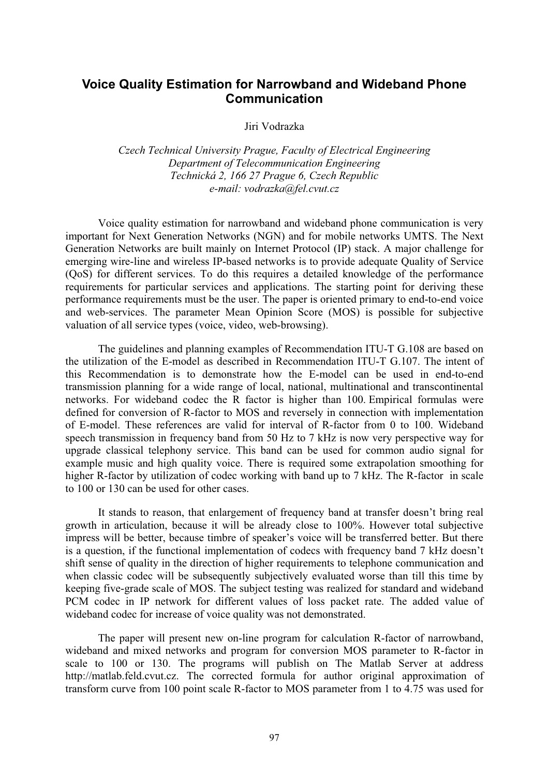# **Voice Quality Estimation for Narrowband and Wideband Phone Communication**

Jiri Vodrazka

*Czech Technical University Prague, Faculty of Electrical Engineering Department of Telecommunication Engineering Technická 2, 166 27 Prague 6, Czech Republic e-mail: vodrazka@fel.cvut.cz* 

Voice quality estimation for narrowband and wideband phone communication is very important for Next Generation Networks (NGN) and for mobile networks UMTS. The Next Generation Networks are built mainly on Internet Protocol (IP) stack. A major challenge for emerging wire-line and wireless IP-based networks is to provide adequate Quality of Service (QoS) for different services. To do this requires a detailed knowledge of the performance requirements for particular services and applications. The starting point for deriving these performance requirements must be the user. The paper is oriented primary to end-to-end voice and web-services. The parameter Mean Opinion Score (MOS) is possible for subjective valuation of all service types (voice, video, web-browsing).

The guidelines and planning examples of Recommendation ITU-T G.108 are based on the utilization of the E-model as described in Recommendation ITU-T G.107. The intent of this Recommendation is to demonstrate how the E-model can be used in end-to-end transmission planning for a wide range of local, national, multinational and transcontinental networks. For wideband codec the R factor is higher than 100. Empirical formulas were defined for conversion of R-factor to MOS and reversely in connection with implementation of E-model. These references are valid for interval of R-factor from 0 to 100. Wideband speech transmission in frequency band from 50 Hz to 7 kHz is now very perspective way for upgrade classical telephony service. This band can be used for common audio signal for example music and high quality voice. There is required some extrapolation smoothing for higher R-factor by utilization of codec working with band up to 7 kHz. The R-factor in scale to 100 or 130 can be used for other cases.

It stands to reason, that enlargement of frequency band at transfer doesn't bring real growth in articulation, because it will be already close to 100%. However total subjective impress will be better, because timbre of speaker's voice will be transferred better. But there is a question, if the functional implementation of codecs with frequency band 7 kHz doesn't shift sense of quality in the direction of higher requirements to telephone communication and when classic codec will be subsequently subjectively evaluated worse than till this time by keeping five-grade scale of MOS. The subject testing was realized for standard and wideband PCM codec in IP network for different values of loss packet rate. The added value of wideband codec for increase of voice quality was not demonstrated.

The paper will present new on-line program for calculation R-factor of narrowband, wideband and mixed networks and program for conversion MOS parameter to R-factor in scale to 100 or 130. The programs will publish on The Matlab Server at address http://matlab.feld.cvut.cz. The corrected formula for author original approximation of transform curve from 100 point scale R-factor to MOS parameter from 1 to 4.75 was used for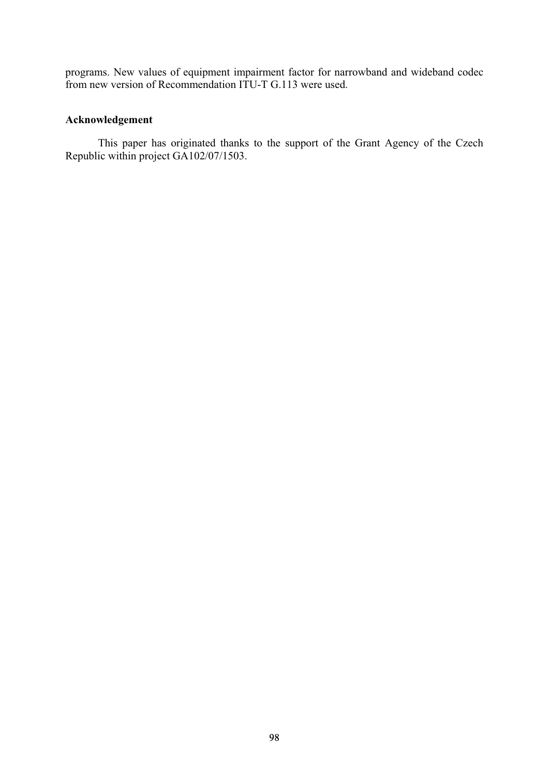programs. New values of equipment impairment factor for narrowband and wideband codec from new version of Recommendation ITU-T G.113 were used.

## **Acknowledgement**

This paper has originated thanks to the support of the Grant Agency of the Czech Republic within project GA102/07/1503.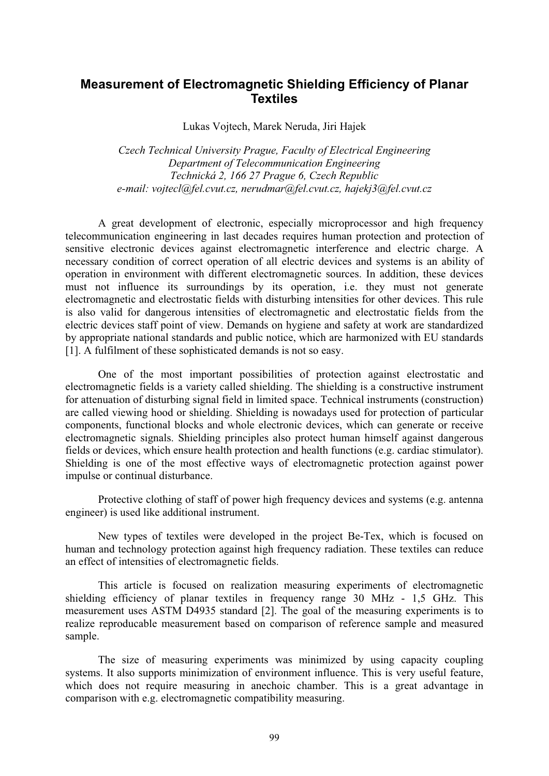# **Measurement of Electromagnetic Shielding Efficiency of Planar Textiles**

Lukas Vojtech, Marek Neruda, Jiri Hajek

*Czech Technical University Prague, Faculty of Electrical Engineering Department of Telecommunication Engineering Technická 2, 166 27 Prague 6, Czech Republic e-mail: vojtecl@fel.cvut.cz, nerudmar@fel.cvut.cz, hajekj3@fel.cvut.cz* 

A great development of electronic, especially microprocessor and high frequency telecommunication engineering in last decades requires human protection and protection of sensitive electronic devices against electromagnetic interference and electric charge. A necessary condition of correct operation of all electric devices and systems is an ability of operation in environment with different electromagnetic sources. In addition, these devices must not influence its surroundings by its operation, i.e. they must not generate electromagnetic and electrostatic fields with disturbing intensities for other devices. This rule is also valid for dangerous intensities of electromagnetic and electrostatic fields from the electric devices staff point of view. Demands on hygiene and safety at work are standardized by appropriate national standards and public notice, which are harmonized with EU standards [1]. A fulfilment of these sophisticated demands is not so easy.

One of the most important possibilities of protection against electrostatic and electromagnetic fields is a variety called shielding. The shielding is a constructive instrument for attenuation of disturbing signal field in limited space. Technical instruments (construction) are called viewing hood or shielding. Shielding is nowadays used for protection of particular components, functional blocks and whole electronic devices, which can generate or receive electromagnetic signals. Shielding principles also protect human himself against dangerous fields or devices, which ensure health protection and health functions (e.g. cardiac stimulator). Shielding is one of the most effective ways of electromagnetic protection against power impulse or continual disturbance.

Protective clothing of staff of power high frequency devices and systems (e.g. antenna engineer) is used like additional instrument.

New types of textiles were developed in the project Be-Tex, which is focused on human and technology protection against high frequency radiation. These textiles can reduce an effect of intensities of electromagnetic fields.

This article is focused on realization measuring experiments of electromagnetic shielding efficiency of planar textiles in frequency range 30 MHz - 1,5 GHz. This measurement uses ASTM D4935 standard [2]. The goal of the measuring experiments is to realize reproducable measurement based on comparison of reference sample and measured sample.

The size of measuring experiments was minimized by using capacity coupling systems. It also supports minimization of environment influence. This is very useful feature, which does not require measuring in anechoic chamber. This is a great advantage in comparison with e.g. electromagnetic compatibility measuring.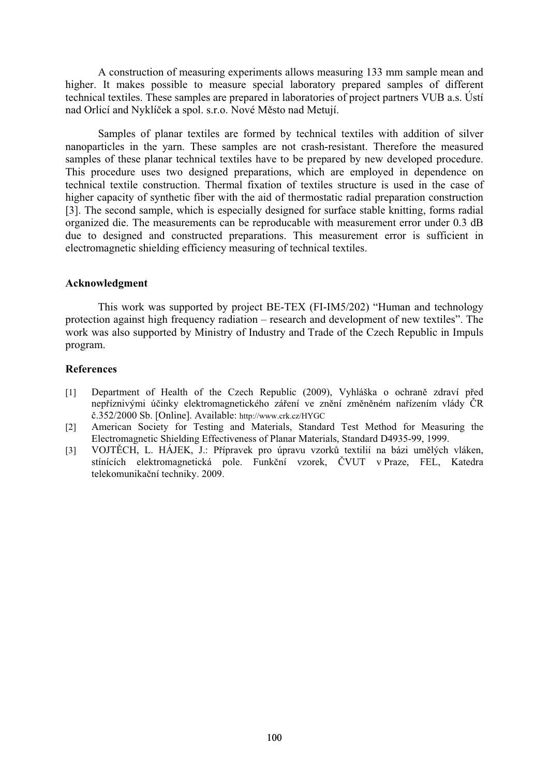A construction of measuring experiments allows measuring 133 mm sample mean and higher. It makes possible to measure special laboratory prepared samples of different technical textiles. These samples are prepared in laboratories of project partners VUB a.s. Ústí nad Orlicí and Nyklíček a spol. s.r.o. Nové Město nad Metují.

Samples of planar textiles are formed by technical textiles with addition of silver nanoparticles in the yarn. These samples are not crash-resistant. Therefore the measured samples of these planar technical textiles have to be prepared by new developed procedure. This procedure uses two designed preparations, which are employed in dependence on technical textile construction. Thermal fixation of textiles structure is used in the case of higher capacity of synthetic fiber with the aid of thermostatic radial preparation construction [3]. The second sample, which is especially designed for surface stable knitting, forms radial organized die. The measurements can be reproducable with measurement error under 0.3 dB due to designed and constructed preparations. This measurement error is sufficient in electromagnetic shielding efficiency measuring of technical textiles.

### **Acknowledgment**

This work was supported by project BE-TEX (FI-IM5/202) "Human and technology protection against high frequency radiation – research and development of new textiles". The work was also supported by Ministry of Industry and Trade of the Czech Republic in Impuls program.

- [1] Department of Health of the Czech Republic (2009), Vyhláška o ochraně zdraví před nepříznivými účinky elektromagnetického záření ve znění změněném nařízením vlády ČR .352/2000 Sb. [Online]. Available: http://www.crk.cz/HYGC
- [2] American Society for Testing and Materials, Standard Test Method for Measuring the Electromagnetic Shielding Effectiveness of Planar Materials, Standard D4935-99, 1999.
- [3] VOJTĚCH, L. HÁJEK, J.: Přípravek pro úpravu vzorků textilií na bázi umělých vláken, stínících elektromagnetická pole. Funkční vzorek, ČVUT v Praze, FEL, Katedra telekomunikační techniky. 2009.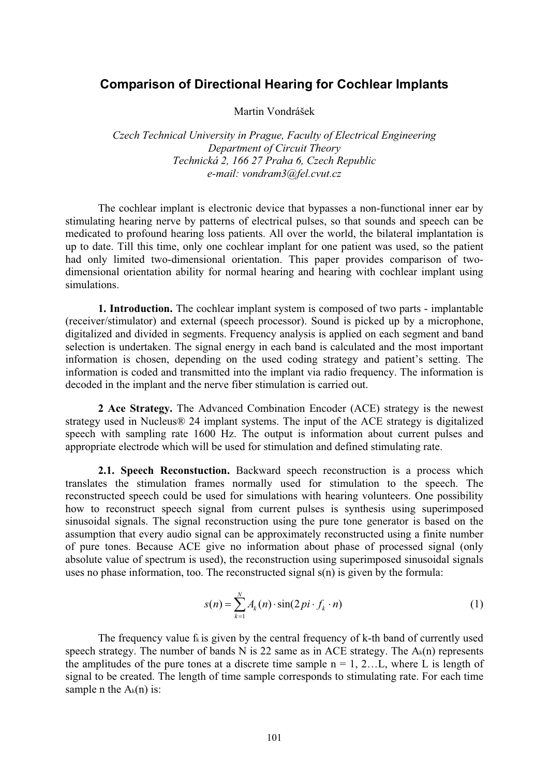## **Comparison of Directional Hearing for Cochlear Implants**

Martin Vondrášek

*Czech Technical University in Prague, Faculty of Electrical Engineering Department of Circuit Theory Technická 2, 166 27 Praha 6, Czech Republic e-mail: vondram3@fel.cvut.cz* 

The cochlear implant is electronic device that bypasses a non-functional inner ear by stimulating hearing nerve by patterns of electrical pulses, so that sounds and speech can be medicated to profound hearing loss patients. All over the world, the bilateral implantation is up to date. Till this time, only one cochlear implant for one patient was used, so the patient had only limited two-dimensional orientation. This paper provides comparison of twodimensional orientation ability for normal hearing and hearing with cochlear implant using simulations.

**1. Introduction.** The cochlear implant system is composed of two parts - implantable (receiver/stimulator) and external (speech processor). Sound is picked up by a microphone, digitalized and divided in segments. Frequency analysis is applied on each segment and band selection is undertaken. The signal energy in each band is calculated and the most important information is chosen, depending on the used coding strategy and patient's setting. The information is coded and transmitted into the implant via radio frequency. The information is decoded in the implant and the nerve fiber stimulation is carried out.

**2 Ace Strategy.** The Advanced Combination Encoder (ACE) strategy is the newest strategy used in Nucleus® 24 implant systems. The input of the ACE strategy is digitalized speech with sampling rate 1600 Hz. The output is information about current pulses and appropriate electrode which will be used for stimulation and defined stimulating rate.

**2.1. Speech Reconstuction.** Backward speech reconstruction is a process which translates the stimulation frames normally used for stimulation to the speech. The reconstructed speech could be used for simulations with hearing volunteers. One possibility how to reconstruct speech signal from current pulses is synthesis using superimposed sinusoidal signals. The signal reconstruction using the pure tone generator is based on the assumption that every audio signal can be approximately reconstructed using a finite number of pure tones. Because ACE give no information about phase of processed signal (only absolute value of spectrum is used), the reconstruction using superimposed sinusoidal signals uses no phase information, too. The reconstructed signal s(n) is given by the formula:

$$
s(n) = \sum_{k=1}^{N} A_k(n) \cdot \sin(2\pi i \cdot f_k \cdot n)
$$
 (1)

The frequency value  $f_k$  is given by the central frequency of k-th band of currently used speech strategy. The number of bands N is 22 same as in ACE strategy. The  $A_k(n)$  represents the amplitudes of the pure tones at a discrete time sample  $n = 1, 2...L$ , where L is length of signal to be created. The length of time sample corresponds to stimulating rate. For each time sample n the  $A_k(n)$  is: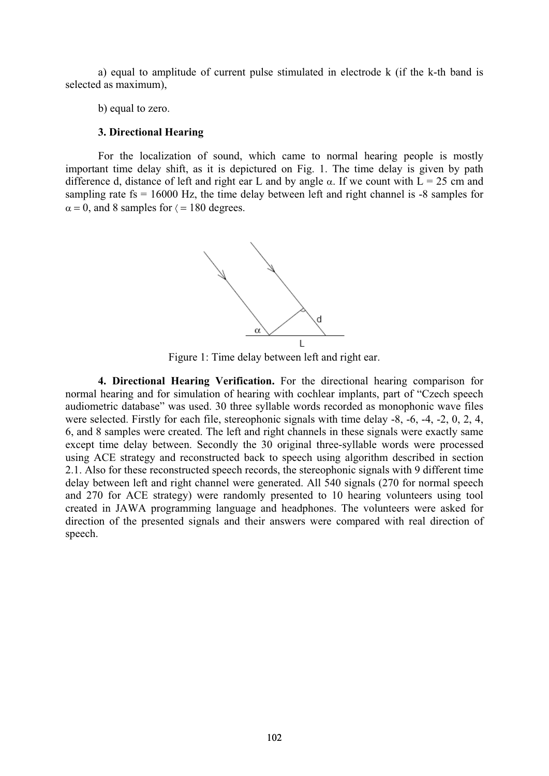a) equal to amplitude of current pulse stimulated in electrode k (if the k-th band is selected as maximum),

b) equal to zero.

#### **3. Directional Hearing**

For the localization of sound, which came to normal hearing people is mostly important time delay shift, as it is depictured on Fig. 1. The time delay is given by path difference d, distance of left and right ear L and by angle  $\alpha$ . If we count with  $\overline{L} = 25$  cm and sampling rate  $fs = 16000$  Hz, the time delay between left and right channel is  $-8$  samples for  $\alpha = 0$ , and 8 samples for  $\zeta = 180$  degrees.



Figure 1: Time delay between left and right ear.

**4. Directional Hearing Verification.** For the directional hearing comparison for normal hearing and for simulation of hearing with cochlear implants, part of "Czech speech audiometric database" was used. 30 three syllable words recorded as monophonic wave files were selected. Firstly for each file, stereophonic signals with time delay -8, -6, -4, -2, 0, 2, 4, 6, and 8 samples were created. The left and right channels in these signals were exactly same except time delay between. Secondly the 30 original three-syllable words were processed using ACE strategy and reconstructed back to speech using algorithm described in section 2.1. Also for these reconstructed speech records, the stereophonic signals with 9 different time delay between left and right channel were generated. All 540 signals (270 for normal speech and 270 for ACE strategy) were randomly presented to 10 hearing volunteers using tool created in JAWA programming language and headphones. The volunteers were asked for direction of the presented signals and their answers were compared with real direction of speech.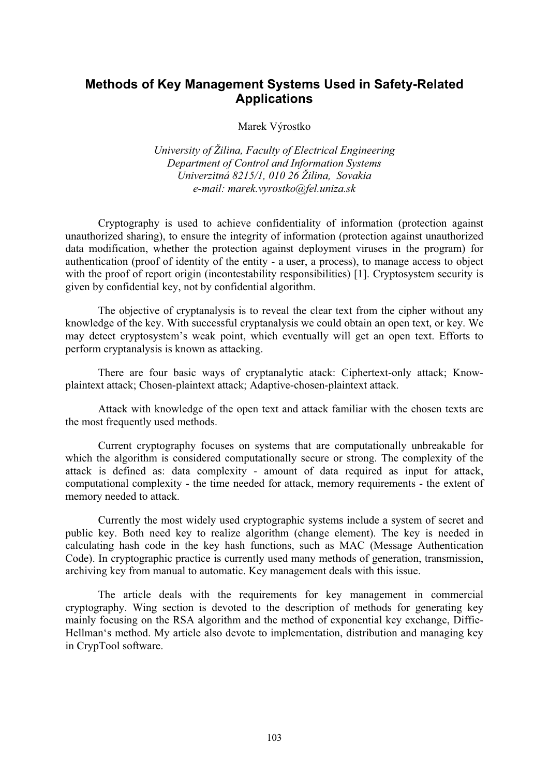# **Methods of Key Management Systems Used in Safety-Related Applications**

Marek Výrostko

*University of Žilina, Faculty of Electrical Engineering Department of Control and Information Systems Univerzitná 8215/1, 010 26 Žilina, Sovakia e-mail: marek.vyrostko@fel.uniza.sk* 

Cryptography is used to achieve confidentiality of information (protection against unauthorized sharing), to ensure the integrity of information (protection against unauthorized data modification, whether the protection against deployment viruses in the program) for authentication (proof of identity of the entity - a user, a process), to manage access to object with the proof of report origin (incontestability responsibilities) [1]. Cryptosystem security is given by confidential key, not by confidential algorithm.

The objective of cryptanalysis is to reveal the clear text from the cipher without any knowledge of the key. With successful cryptanalysis we could obtain an open text, or key. We may detect cryptosystem's weak point, which eventually will get an open text. Efforts to perform cryptanalysis is known as attacking.

There are four basic ways of cryptanalytic atack: Ciphertext-only attack; Knowplaintext attack; Chosen-plaintext attack; Adaptive-chosen-plaintext attack.

Attack with knowledge of the open text and attack familiar with the chosen texts are the most frequently used methods.

Current cryptography focuses on systems that are computationally unbreakable for which the algorithm is considered computationally secure or strong. The complexity of the attack is defined as: data complexity - amount of data required as input for attack, computational complexity - the time needed for attack, memory requirements - the extent of memory needed to attack.

Currently the most widely used cryptographic systems include a system of secret and public key. Both need key to realize algorithm (change element). The key is needed in calculating hash code in the key hash functions, such as MAC (Message Authentication Code). In cryptographic practice is currently used many methods of generation, transmission, archiving key from manual to automatic. Key management deals with this issue.

The article deals with the requirements for key management in commercial cryptography. Wing section is devoted to the description of methods for generating key mainly focusing on the RSA algorithm and the method of exponential key exchange, Diffie-Hellman's method. My article also devote to implementation, distribution and managing key in CrypTool software.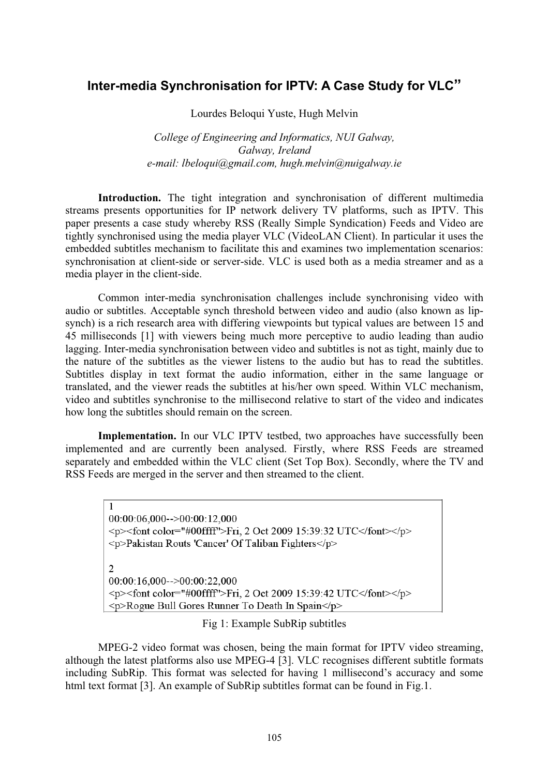# **Inter-media Synchronisation for IPTV: A Case Study for VLC"**

Lourdes Beloqui Yuste, Hugh Melvin

*College of Engineering and Informatics, NUI Galway, Galway, Ireland e-mail: lbeloqui@gmail.com, hugh.melvin@nuigalway.ie* 

Introduction. The tight integration and synchronisation of different multimedia streams presents opportunities for IP network delivery TV platforms, such as IPTV. This paper presents a case study whereby RSS (Really Simple Syndication) Feeds and Video are tightly synchronised using the media player VLC (VideoLAN Client). In particular it uses the embedded subtitles mechanism to facilitate this and examines two implementation scenarios: synchronisation at client-side or server-side. VLC is used both as a media streamer and as a media player in the client-side.

Common inter-media synchronisation challenges include synchronising video with audio or subtitles. Acceptable synch threshold between video and audio (also known as lipsynch) is a rich research area with differing viewpoints but typical values are between 15 and 45 milliseconds [1] with viewers being much more perceptive to audio leading than audio lagging. Inter-media synchronisation between video and subtitles is not as tight, mainly due to the nature of the subtitles as the viewer listens to the audio but has to read the subtitles. Subtitles display in text format the audio information, either in the same language or translated, and the viewer reads the subtitles at his/her own speed. Within VLC mechanism, video and subtitles synchronise to the millisecond relative to start of the video and indicates how long the subtitles should remain on the screen.

**Implementation.** In our VLC IPTV testbed, two approaches have successfully been implemented and are currently been analysed. Firstly, where RSS Feeds are streamed separately and embedded within the VLC client (Set Top Box). Secondly, where the TV and RSS Feeds are merged in the server and then streamed to the client.

 $\mathbf{1}$  $00:00:06,000--00:00:12,000$  $\langle p \rangle$  = font color="#00ffff">Fri, 2 Oct 2009 15:39:32 UTC </font>  $\langle p \rangle$ <p>Pakistan Routs 'Cancer' Of Taliban Fighters</p>  $\overline{2}$  $00:00:16.000--00:00:22.000$  $\langle p \rangle$  = font color="#00ffff">Fri, 2 Oct 2009 15:39:42 UTC </font>  $\langle p \rangle$ <p>Rogue Bull Gores Runner To Death In Spain</p>

Fig 1: Example SubRip subtitles

MPEG-2 video format was chosen, being the main format for IPTV video streaming, although the latest platforms also use MPEG-4 [3]. VLC recognises different subtitle formats including SubRip. This format was selected for having 1 millisecond's accuracy and some html text format [3]. An example of SubRip subtitles format can be found in Fig.1.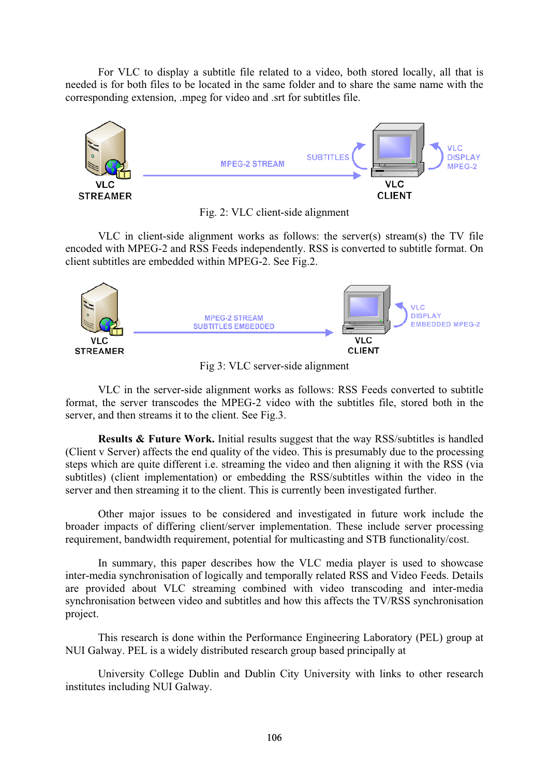For VLC to display a subtitle file related to a video, both stored locally, all that is needed is for both files to be located in the same folder and to share the same name with the corresponding extension, .mpeg for video and .srt for subtitles file.



Fig. 2: VLC client-side alignment

VLC in client-side alignment works as follows: the server(s) stream(s) the TV file encoded with MPEG-2 and RSS Feeds independently. RSS is converted to subtitle format. On client subtitles are embedded within MPEG-2. See Fig.2.



Fig 3: VLC server-side alignment

VLC in the server-side alignment works as follows: RSS Feeds converted to subtitle format, the server transcodes the MPEG-2 video with the subtitles file, stored both in the server, and then streams it to the client. See Fig.3.

**Results & Future Work.** Initial results suggest that the way RSS/subtitles is handled (Client v Server) affects the end quality of the video. This is presumably due to the processing steps which are quite different i.e. streaming the video and then aligning it with the RSS (via subtitles) (client implementation) or embedding the RSS/subtitles within the video in the server and then streaming it to the client. This is currently been investigated further.

Other major issues to be considered and investigated in future work include the broader impacts of differing client/server implementation. These include server processing requirement, bandwidth requirement, potential for multicasting and STB functionality/cost.

In summary, this paper describes how the VLC media player is used to showcase inter-media synchronisation of logically and temporally related RSS and Video Feeds. Details are provided about VLC streaming combined with video transcoding and inter-media synchronisation between video and subtitles and how this affects the TV/RSS synchronisation project.

This research is done within the Performance Engineering Laboratory (PEL) group at NUI Galway. PEL is a widely distributed research group based principally at

University College Dublin and Dublin City University with links to other research institutes including NUI Galway.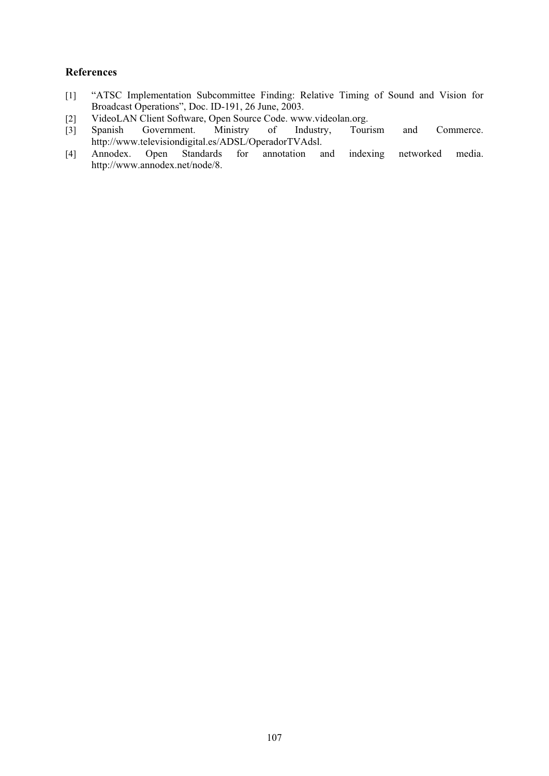- [1] "ATSC Implementation Subcommittee Finding: Relative Timing of Sound and Vision for Broadcast Operations", Doc. ID-191, 26 June, 2003.
- 
- [2] VideoLAN Client Software, Open Source Code. www.videolan.org.<br>
[3] Spanish Government. Ministry of Industry, Tourism [3] Spanish Government. Ministry of Industry, Tourism and Commerce. http://www.televisiondigital.es/ADSL/OperadorTVAdsl.<br>Annodex. Open Standards for annotation a
- [4] Annodex. Open Standards for annotation and indexing networked media. http://www.annodex.net/node/8.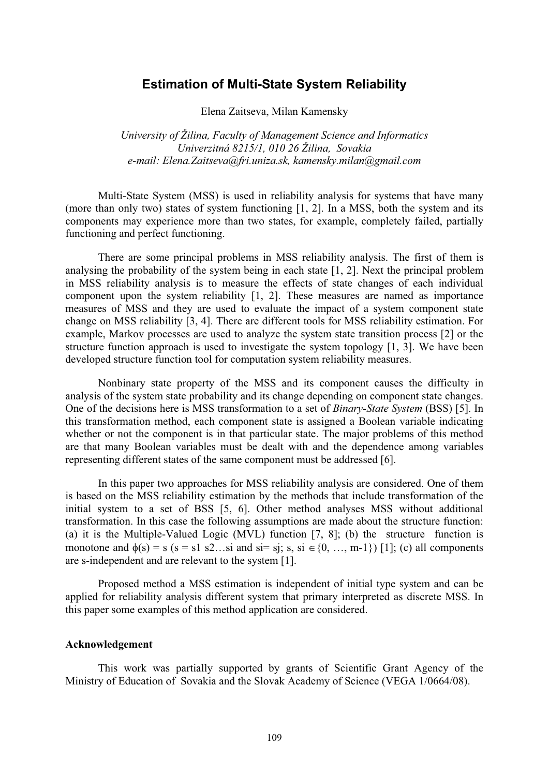## **Estimation of Multi-State System Reliability**

Elena Zaitseva, Milan Kamensky

*University of Žilina, Faculty of Management Science and Informatics Univerzitná 8215/1, 010 26 Žilina, Sovakia e-mail: Elena.Zaitseva@fri.uniza.sk, kamensky.milan@gmail.com* 

Multi-State System (MSS) is used in reliability analysis for systems that have many (more than only two) states of system functioning [1, 2]. In a MSS, both the system and its components may experience more than two states, for example, completely failed, partially functioning and perfect functioning.

There are some principal problems in MSS reliability analysis. The first of them is analysing the probability of the system being in each state [1, 2]. Next the principal problem in MSS reliability analysis is to measure the effects of state changes of each individual component upon the system reliability [1, 2]. These measures are named as importance measures of MSS and they are used to evaluate the impact of a system component state change on MSS reliability [3, 4]. There are different tools for MSS reliability estimation. For example, Markov processes are used to analyze the system state transition process [2] or the structure function approach is used to investigate the system topology [1, 3]. We have been developed structure function tool for computation system reliability measures.

Nonbinary state property of the MSS and its component causes the difficulty in analysis of the system state probability and its change depending on component state changes. One of the decisions here is MSS transformation to a set of *Binary-State System* (BSS) [5]. In this transformation method, each component state is assigned a Boolean variable indicating whether or not the component is in that particular state. The major problems of this method are that many Boolean variables must be dealt with and the dependence among variables representing different states of the same component must be addressed [6].

In this paper two approaches for MSS reliability analysis are considered. One of them is based on the MSS reliability estimation by the methods that include transformation of the initial system to a set of BSS [5, 6]. Other method analyses MSS without additional transformation. In this case the following assumptions are made about the structure function: (a) it is the Multiple-Valued Logic (MVL) function [7, 8]; (b) the structure function is monotone and  $\phi(s) = s$  (s = s1 s2...si and si= sj; s, si  $\in \{0, ..., m-1\}$ ) [1]; (c) all components are s-independent and are relevant to the system [1].

Proposed method a MSS estimation is independent of initial type system and can be applied for reliability analysis different system that primary interpreted as discrete MSS. In this paper some examples of this method application are considered.

#### **Acknowledgement**

This work was partially supported by grants of Scientific Grant Agency of the Ministry of Education of Sovakia and the Slovak Academy of Science (VEGA 1/0664/08).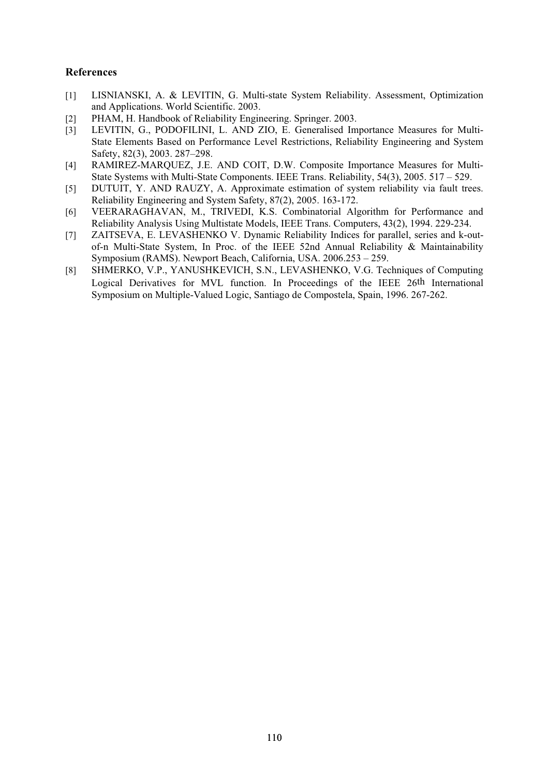- [1] LISNIANSKI, A. & LEVITIN, G. Multi-state System Reliability. Assessment, Optimization and Applications. World Scientific. 2003.
- [2] PHAM, H. Handbook of Reliability Engineering. Springer. 2003.
- [3] LEVITIN, G., PODOFILINI, L. AND ZIO, E. Generalised Importance Measures for Multi-State Elements Based on Performance Level Restrictions, Reliability Engineering and System Safety, 82(3), 2003. 287–298.
- [4] RAMIREZ-MARQUEZ, J.E. AND COIT, D.W. Composite Importance Measures for Multi-State Systems with Multi-State Components. IEEE Trans. Reliability, 54(3), 2005. 517 – 529.
- [5] DUTUIT, Y. AND RAUZY, A. Approximate estimation of system reliability via fault trees. Reliability Engineering and System Safety, 87(2), 2005. 163-172.
- [6] VEERARAGHAVAN, M., TRIVEDI, K.S. Combinatorial Algorithm for Performance and Reliability Analysis Using Multistate Models, IEEE Trans. Computers, 43(2), 1994. 229-234.
- [7] ZAITSEVA, E. LEVASHENKO V. Dynamic Reliability Indices for parallel, series and k-outof-n Multi-State System, In Proc. of the IEEE 52nd Annual Reliability & Maintainability Symposium (RAMS). Newport Beach, California, USA. 2006.253 – 259.
- [8] SHMERKO, V.P., YANUSHKEVICH, S.N., LEVASHENKO, V.G. Techniques of Computing Logical Derivatives for MVL function. In Proceedings of the IEEE 26th International Symposium on Multiple-Valued Logic, Santiago de Compostela, Spain, 1996. 267-262.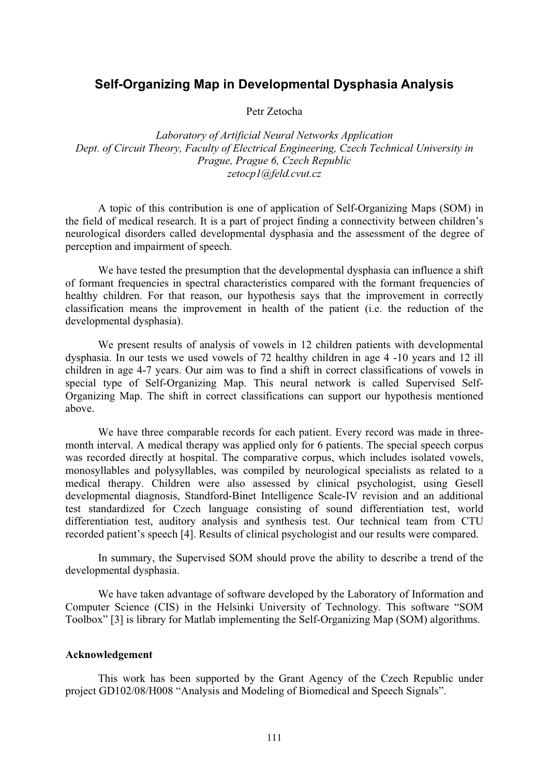# **Self-Organizing Map in Developmental Dysphasia Analysis**

Petr Zetocha

*Laboratory of Artificial Neural Networks Application Dept. of Circuit Theory, Faculty of Electrical Engineering, Czech Technical University in Prague, Prague 6, Czech Republic zetocp1@feld.cvut.cz* 

A topic of this contribution is one of application of Self-Organizing Maps (SOM) in the field of medical research. It is a part of project finding a connectivity between children's neurological disorders called developmental dysphasia and the assessment of the degree of perception and impairment of speech.

We have tested the presumption that the developmental dysphasia can influence a shift of formant frequencies in spectral characteristics compared with the formant frequencies of healthy children. For that reason, our hypothesis says that the improvement in correctly classification means the improvement in health of the patient (i.e. the reduction of the developmental dysphasia).

We present results of analysis of vowels in 12 children patients with developmental dysphasia. In our tests we used vowels of 72 healthy children in age 4 -10 years and 12 ill children in age 4-7 years. Our aim was to find a shift in correct classifications of vowels in special type of Self-Organizing Map. This neural network is called Supervised Self-Organizing Map. The shift in correct classifications can support our hypothesis mentioned above.

We have three comparable records for each patient. Every record was made in threemonth interval. A medical therapy was applied only for 6 patients. The special speech corpus was recorded directly at hospital. The comparative corpus, which includes isolated vowels, monosyllables and polysyllables, was compiled by neurological specialists as related to a medical therapy. Children were also assessed by clinical psychologist, using Gesell developmental diagnosis, Standford-Binet Intelligence Scale-IV revision and an additional test standardized for Czech language consisting of sound differentiation test, world differentiation test, auditory analysis and synthesis test. Our technical team from CTU recorded patient's speech [4]. Results of clinical psychologist and our results were compared.

In summary, the Supervised SOM should prove the ability to describe a trend of the developmental dysphasia.

We have taken advantage of software developed by the Laboratory of Information and Computer Science (CIS) in the Helsinki University of Technology. This software "SOM Toolbox" [3] is library for Matlab implementing the Self-Organizing Map (SOM) algorithms.

#### **Acknowledgement**

This work has been supported by the Grant Agency of the Czech Republic under project GD102/08/H008 "Analysis and Modeling of Biomedical and Speech Signals".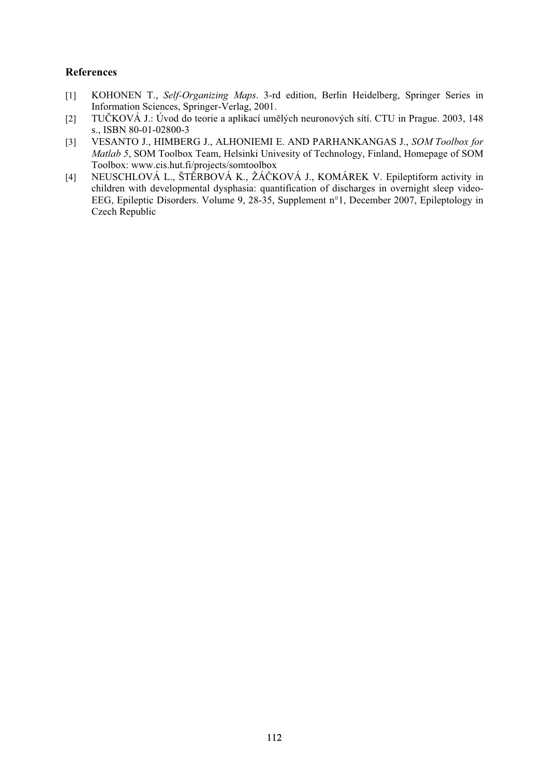- [1] KOHONEN T., *Self-Organizing Maps*. 3-rd edition, Berlin Heidelberg, Springer Series in Information Sciences, Springer-Verlag, 2001.
- [2] TUČKOVÁ J.: Úvod do teorie a aplikací umělých neuronových sítí. CTU in Prague. 2003, 148 s., ISBN 80-01-02800-3
- [3] VESANTO J., HIMBERG J., ALHONIEMI E. AND PARHANKANGAS J., *SOM Toolbox for Matlab 5*, SOM Toolbox Team, Helsinki Univesity of Technology, Finland, Homepage of SOM Toolbox: www.cis.hut.fi/projects/somtoolbox
- [4] NEUSCHLOVÁ L., ŠTĚRBOVÁ K., ŽÁČKOVÁ J., KOMÁREK V. Epileptiform activity in children with developmental dysphasia: quantification of discharges in overnight sleep video-EEG, Epileptic Disorders. Volume 9, 28-35, Supplement n°1, December 2007, Epileptology in Czech Republic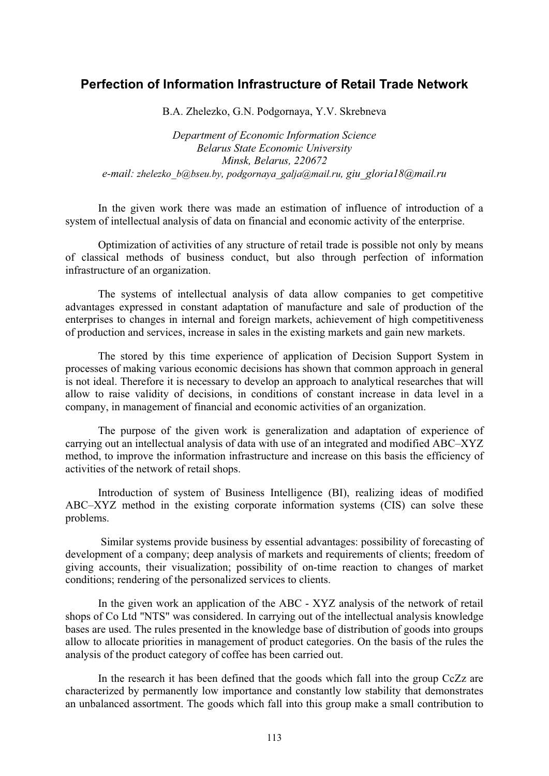# **Perfection of Information Infrastructure of Retail Trade Network**

B.A. Zhelezko, G.N. Podgornaya, Y.V. Skrebneva

*Department of Economic Information Science Belarus State Economic University Minsk, Belarus, 220672 e-mail: zhelezko\_b@bseu.by, podgornaya\_galja@mail.ru, giu\_gloria18@mail.ru* 

In the given work there was made an estimation of influence of introduction of a system of intellectual analysis of data on financial and economic activity of the enterprise.

Optimization of activities of any structure of retail trade is possible not only by means of classical methods of business conduct, but also through perfection of information infrastructure of an organization.

The systems of intellectual analysis of data allow companies to get competitive advantages expressed in constant adaptation of manufacture and sale of production of the enterprises to changes in internal and foreign markets, achievement of high competitiveness of production and services, increase in sales in the existing markets and gain new markets.

The stored by this time experience of application of Decision Support System in processes of making various economic decisions has shown that common approach in general is not ideal. Therefore it is necessary to develop an approach to analytical researches that will allow to raise validity of decisions, in conditions of constant increase in data level in a company, in management of financial and economic activities of an organization.

The purpose of the given work is generalization and adaptation of experience of carrying out an intellectual analysis of data with use of an integrated and modified ABC–XYZ method, to improve the information infrastructure and increase on this basis the efficiency of activities of the network of retail shops.

Introduction of system of Business Intelligence (BI), realizing ideas of modified ABC–XYZ method in the existing corporate information systems (CIS) can solve these problems.

 Similar systems provide business by essential advantages: possibility of forecasting of development of a company; deep analysis of markets and requirements of clients; freedom of giving accounts, their visualization; possibility of on-time reaction to changes of market conditions; rendering of the personalized services to clients.

In the given work an application of the ABC - XYZ analysis of the network of retail shops of Co Ltd "NTS" was considered. In carrying out of the intellectual analysis knowledge bases are used. The rules presented in the knowledge base of distribution of goods into groups allow to allocate priorities in management of product categories. On the basis of the rules the analysis of the product category of coffee has been carried out.

In the research it has been defined that the goods which fall into the group CcZz are characterized by permanently low importance and constantly low stability that demonstrates an unbalanced assortment. The goods which fall into this group make a small contribution to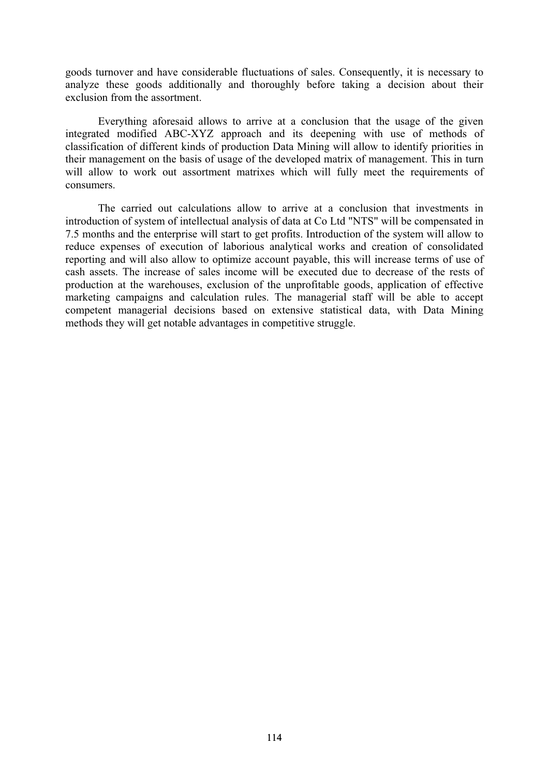goods turnover and have considerable fluctuations of sales. Consequently, it is necessary to analyze these goods additionally and thoroughly before taking a decision about their exclusion from the assortment.

Everything aforesaid allows to arrive at a conclusion that the usage of the given integrated modified ABC-XYZ approach and its deepening with use of methods of classification of different kinds of production Data Mining will allow to identify priorities in their management on the basis of usage of the developed matrix of management. This in turn will allow to work out assortment matrixes which will fully meet the requirements of consumers.

The carried out calculations allow to arrive at a conclusion that investments in introduction of system of intellectual analysis of data at Co Ltd "NTS" will be compensated in 7.5 months and the enterprise will start to get profits. Introduction of the system will allow to reduce expenses of execution of laborious analytical works and creation of consolidated reporting and will also allow to optimize account payable, this will increase terms of use of cash assets. The increase of sales income will be executed due to decrease of the rests of production at the warehouses, exclusion of the unprofitable goods, application of effective marketing campaigns and calculation rules. The managerial staff will be able to accept competent managerial decisions based on extensive statistical data, with Data Mining methods they will get notable advantages in competitive struggle.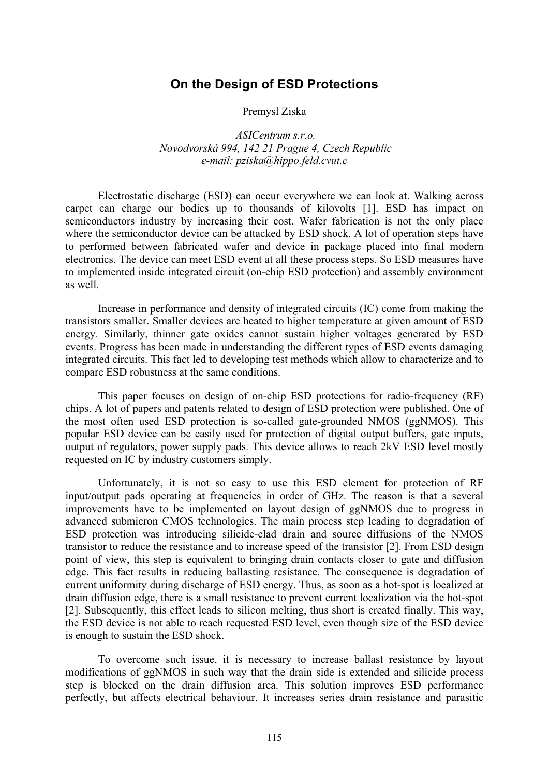## **On the Design of ESD Protections**

Premysl Ziska

 *ASICentrum s.r.o. Novodvorská 994, 142 21 Prague 4, Czech Republic e-mail: pziska@hippo.feld.cvut.c* 

Electrostatic discharge (ESD) can occur everywhere we can look at. Walking across carpet can charge our bodies up to thousands of kilovolts [1]. ESD has impact on semiconductors industry by increasing their cost. Wafer fabrication is not the only place where the semiconductor device can be attacked by ESD shock. A lot of operation steps have to performed between fabricated wafer and device in package placed into final modern electronics. The device can meet ESD event at all these process steps. So ESD measures have to implemented inside integrated circuit (on-chip ESD protection) and assembly environment as well.

Increase in performance and density of integrated circuits (IC) come from making the transistors smaller. Smaller devices are heated to higher temperature at given amount of ESD energy. Similarly, thinner gate oxides cannot sustain higher voltages generated by ESD events. Progress has been made in understanding the different types of ESD events damaging integrated circuits. This fact led to developing test methods which allow to characterize and to compare ESD robustness at the same conditions.

This paper focuses on design of on-chip ESD protections for radio-frequency (RF) chips. A lot of papers and patents related to design of ESD protection were published. One of the most often used ESD protection is so-called gate-grounded NMOS (ggNMOS). This popular ESD device can be easily used for protection of digital output buffers, gate inputs, output of regulators, power supply pads. This device allows to reach 2kV ESD level mostly requested on IC by industry customers simply.

Unfortunately, it is not so easy to use this ESD element for protection of RF input/output pads operating at frequencies in order of GHz. The reason is that a several improvements have to be implemented on layout design of ggNMOS due to progress in advanced submicron CMOS technologies. The main process step leading to degradation of ESD protection was introducing silicide-clad drain and source diffusions of the NMOS transistor to reduce the resistance and to increase speed of the transistor [2]. From ESD design point of view, this step is equivalent to bringing drain contacts closer to gate and diffusion edge. This fact results in reducing ballasting resistance. The consequence is degradation of current uniformity during discharge of ESD energy. Thus, as soon as a hot-spot is localized at drain diffusion edge, there is a small resistance to prevent current localization via the hot-spot [2]. Subsequently, this effect leads to silicon melting, thus short is created finally. This way, the ESD device is not able to reach requested ESD level, even though size of the ESD device is enough to sustain the ESD shock.

To overcome such issue, it is necessary to increase ballast resistance by layout modifications of ggNMOS in such way that the drain side is extended and silicide process step is blocked on the drain diffusion area. This solution improves ESD performance perfectly, but affects electrical behaviour. It increases series drain resistance and parasitic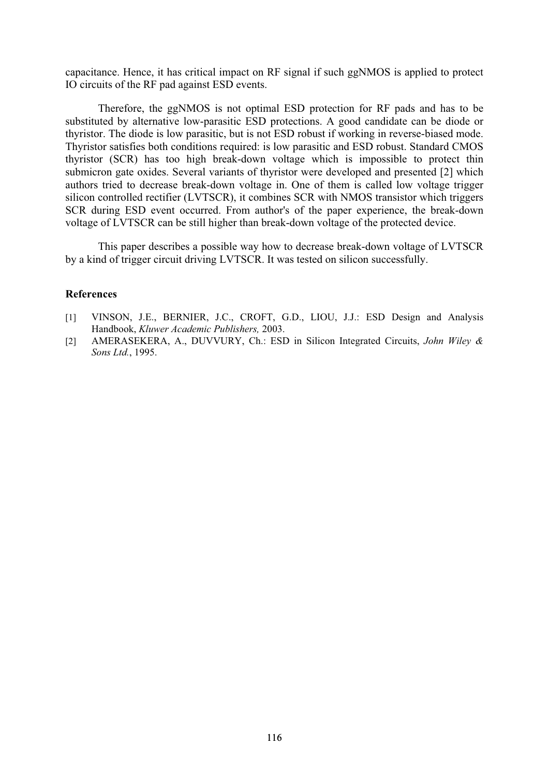capacitance. Hence, it has critical impact on RF signal if such ggNMOS is applied to protect IO circuits of the RF pad against ESD events.

Therefore, the ggNMOS is not optimal ESD protection for RF pads and has to be substituted by alternative low-parasitic ESD protections. A good candidate can be diode or thyristor. The diode is low parasitic, but is not ESD robust if working in reverse-biased mode. Thyristor satisfies both conditions required: is low parasitic and ESD robust. Standard CMOS thyristor (SCR) has too high break-down voltage which is impossible to protect thin submicron gate oxides. Several variants of thyristor were developed and presented [2] which authors tried to decrease break-down voltage in. One of them is called low voltage trigger silicon controlled rectifier (LVTSCR), it combines SCR with NMOS transistor which triggers SCR during ESD event occurred. From author's of the paper experience, the break-down voltage of LVTSCR can be still higher than break-down voltage of the protected device.

This paper describes a possible way how to decrease break-down voltage of LVTSCR by a kind of trigger circuit driving LVTSCR. It was tested on silicon successfully.

- [1] VINSON, J.E., BERNIER, J.C., CROFT, G.D., LIOU, J.J.: ESD Design and Analysis Handbook, *Kluwer Academic Publishers,* 2003.
- [2] AMERASEKERA, A., DUVVURY, Ch.: ESD in Silicon Integrated Circuits, *John Wiley & Sons Ltd.*, 1995.